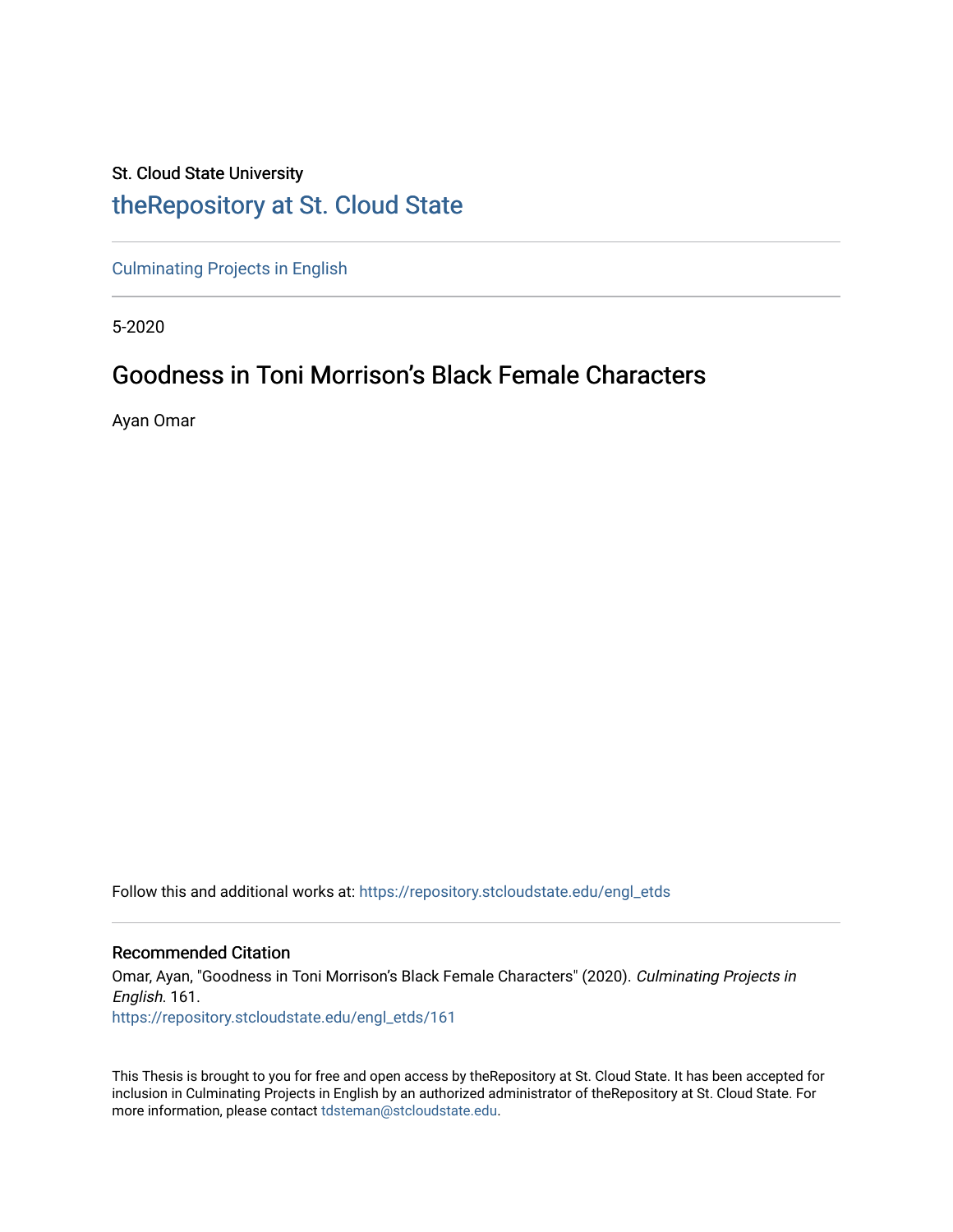# St. Cloud State University [theRepository at St. Cloud State](https://repository.stcloudstate.edu/)

[Culminating Projects in English](https://repository.stcloudstate.edu/engl_etds) 

5-2020

# Goodness in Toni Morrison's Black Female Characters

Ayan Omar

Follow this and additional works at: [https://repository.stcloudstate.edu/engl\\_etds](https://repository.stcloudstate.edu/engl_etds?utm_source=repository.stcloudstate.edu%2Fengl_etds%2F161&utm_medium=PDF&utm_campaign=PDFCoverPages)

### Recommended Citation

Omar, Ayan, "Goodness in Toni Morrison's Black Female Characters" (2020). Culminating Projects in English. 161. [https://repository.stcloudstate.edu/engl\\_etds/161](https://repository.stcloudstate.edu/engl_etds/161?utm_source=repository.stcloudstate.edu%2Fengl_etds%2F161&utm_medium=PDF&utm_campaign=PDFCoverPages)

This Thesis is brought to you for free and open access by theRepository at St. Cloud State. It has been accepted for inclusion in Culminating Projects in English by an authorized administrator of theRepository at St. Cloud State. For more information, please contact [tdsteman@stcloudstate.edu.](mailto:tdsteman@stcloudstate.edu)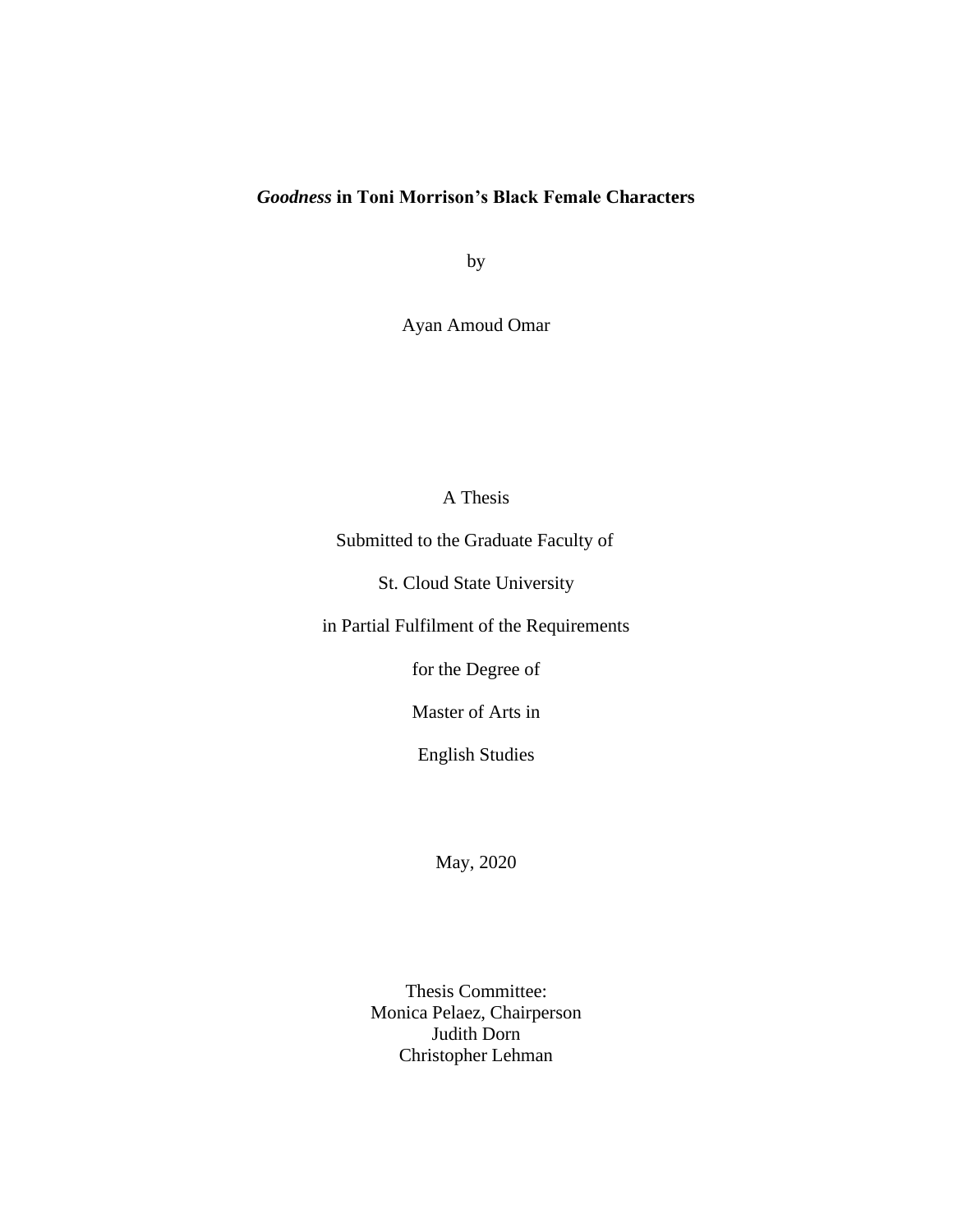## *Goodness* **in Toni Morrison's Black Female Characters**

by

Ayan Amoud Omar

## A Thesis

Submitted to the Graduate Faculty of

St. Cloud State University

in Partial Fulfilment of the Requirements

for the Degree of

Master of Arts in

English Studies

May, 2020

Thesis Committee: Monica Pelaez, Chairperson Judith Dorn Christopher Lehman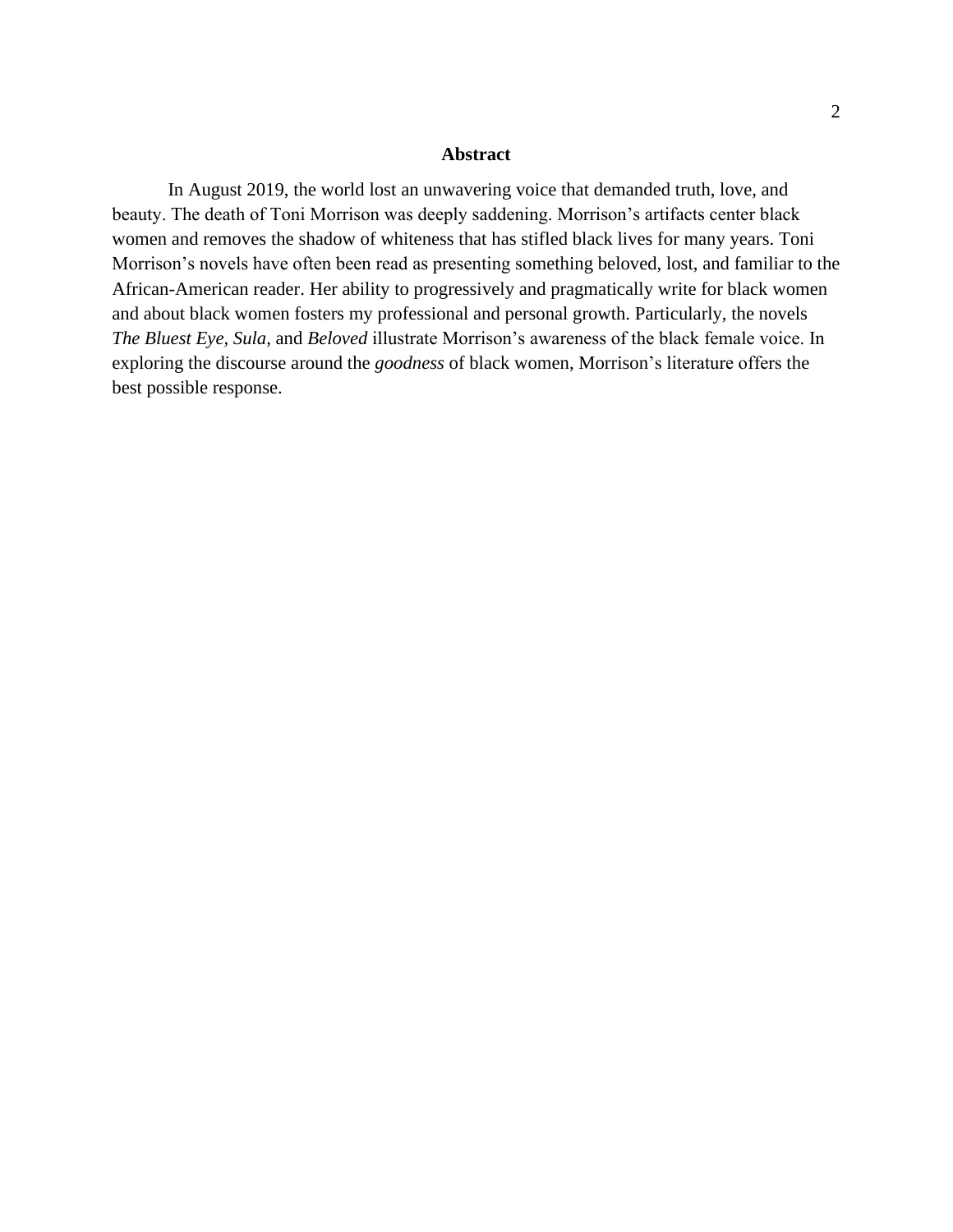### **Abstract**

In August 2019, the world lost an unwavering voice that demanded truth, love, and beauty. The death of Toni Morrison was deeply saddening. Morrison's artifacts center black women and removes the shadow of whiteness that has stifled black lives for many years. Toni Morrison's novels have often been read as presenting something beloved, lost, and familiar to the African-American reader. Her ability to progressively and pragmatically write for black women and about black women fosters my professional and personal growth. Particularly, the novels *The Bluest Eye, Sula,* and *Beloved* illustrate Morrison's awareness of the black female voice. In exploring the discourse around the *goodness* of black women, Morrison's literature offers the best possible response.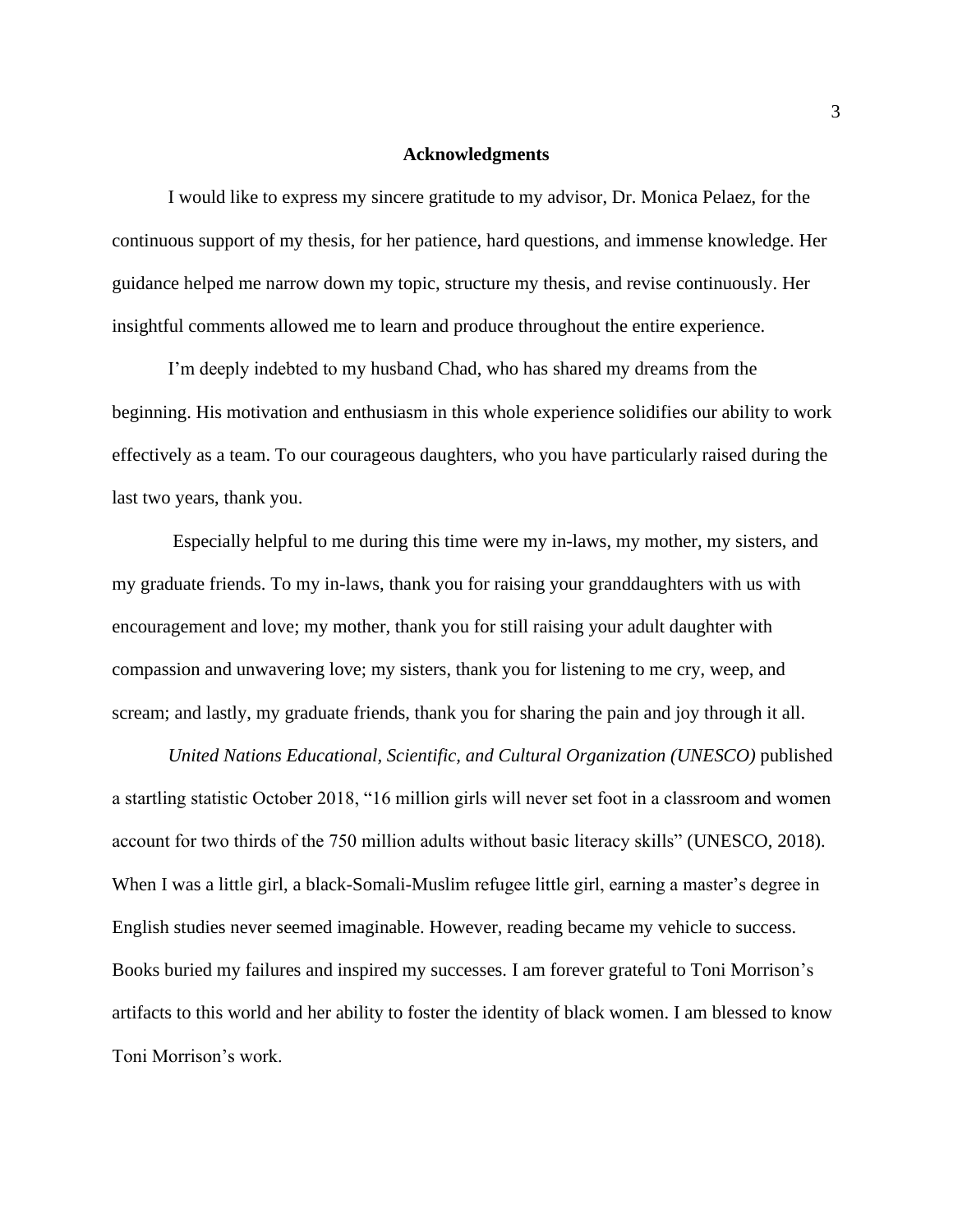### **Acknowledgments**

I would like to express my sincere gratitude to my advisor, Dr. Monica Pelaez, for the continuous support of my thesis, for her patience, hard questions, and immense knowledge. Her guidance helped me narrow down my topic, structure my thesis, and revise continuously. Her insightful comments allowed me to learn and produce throughout the entire experience.

I'm deeply indebted to my husband Chad, who has shared my dreams from the beginning. His motivation and enthusiasm in this whole experience solidifies our ability to work effectively as a team. To our courageous daughters, who you have particularly raised during the last two years, thank you.

Especially helpful to me during this time were my in-laws, my mother, my sisters, and my graduate friends. To my in-laws, thank you for raising your granddaughters with us with encouragement and love; my mother, thank you for still raising your adult daughter with compassion and unwavering love; my sisters, thank you for listening to me cry, weep, and scream; and lastly, my graduate friends, thank you for sharing the pain and joy through it all.

*United Nations Educational, Scientific, and Cultural Organization (UNESCO)* published a startling statistic October 2018, "16 million girls will never set foot in a classroom and women account for two thirds of the 750 million adults without basic literacy skills" (UNESCO, 2018). When I was a little girl, a black-Somali-Muslim refugee little girl, earning a master's degree in English studies never seemed imaginable. However, reading became my vehicle to success. Books buried my failures and inspired my successes. I am forever grateful to Toni Morrison's artifacts to this world and her ability to foster the identity of black women. I am blessed to know Toni Morrison's work.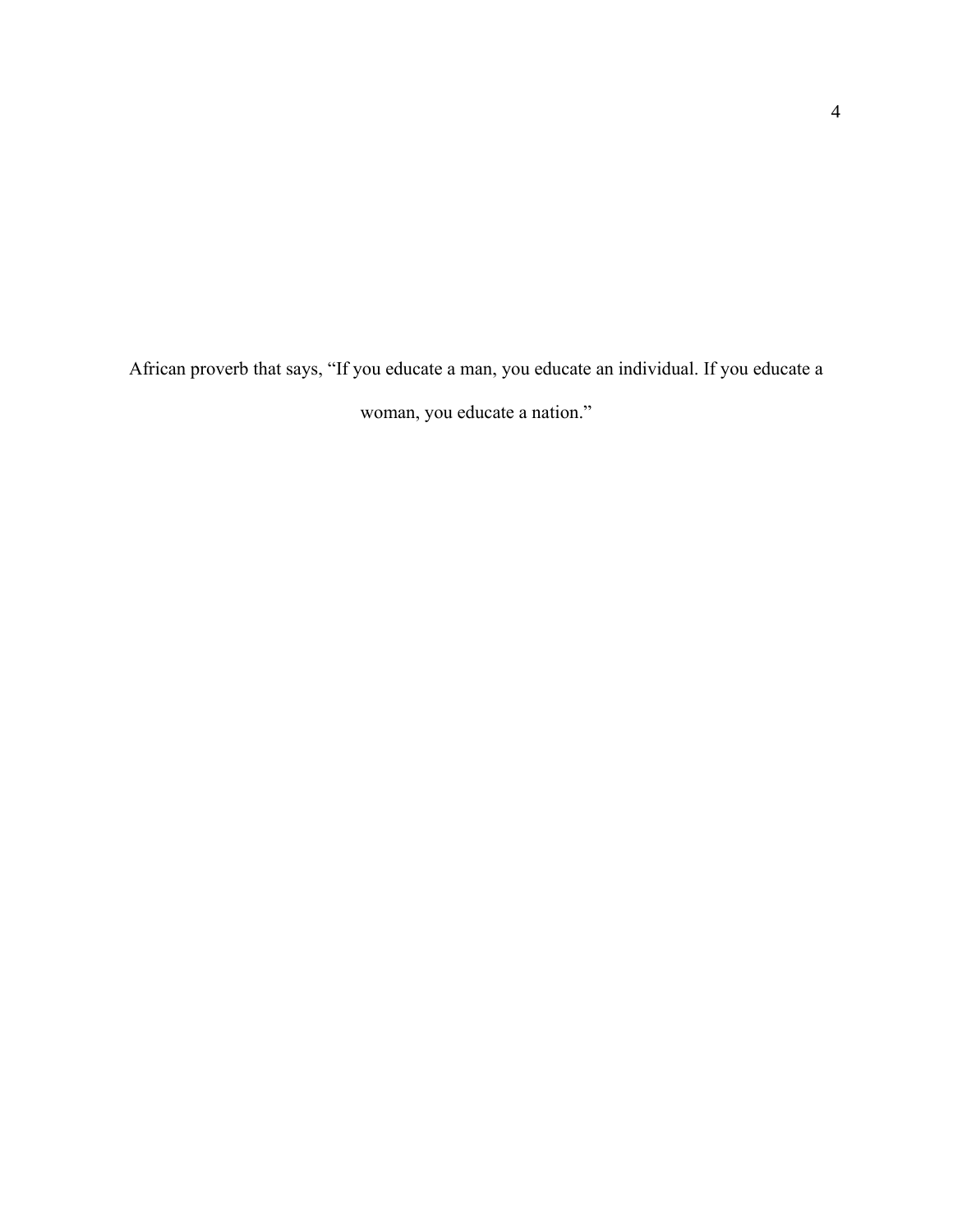African proverb that says, "If you educate a man, you educate an individual. If you educate a

woman, you educate a nation."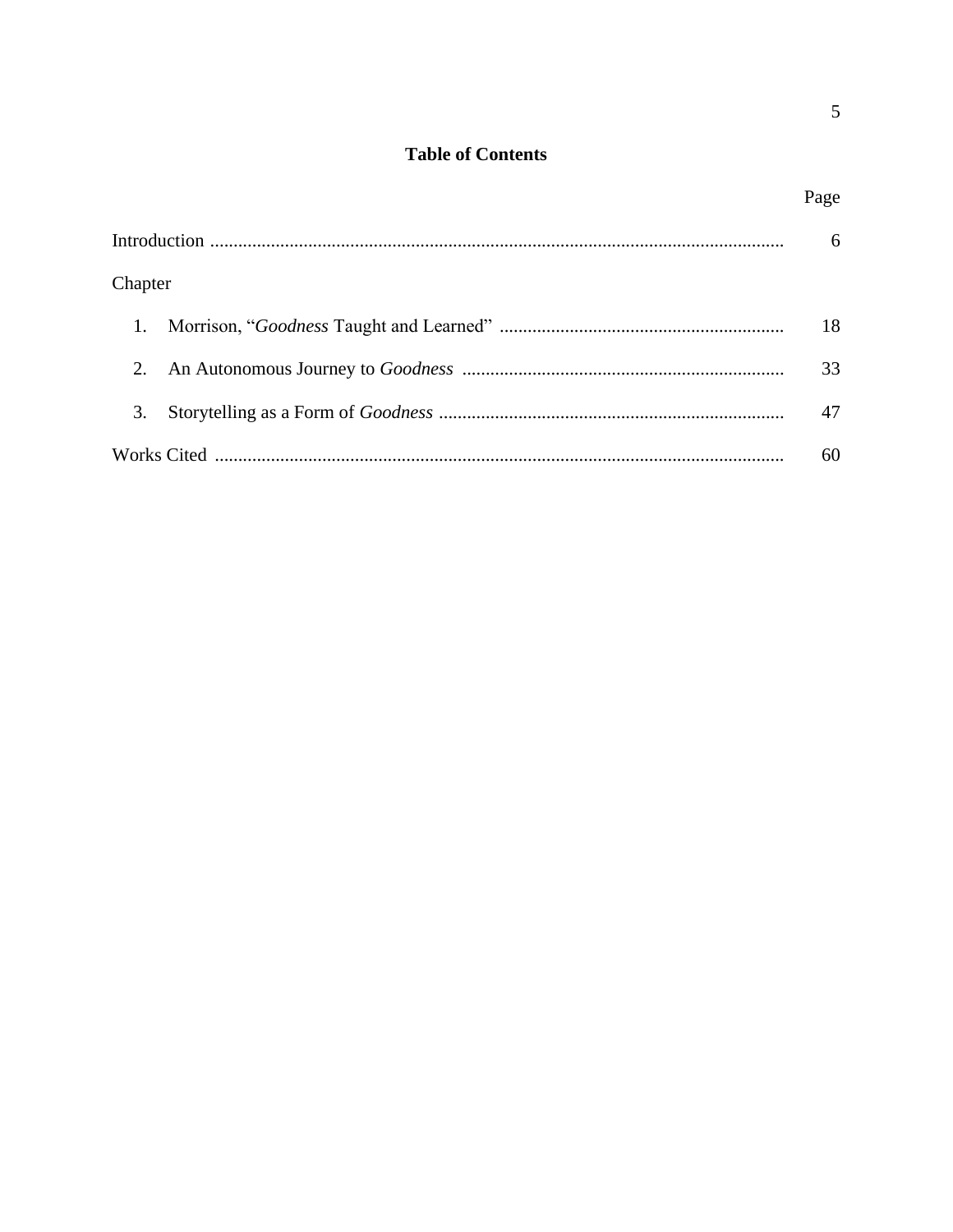## **Table of Contents**

|         | Page |
|---------|------|
|         | 6    |
| Chapter |      |
|         | 18   |
| 2.      | 33   |
| 3.      | 47   |
|         | 60   |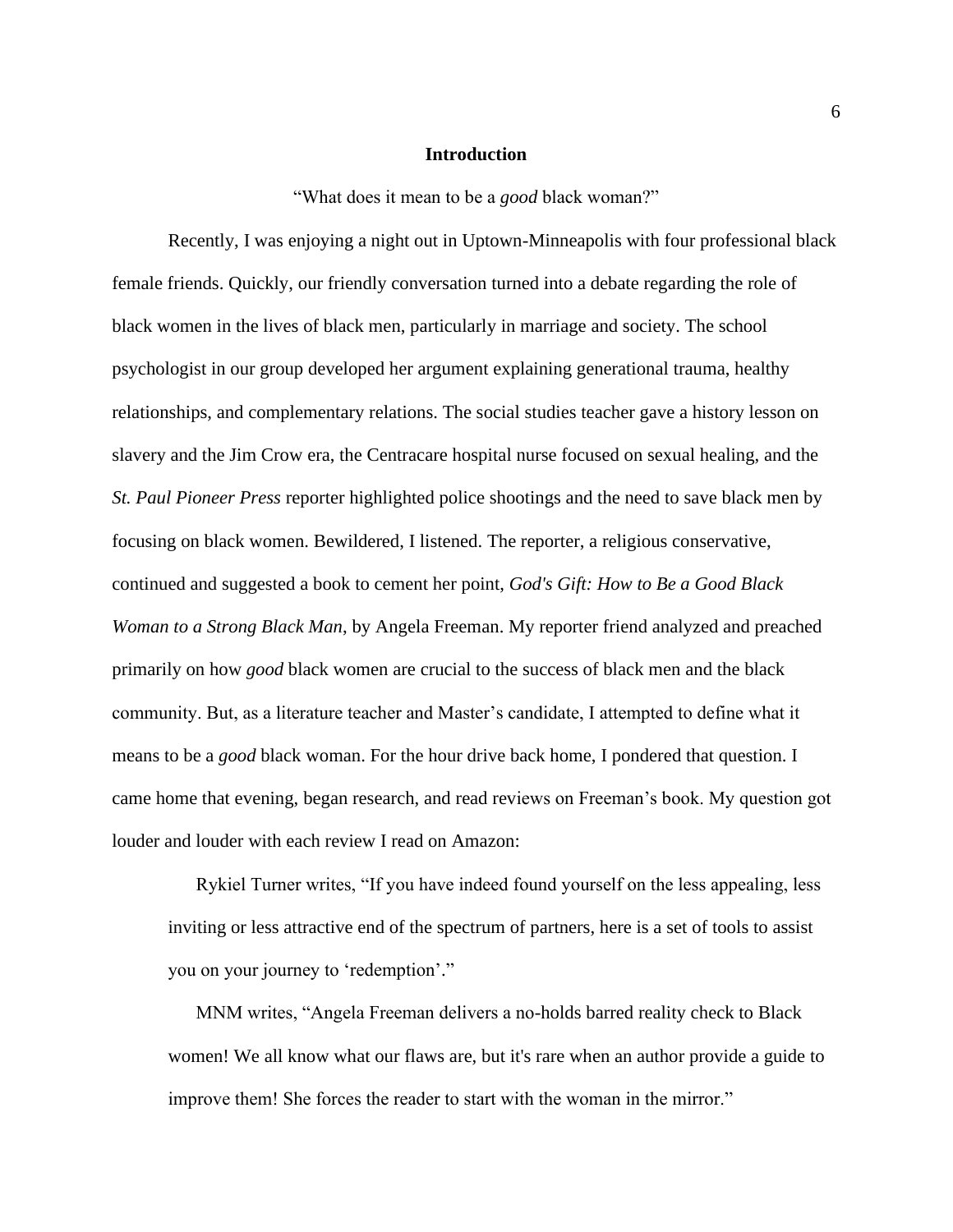### **Introduction**

"What does it mean to be a *good* black woman?"

Recently, I was enjoying a night out in Uptown-Minneapolis with four professional black female friends. Quickly, our friendly conversation turned into a debate regarding the role of black women in the lives of black men, particularly in marriage and society. The school psychologist in our group developed her argument explaining generational trauma, healthy relationships, and complementary relations. The social studies teacher gave a history lesson on slavery and the Jim Crow era, the Centracare hospital nurse focused on sexual healing, and the *St. Paul Pioneer Press* reporter highlighted police shootings and the need to save black men by focusing on black women. Bewildered, I listened. The reporter, a religious conservative, continued and suggested a book to cement her point, *God's Gift: How to Be a Good Black Woman to a Strong Black Man*, by Angela Freeman. My reporter friend analyzed and preached primarily on how *good* black women are crucial to the success of black men and the black community. But, as a literature teacher and Master's candidate, I attempted to define what it means to be a *good* black woman. For the hour drive back home, I pondered that question. I came home that evening, began research, and read reviews on Freeman's book. My question got louder and louder with each review I read on Amazon:

Rykiel Turner writes, "If you have indeed found yourself on the less appealing, less inviting or less attractive end of the spectrum of partners, here is a set of tools to assist you on your journey to 'redemption'."

MNM writes, "Angela Freeman delivers a no-holds barred reality check to Black women! We all know what our flaws are, but it's rare when an author provide a guide to improve them! She forces the reader to start with the woman in the mirror."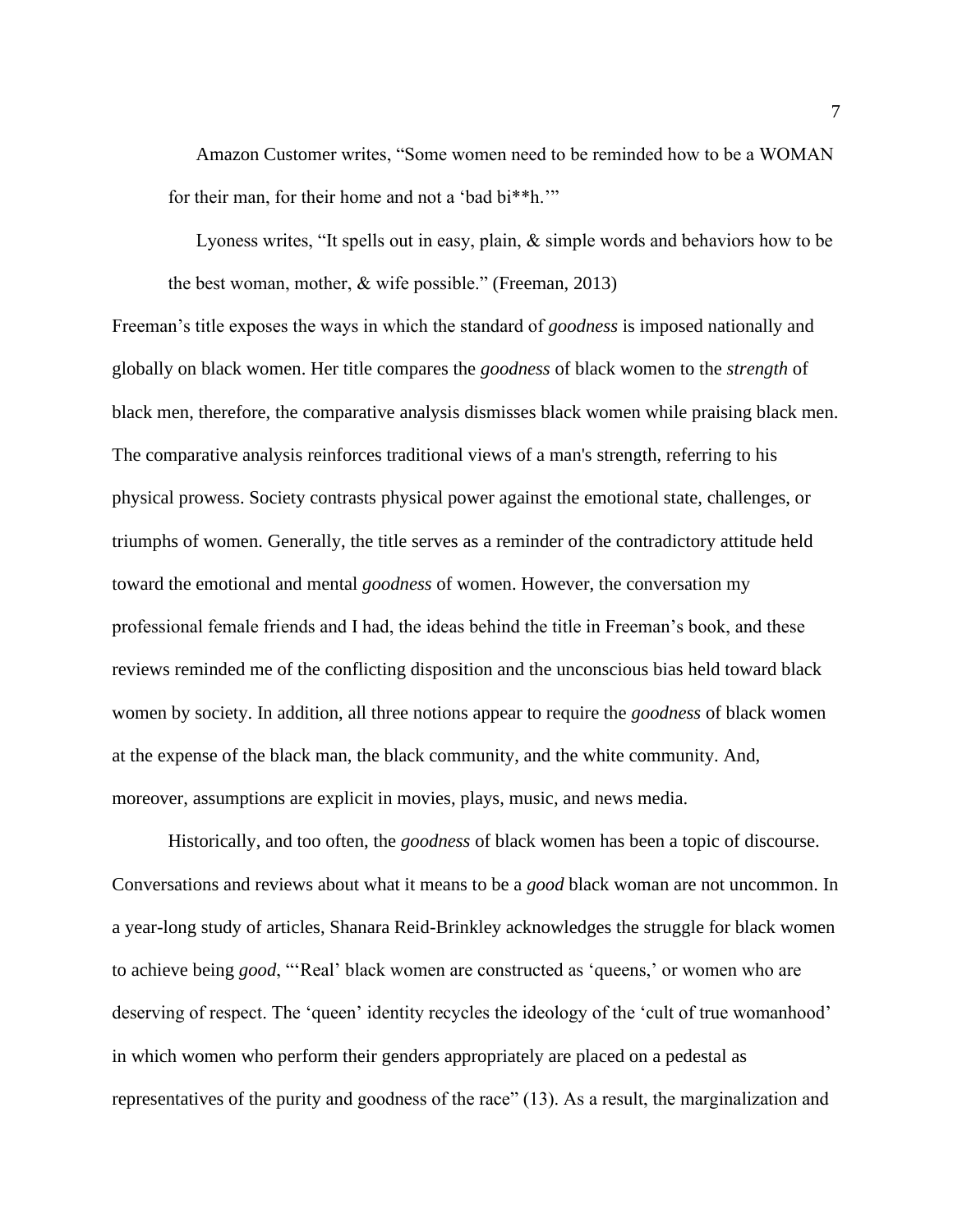Amazon Customer writes, "Some women need to be reminded how to be a WOMAN for their man, for their home and not a 'bad bi\*\*h.'"

Lyoness writes, "It spells out in easy, plain, & simple words and behaviors how to be the best woman, mother, & wife possible." (Freeman, 2013)

Freeman's title exposes the ways in which the standard of *goodness* is imposed nationally and globally on black women. Her title compares the *goodness* of black women to the *strength* of black men, therefore, the comparative analysis dismisses black women while praising black men. The comparative analysis reinforces traditional views of a man's strength, referring to his physical prowess. Society contrasts physical power against the emotional state, challenges, or triumphs of women. Generally, the title serves as a reminder of the contradictory attitude held toward the emotional and mental *goodness* of women. However, the conversation my professional female friends and I had, the ideas behind the title in Freeman's book, and these reviews reminded me of the conflicting disposition and the unconscious bias held toward black women by society. In addition, all three notions appear to require the *goodness* of black women at the expense of the black man, the black community, and the white community. And, moreover, assumptions are explicit in movies, plays, music, and news media.

Historically, and too often, the *goodness* of black women has been a topic of discourse. Conversations and reviews about what it means to be a *good* black woman are not uncommon. In a year-long study of articles, Shanara Reid-Brinkley acknowledges the struggle for black women to achieve being *good*, "'Real' black women are constructed as 'queens,' or women who are deserving of respect. The 'queen' identity recycles the ideology of the 'cult of true womanhood' in which women who perform their genders appropriately are placed on a pedestal as representatives of the purity and goodness of the race" (13). As a result, the marginalization and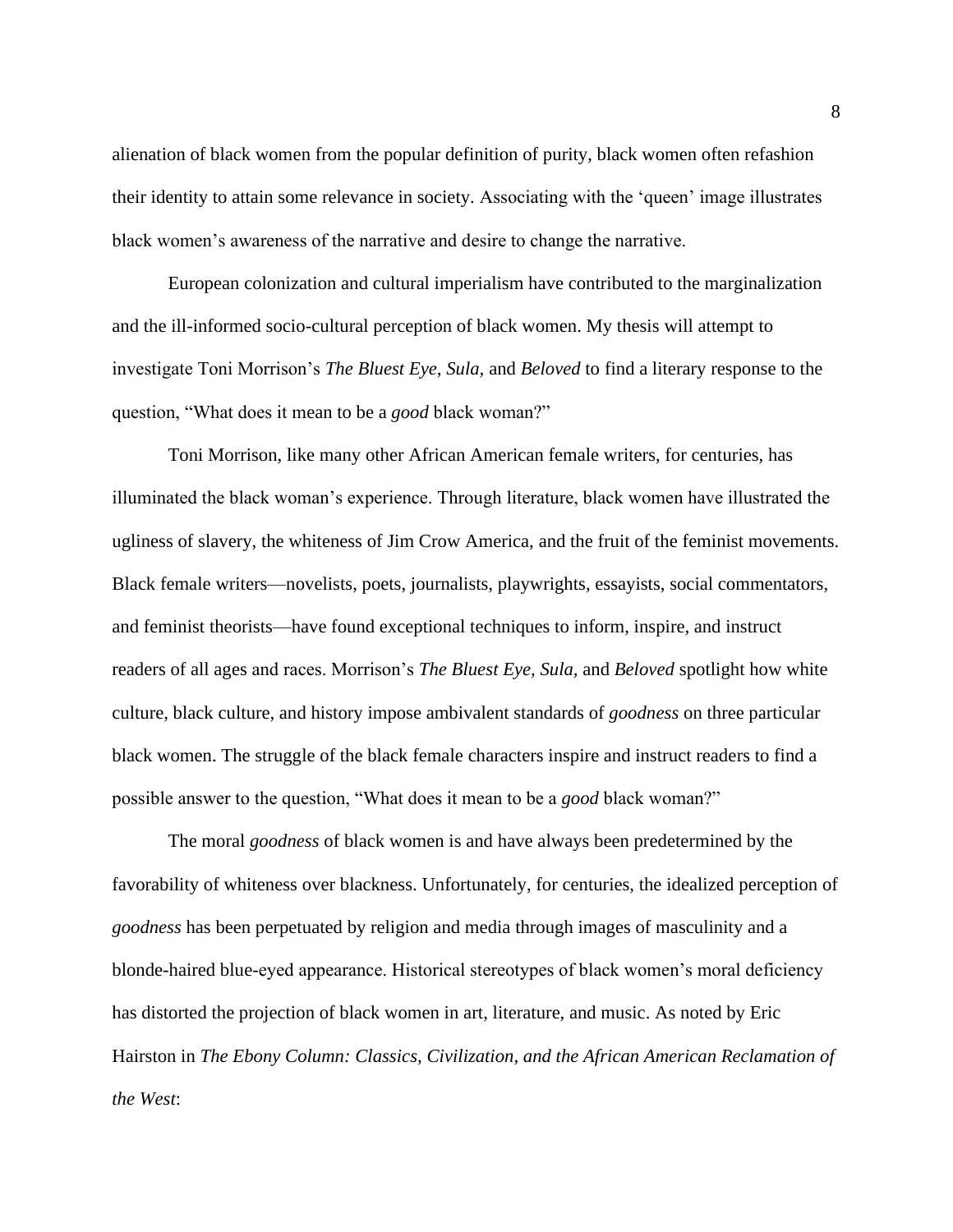alienation of black women from the popular definition of purity, black women often refashion their identity to attain some relevance in society. Associating with the 'queen' image illustrates black women's awareness of the narrative and desire to change the narrative.

European colonization and cultural imperialism have contributed to the marginalization and the ill-informed socio-cultural perception of black women. My thesis will attempt to investigate Toni Morrison's *The Bluest Eye*, *Sula,* and *Beloved* to find a literary response to the question, "What does it mean to be a *good* black woman?"

Toni Morrison, like many other African American female writers, for centuries, has illuminated the black woman's experience. Through literature, black women have illustrated the ugliness of slavery, the whiteness of Jim Crow America, and the fruit of the feminist movements. Black female writers—novelists, poets, journalists, playwrights, essayists, social commentators, and feminist theorists—have found exceptional techniques to inform, inspire, and instruct readers of all ages and races. Morrison's *The Bluest Eye, Sula,* and *Beloved* spotlight how white culture, black culture, and history impose ambivalent standards of *goodness* on three particular black women. The struggle of the black female characters inspire and instruct readers to find a possible answer to the question, "What does it mean to be a *good* black woman?"

The moral *goodness* of black women is and have always been predetermined by the favorability of whiteness over blackness. Unfortunately, for centuries, the idealized perception of *goodness* has been perpetuated by religion and media through images of masculinity and a blonde-haired blue-eyed appearance. Historical stereotypes of black women's moral deficiency has distorted the projection of black women in art, literature, and music. As noted by Eric Hairston in *The Ebony Column: Classics, Civilization, and the African American Reclamation of the West*: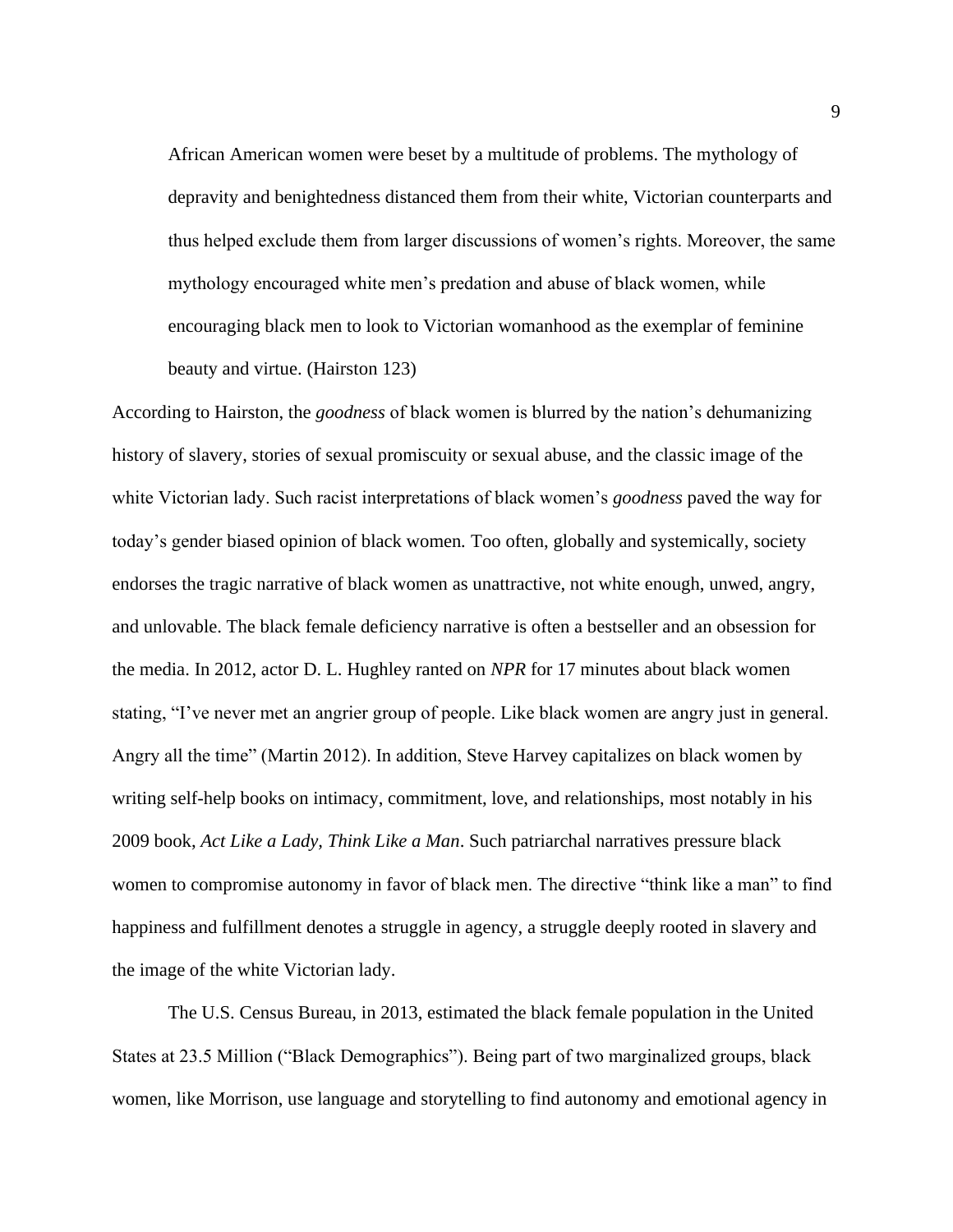African American women were beset by a multitude of problems. The mythology of depravity and benightedness distanced them from their white, Victorian counterparts and thus helped exclude them from larger discussions of women's rights. Moreover, the same mythology encouraged white men's predation and abuse of black women, while encouraging black men to look to Victorian womanhood as the exemplar of feminine beauty and virtue. (Hairston 123)

According to Hairston, the *goodness* of black women is blurred by the nation's dehumanizing history of slavery, stories of sexual promiscuity or sexual abuse, and the classic image of the white Victorian lady. Such racist interpretations of black women's *goodness* paved the way for today's gender biased opinion of black women*.* Too often, globally and systemically, society endorses the tragic narrative of black women as unattractive, not white enough, unwed, angry, and unlovable. The black female deficiency narrative is often a bestseller and an obsession for the media. In 2012, actor D. L. Hughley ranted on *NPR* for 17 minutes about black women stating, "I've never met an angrier group of people. Like black women are angry just in general. Angry all the time" (Martin 2012). In addition, Steve Harvey capitalizes on black women by writing self-help books on intimacy, commitment, love, and relationships, most notably in his 2009 book, *Act Like a Lady, Think Like a Man*. Such patriarchal narratives pressure black women to compromise autonomy in favor of black men. The directive "think like a man" to find happiness and fulfillment denotes a struggle in agency, a struggle deeply rooted in slavery and the image of the white Victorian lady.

The U.S. Census Bureau, in 2013, estimated the black female population in the United States at 23.5 Million ("Black Demographics"). Being part of two marginalized groups, black women, like Morrison, use language and storytelling to find autonomy and emotional agency in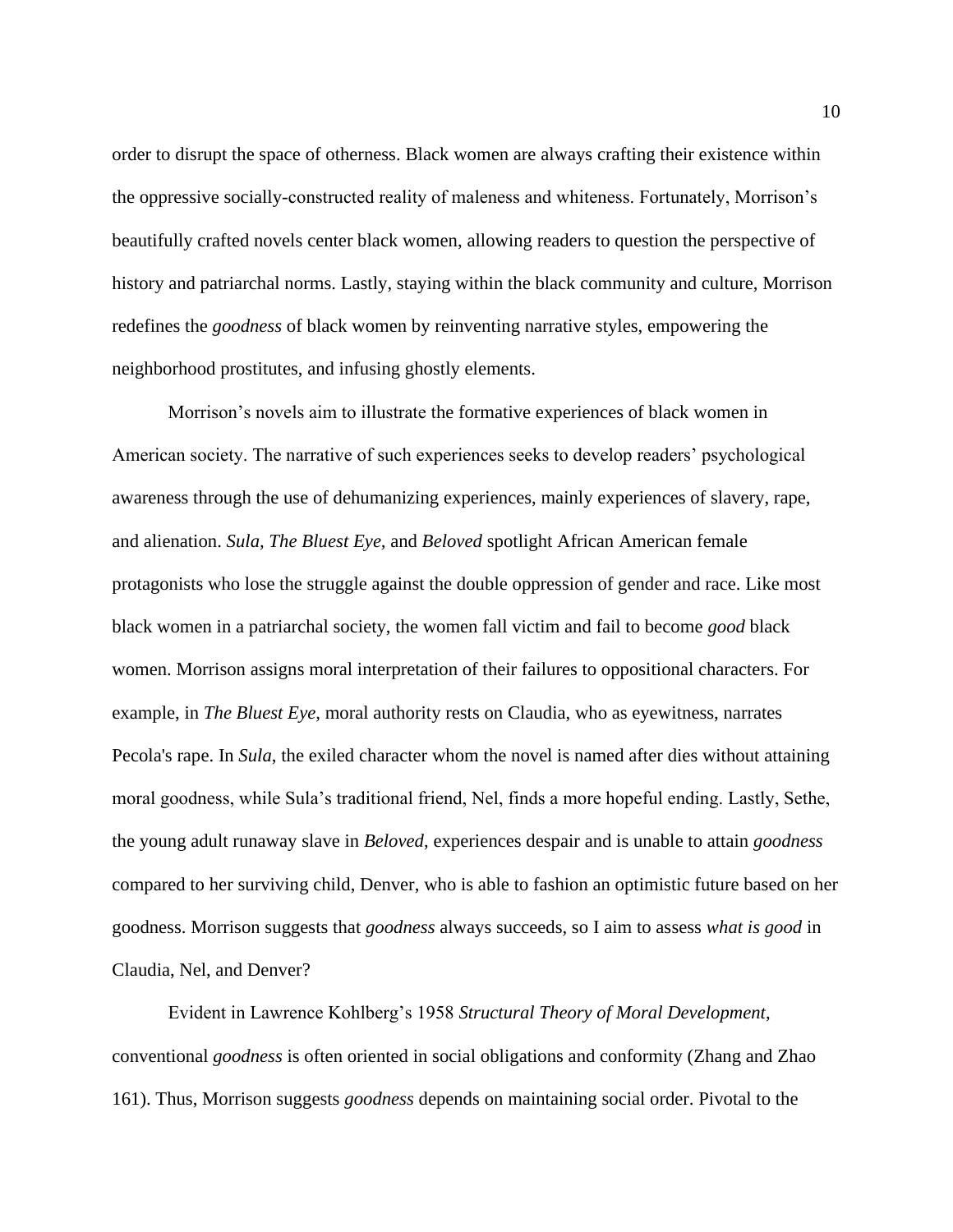order to disrupt the space of otherness. Black women are always crafting their existence within the oppressive socially-constructed reality of maleness and whiteness. Fortunately, Morrison's beautifully crafted novels center black women, allowing readers to question the perspective of history and patriarchal norms. Lastly, staying within the black community and culture, Morrison redefines the *goodness* of black women by reinventing narrative styles, empowering the neighborhood prostitutes, and infusing ghostly elements.

Morrison's novels aim to illustrate the formative experiences of black women in American society. The narrative of such experiences seeks to develop readers' psychological awareness through the use of dehumanizing experiences, mainly experiences of slavery, rape, and alienation. *Sula, The Bluest Eye,* and *Beloved* spotlight African American female protagonists who lose the struggle against the double oppression of gender and race. Like most black women in a patriarchal society, the women fall victim and fail to become *good* black women. Morrison assigns moral interpretation of their failures to oppositional characters. For example, in *The Bluest Eye*, moral authority rests on Claudia, who as eyewitness, narrates Pecola's rape. In *Sula*, the exiled character whom the novel is named after dies without attaining moral goodness, while Sula's traditional friend, Nel, finds a more hopeful ending. Lastly, Sethe, the young adult runaway slave in *Beloved*, experiences despair and is unable to attain *goodness*  compared to her surviving child, Denver, who is able to fashion an optimistic future based on her goodness. Morrison suggests that *goodness* always succeeds, so I aim to assess *what is good* in Claudia, Nel, and Denver?

Evident in Lawrence Kohlberg's 1958 *Structural Theory of Moral Development*, conventional *goodness* is often oriented in social obligations and conformity (Zhang and Zhao 161). Thus, Morrison suggests *goodness* depends on maintaining social order. Pivotal to the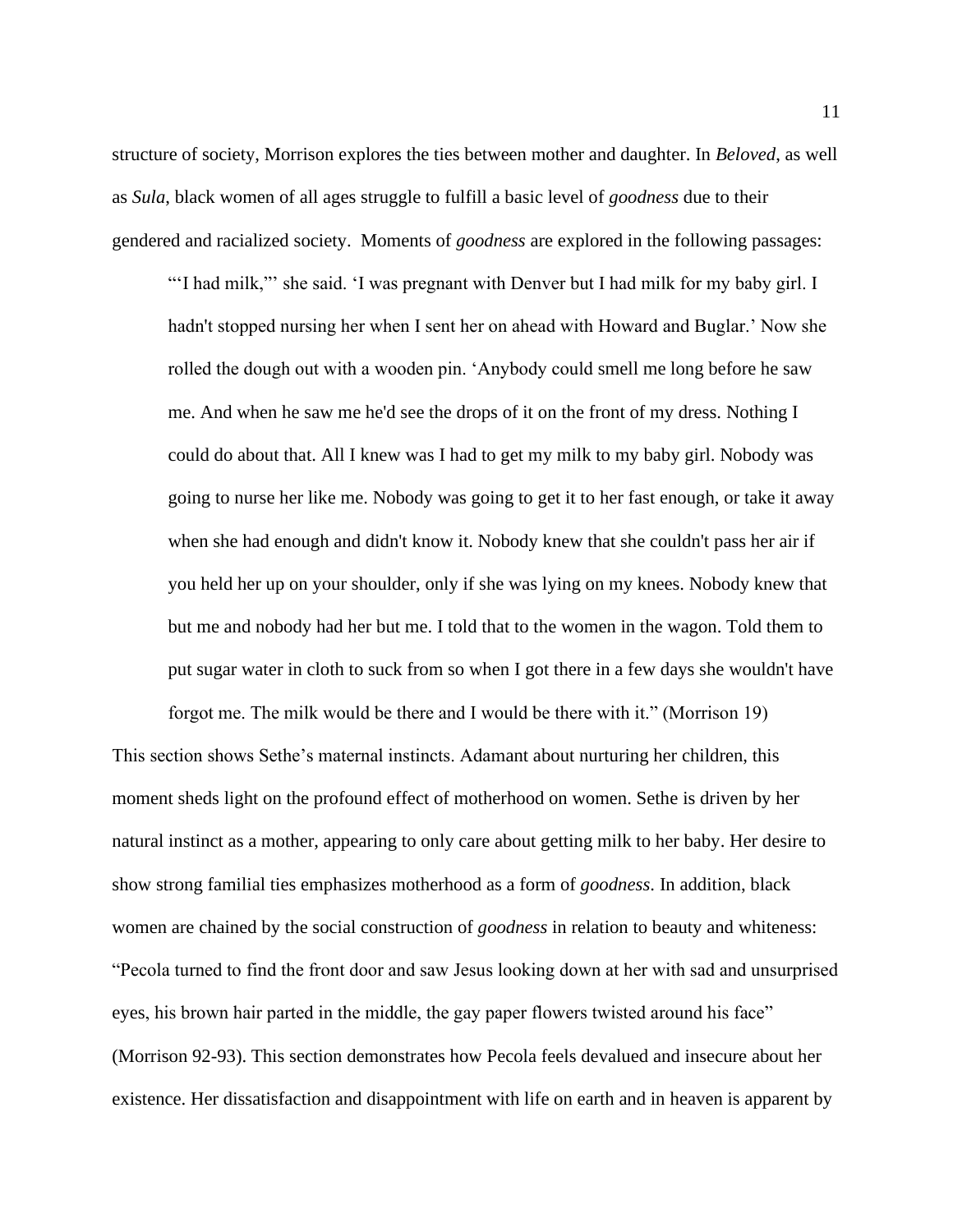structure of society, Morrison explores the ties between mother and daughter. In *Beloved*, as well as *Sula*, black women of all ages struggle to fulfill a basic level of *goodness* due to their gendered and racialized society. Moments of *goodness* are explored in the following passages:

"I had milk," she said. 'I was pregnant with Denver but I had milk for my baby girl. I hadn't stopped nursing her when I sent her on ahead with Howard and Buglar.' Now she rolled the dough out with a wooden pin. 'Anybody could smell me long before he saw me. And when he saw me he'd see the drops of it on the front of my dress. Nothing I could do about that. All I knew was I had to get my milk to my baby girl. Nobody was going to nurse her like me. Nobody was going to get it to her fast enough, or take it away when she had enough and didn't know it. Nobody knew that she couldn't pass her air if you held her up on your shoulder, only if she was lying on my knees. Nobody knew that but me and nobody had her but me. I told that to the women in the wagon. Told them to put sugar water in cloth to suck from so when I got there in a few days she wouldn't have

This section shows Sethe's maternal instincts. Adamant about nurturing her children, this moment sheds light on the profound effect of motherhood on women. Sethe is driven by her natural instinct as a mother, appearing to only care about getting milk to her baby. Her desire to show strong familial ties emphasizes motherhood as a form of *goodness*. In addition, black women are chained by the social construction of *goodness* in relation to beauty and whiteness: "Pecola turned to find the front door and saw Jesus looking down at her with sad and unsurprised eyes, his brown hair parted in the middle, the gay paper flowers twisted around his face" (Morrison 92-93). This section demonstrates how Pecola feels devalued and insecure about her existence. Her dissatisfaction and disappointment with life on earth and in heaven is apparent by

forgot me. The milk would be there and I would be there with it." (Morrison 19)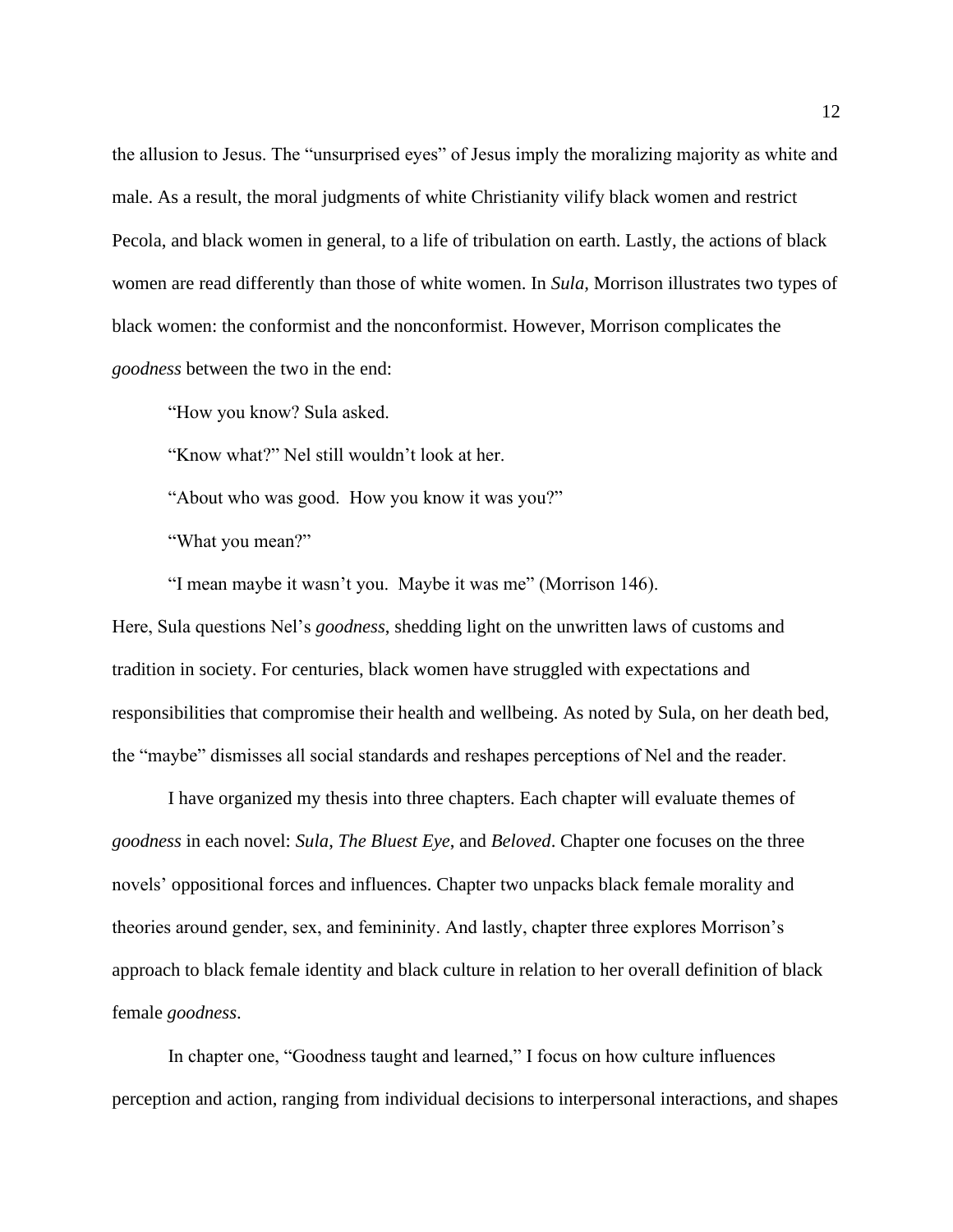the allusion to Jesus. The "unsurprised eyes" of Jesus imply the moralizing majority as white and male. As a result, the moral judgments of white Christianity vilify black women and restrict Pecola, and black women in general, to a life of tribulation on earth. Lastly, the actions of black women are read differently than those of white women. In *Sula,* Morrison illustrates two types of black women: the conformist and the nonconformist. However, Morrison complicates the *goodness* between the two in the end:

"How you know? Sula asked.

"Know what?" Nel still wouldn't look at her.

"About who was good. How you know it was you?"

"What you mean?"

"I mean maybe it wasn't you. Maybe it was me" (Morrison 146).

Here, Sula questions Nel's *goodness*, shedding light on the unwritten laws of customs and tradition in society. For centuries, black women have struggled with expectations and responsibilities that compromise their health and wellbeing. As noted by Sula, on her death bed, the "maybe" dismisses all social standards and reshapes perceptions of Nel and the reader.

I have organized my thesis into three chapters. Each chapter will evaluate themes of *goodness* in each novel: *Sula*, *The Bluest Eye*, and *Beloved*. Chapter one focuses on the three novels' oppositional forces and influences. Chapter two unpacks black female morality and theories around gender, sex, and femininity. And lastly, chapter three explores Morrison's approach to black female identity and black culture in relation to her overall definition of black female *goodness*.

In chapter one, "Goodness taught and learned," I focus on how culture influences perception and action, ranging from individual decisions to interpersonal interactions, and shapes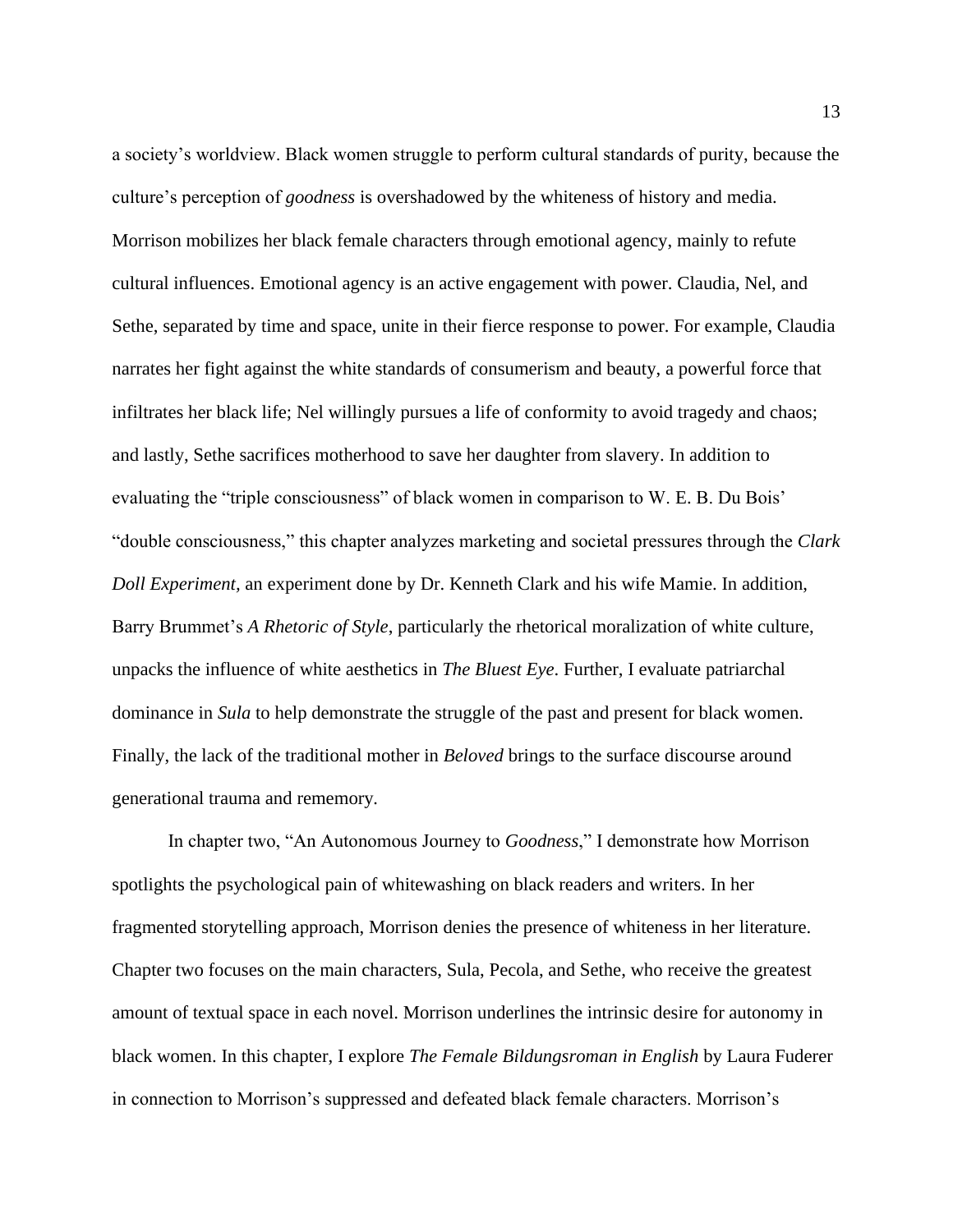a society's worldview. Black women struggle to perform cultural standards of purity, because the culture's perception of *goodness* is overshadowed by the whiteness of history and media. Morrison mobilizes her black female characters through emotional agency, mainly to refute cultural influences. Emotional agency is an active engagement with power. Claudia, Nel, and Sethe, separated by time and space, unite in their fierce response to power. For example, Claudia narrates her fight against the white standards of consumerism and beauty, a powerful force that infiltrates her black life; Nel willingly pursues a life of conformity to avoid tragedy and chaos; and lastly, Sethe sacrifices motherhood to save her daughter from slavery. In addition to evaluating the "triple consciousness" of black women in comparison to W. E. B. Du Bois' "double consciousness," this chapter analyzes marketing and societal pressures through the *Clark Doll Experiment,* an experiment done by Dr. Kenneth Clark and his wife Mamie. In addition, Barry Brummet's *A Rhetoric of Style*, particularly the rhetorical moralization of white culture, unpacks the influence of white aesthetics in *The Bluest Eye*. Further, I evaluate patriarchal dominance in *Sula* to help demonstrate the struggle of the past and present for black women. Finally, the lack of the traditional mother in *Beloved* brings to the surface discourse around generational trauma and rememory*.* 

In chapter two, "An Autonomous Journey to *Goodness*," I demonstrate how Morrison spotlights the psychological pain of whitewashing on black readers and writers. In her fragmented storytelling approach, Morrison denies the presence of whiteness in her literature. Chapter two focuses on the main characters, Sula, Pecola, and Sethe, who receive the greatest amount of textual space in each novel. Morrison underlines the intrinsic desire for autonomy in black women. In this chapter, I explore *The Female Bildungsroman in English* by Laura Fuderer in connection to Morrison's suppressed and defeated black female characters. Morrison's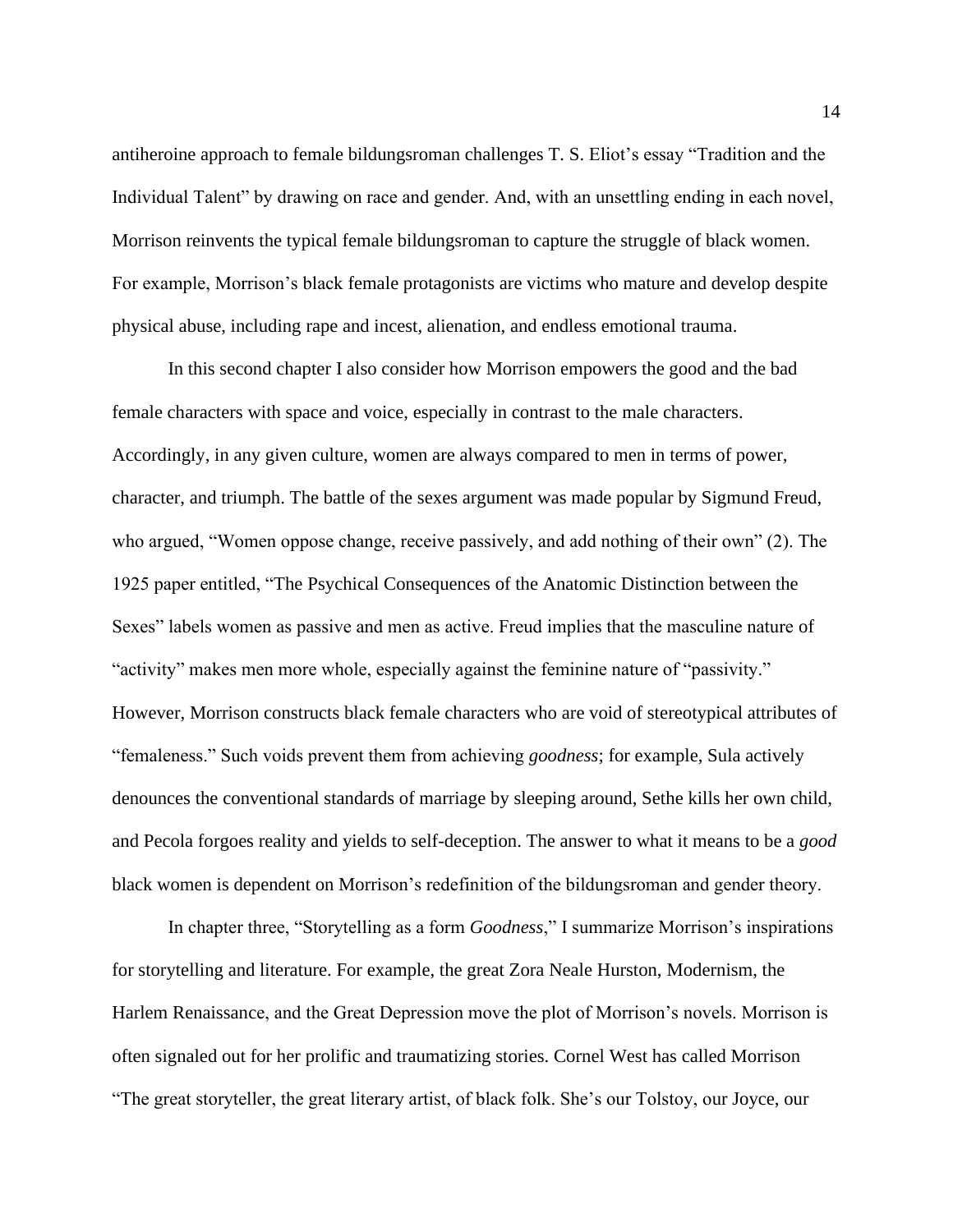antiheroine approach to female bildungsroman challenges T. S. Eliot's essay "Tradition and the Individual Talent" by drawing on race and gender. And, with an unsettling ending in each novel, Morrison reinvents the typical female bildungsroman to capture the struggle of black women. For example, Morrison's black female protagonists are victims who mature and develop despite physical abuse, including rape and incest, alienation, and endless emotional trauma.

In this second chapter I also consider how Morrison empowers the good and the bad female characters with space and voice, especially in contrast to the male characters. Accordingly, in any given culture, women are always compared to men in terms of power, character, and triumph. The battle of the sexes argument was made popular by Sigmund Freud, who argued, "Women oppose change, receive passively, and add nothing of their own" (2). The 1925 paper entitled, "The Psychical Consequences of the Anatomic Distinction between the Sexes" labels women as passive and men as active. Freud implies that the masculine nature of "activity" makes men more whole, especially against the feminine nature of "passivity." However, Morrison constructs black female characters who are void of stereotypical attributes of "femaleness." Such voids prevent them from achieving *goodness*; for example, Sula actively denounces the conventional standards of marriage by sleeping around, Sethe kills her own child, and Pecola forgoes reality and yields to self-deception. The answer to what it means to be a *good*  black women is dependent on Morrison's redefinition of the bildungsroman and gender theory.

In chapter three, "Storytelling as a form *Goodness*," I summarize Morrison's inspirations for storytelling and literature. For example, the great Zora Neale Hurston, Modernism, the Harlem Renaissance, and the Great Depression move the plot of Morrison's novels. Morrison is often signaled out for her prolific and traumatizing stories. Cornel West has called Morrison "The great storyteller, the great literary artist, of black folk. She's our Tolstoy, our Joyce, our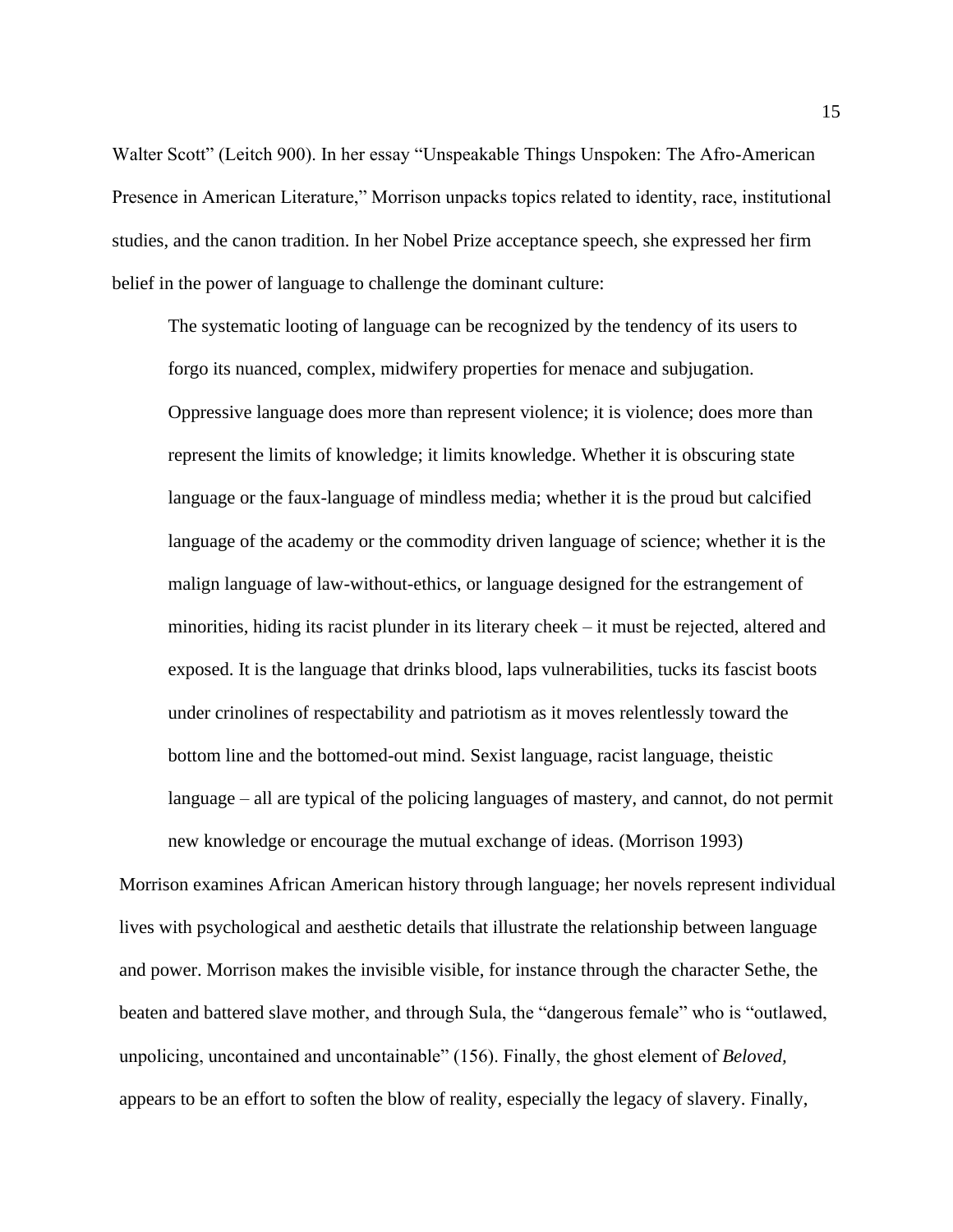Walter Scott" (Leitch 900). In her essay "Unspeakable Things Unspoken: The Afro-American Presence in American Literature," Morrison unpacks topics related to identity, race, institutional studies, and the canon tradition. In her Nobel Prize acceptance speech, she expressed her firm belief in the power of language to challenge the dominant culture:

The systematic looting of language can be recognized by the tendency of its users to forgo its nuanced, complex, midwifery properties for menace and subjugation. Oppressive language does more than represent violence; it is violence; does more than represent the limits of knowledge; it limits knowledge. Whether it is obscuring state language or the faux-language of mindless media; whether it is the proud but calcified language of the academy or the commodity driven language of science; whether it is the malign language of law-without-ethics, or language designed for the estrangement of minorities, hiding its racist plunder in its literary cheek – it must be rejected, altered and exposed. It is the language that drinks blood, laps vulnerabilities, tucks its fascist boots under crinolines of respectability and patriotism as it moves relentlessly toward the bottom line and the bottomed-out mind. Sexist language, racist language, theistic language – all are typical of the policing languages of mastery, and cannot, do not permit new knowledge or encourage the mutual exchange of ideas. (Morrison 1993)

Morrison examines African American history through language; her novels represent individual lives with psychological and aesthetic details that illustrate the relationship between language and power. Morrison makes the invisible visible, for instance through the character Sethe, the beaten and battered slave mother, and through Sula, the "dangerous female" who is "outlawed, unpolicing, uncontained and uncontainable" (156). Finally, the ghost element of *Beloved,*  appears to be an effort to soften the blow of reality, especially the legacy of slavery. Finally,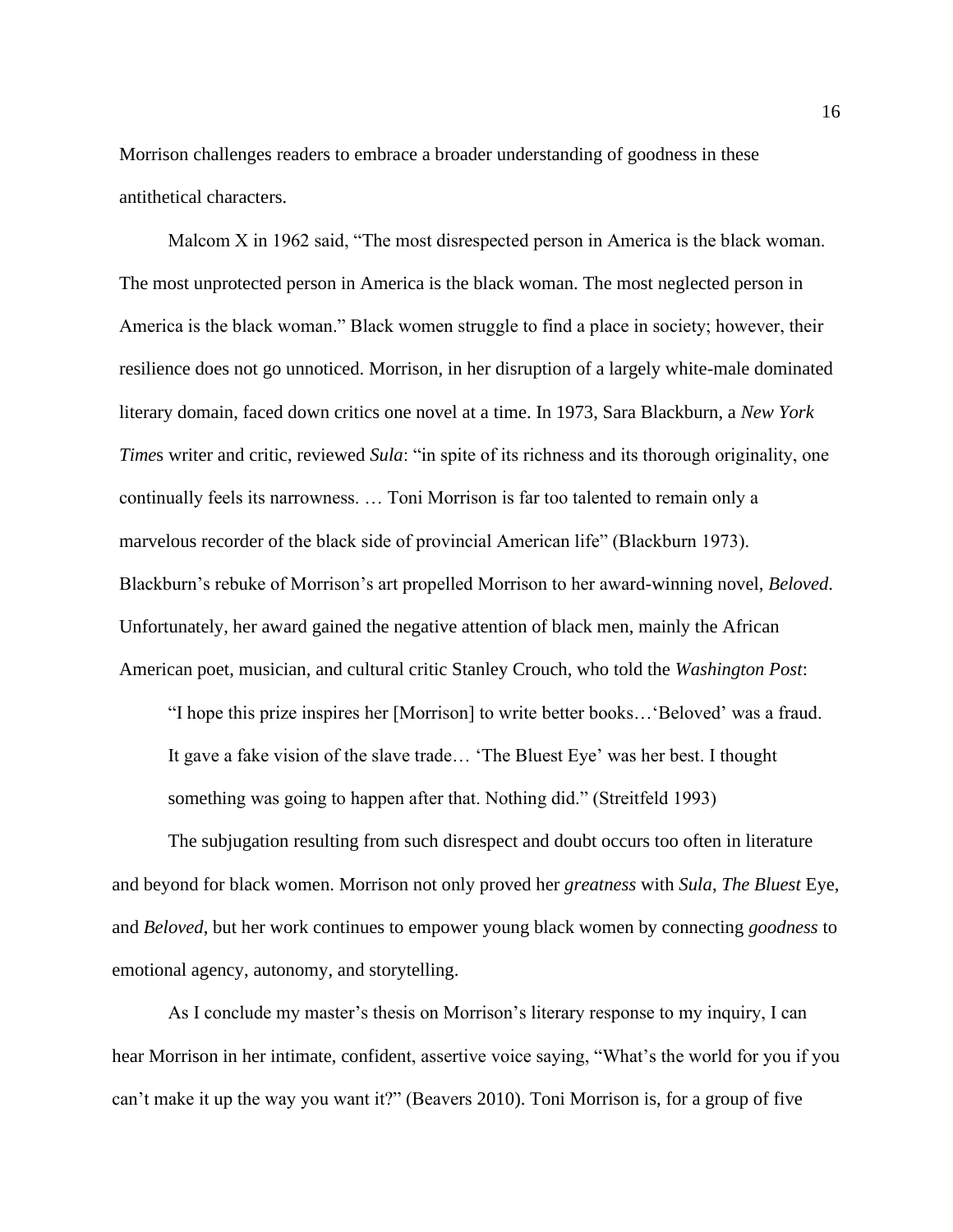Morrison challenges readers to embrace a broader understanding of goodness in these antithetical characters.

Malcom X in 1962 said, "The most disrespected person in America is the black woman. The most unprotected person in America is the black woman. The most neglected person in America is the black woman." Black women struggle to find a place in society; however, their resilience does not go unnoticed. Morrison, in her disruption of a largely white-male dominated literary domain, faced down critics one novel at a time. In 1973, Sara Blackburn, a *New York Time*s writer and critic, reviewed *Sula*: "in spite of its richness and its thorough originality, one continually feels its narrowness. … Toni Morrison is far too talented to remain only a marvelous recorder of the black side of provincial American life" (Blackburn 1973). Blackburn's rebuke of Morrison's art propelled Morrison to her award-winning novel, *Beloved*. Unfortunately, her award gained the negative attention of black men, mainly the African American poet, musician, and cultural critic Stanley Crouch, who told the *Washington Post*:

"I hope this prize inspires her [Morrison] to write better books…'Beloved' was a fraud. It gave a fake vision of the slave trade… 'The Bluest Eye' was her best. I thought something was going to happen after that. Nothing did." (Streitfeld 1993)

The subjugation resulting from such disrespect and doubt occurs too often in literature and beyond for black women. Morrison not only proved her *greatness* with *Sula*, *The Bluest* Eye, and *Beloved*, but her work continues to empower young black women by connecting *goodness* to emotional agency, autonomy, and storytelling.

As I conclude my master's thesis on Morrison's literary response to my inquiry, I can hear Morrison in her intimate, confident, assertive voice saying, "What's the world for you if you can't make it up the way you want it?" (Beavers 2010). Toni Morrison is, for a group of five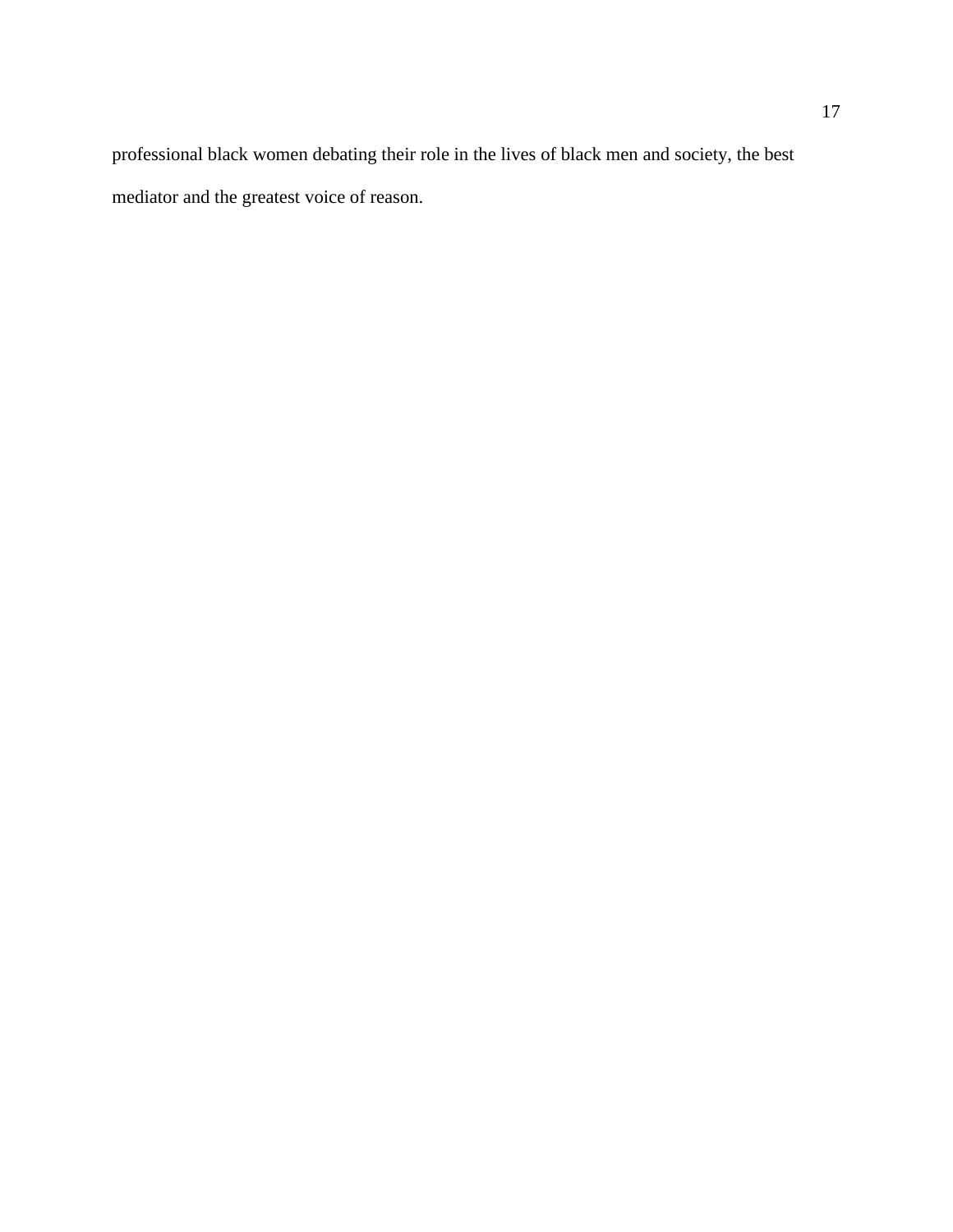professional black women debating their role in the lives of black men and society, the best mediator and the greatest voice of reason.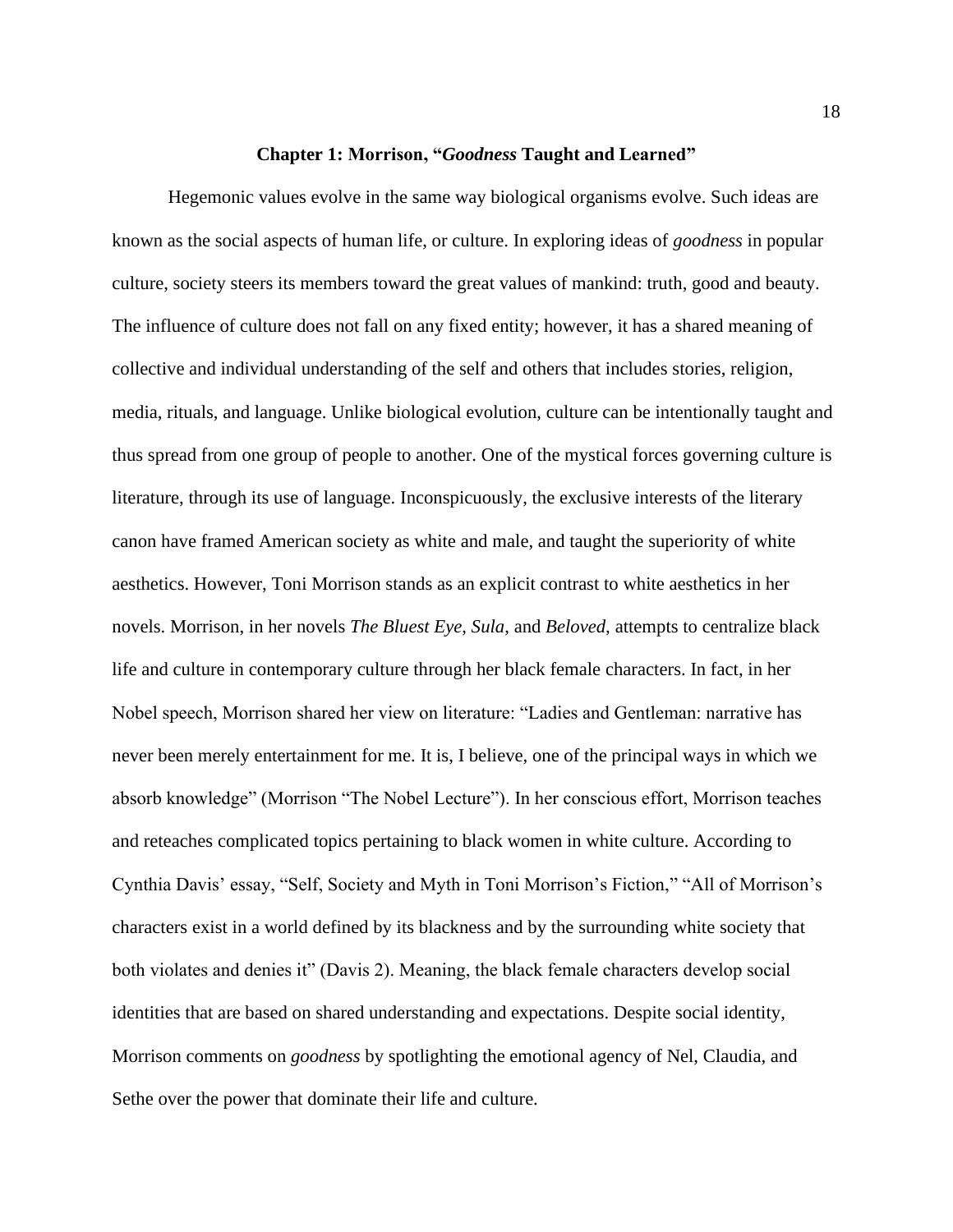### **Chapter 1: Morrison, "***Goodness* **Taught and Learned"**

Hegemonic values evolve in the same way biological organisms evolve. Such ideas are known as the social aspects of human life, or culture. In exploring ideas of *goodness* in popular culture, society steers its members toward the great values of mankind: truth, good and beauty. The influence of culture does not fall on any fixed entity; however, it has a shared meaning of collective and individual understanding of the self and others that includes stories, religion, media, rituals, and language. Unlike biological evolution, culture can be intentionally taught and thus spread from one group of people to another. One of the mystical forces governing culture is literature, through its use of language. Inconspicuously, the exclusive interests of the literary canon have framed American society as white and male, and taught the superiority of white aesthetics. However, Toni Morrison stands as an explicit contrast to white aesthetics in her novels. Morrison, in her novels *The Bluest Eye*, *Sula*, and *Beloved,* attempts to centralize black life and culture in contemporary culture through her black female characters. In fact, in her Nobel speech, Morrison shared her view on literature: "Ladies and Gentleman: narrative has never been merely entertainment for me. It is, I believe, one of the principal ways in which we absorb knowledge" (Morrison "The Nobel Lecture"). In her conscious effort, Morrison teaches and reteaches complicated topics pertaining to black women in white culture. According to Cynthia Davis' essay, "Self, Society and Myth in Toni Morrison's Fiction," "All of Morrison's characters exist in a world defined by its blackness and by the surrounding white society that both violates and denies it" (Davis 2). Meaning, the black female characters develop social identities that are based on shared understanding and expectations. Despite social identity, Morrison comments on *goodness* by spotlighting the emotional agency of Nel, Claudia, and Sethe over the power that dominate their life and culture.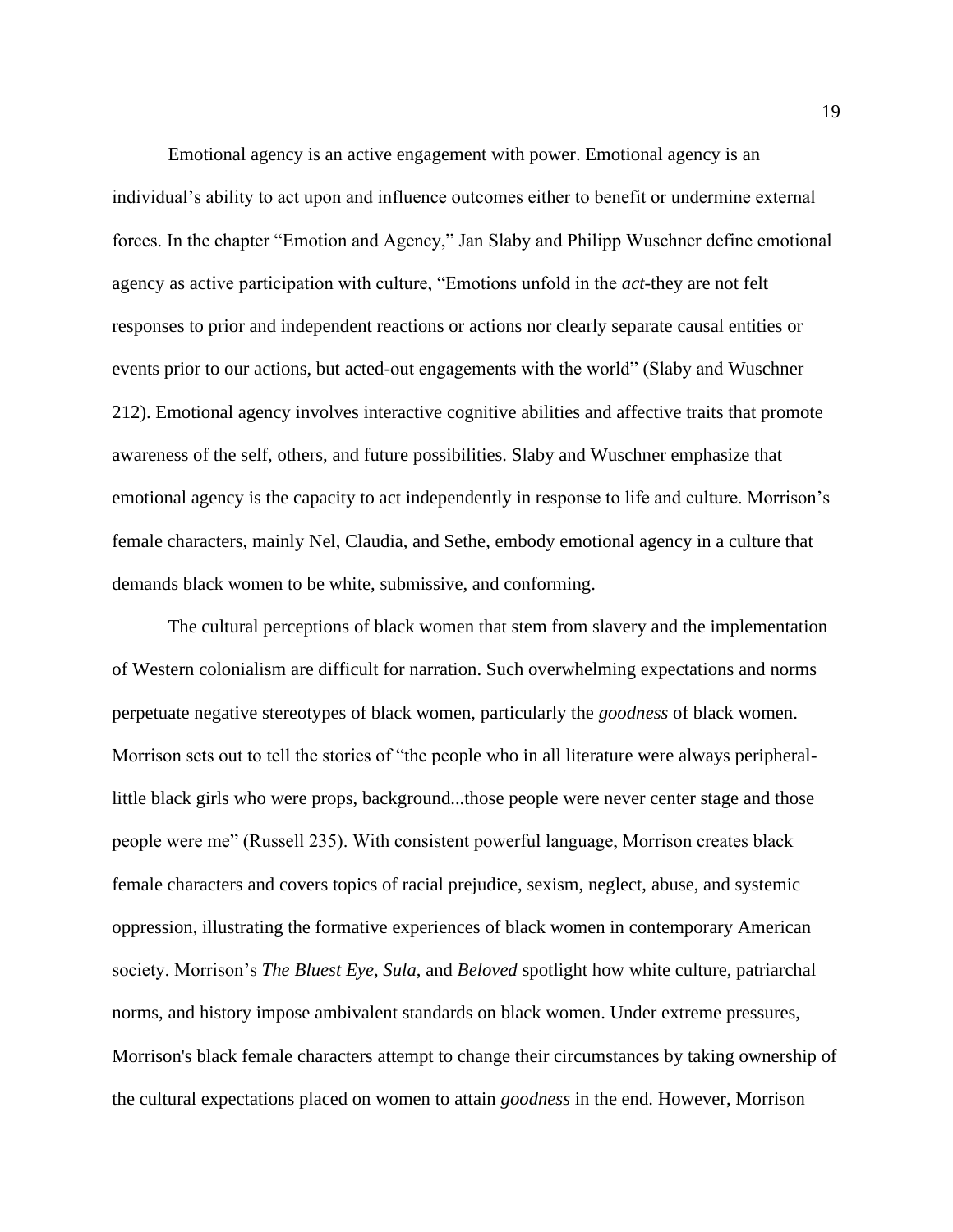Emotional agency is an active engagement with power. Emotional agency is an individual's ability to act upon and influence outcomes either to benefit or undermine external forces. In the chapter "Emotion and Agency," Jan Slaby and Philipp Wuschner define emotional agency as active participation with culture, "Emotions unfold in the *act*-they are not felt responses to prior and independent reactions or actions nor clearly separate causal entities or events prior to our actions, but acted-out engagements with the world" (Slaby and Wuschner 212). Emotional agency involves interactive cognitive abilities and affective traits that promote awareness of the self, others, and future possibilities. Slaby and Wuschner emphasize that emotional agency is the capacity to act independently in response to life and culture. Morrison's female characters, mainly Nel, Claudia, and Sethe, embody emotional agency in a culture that demands black women to be white, submissive, and conforming.

The cultural perceptions of black women that stem from slavery and the implementation of Western colonialism are difficult for narration. Such overwhelming expectations and norms perpetuate negative stereotypes of black women, particularly the *goodness* of black women. Morrison sets out to tell the stories of "the people who in all literature were always peripherallittle black girls who were props, background...those people were never center stage and those people were me" (Russell 235). With consistent powerful language, Morrison creates black female characters and covers topics of racial prejudice, sexism, neglect, abuse, and systemic oppression, illustrating the formative experiences of black women in contemporary American society. Morrison's *The Bluest Eye*, *Sula*, and *Beloved* spotlight how white culture, patriarchal norms, and history impose ambivalent standards on black women. Under extreme pressures, Morrison's black female characters attempt to change their circumstances by taking ownership of the cultural expectations placed on women to attain *goodness* in the end. However, Morrison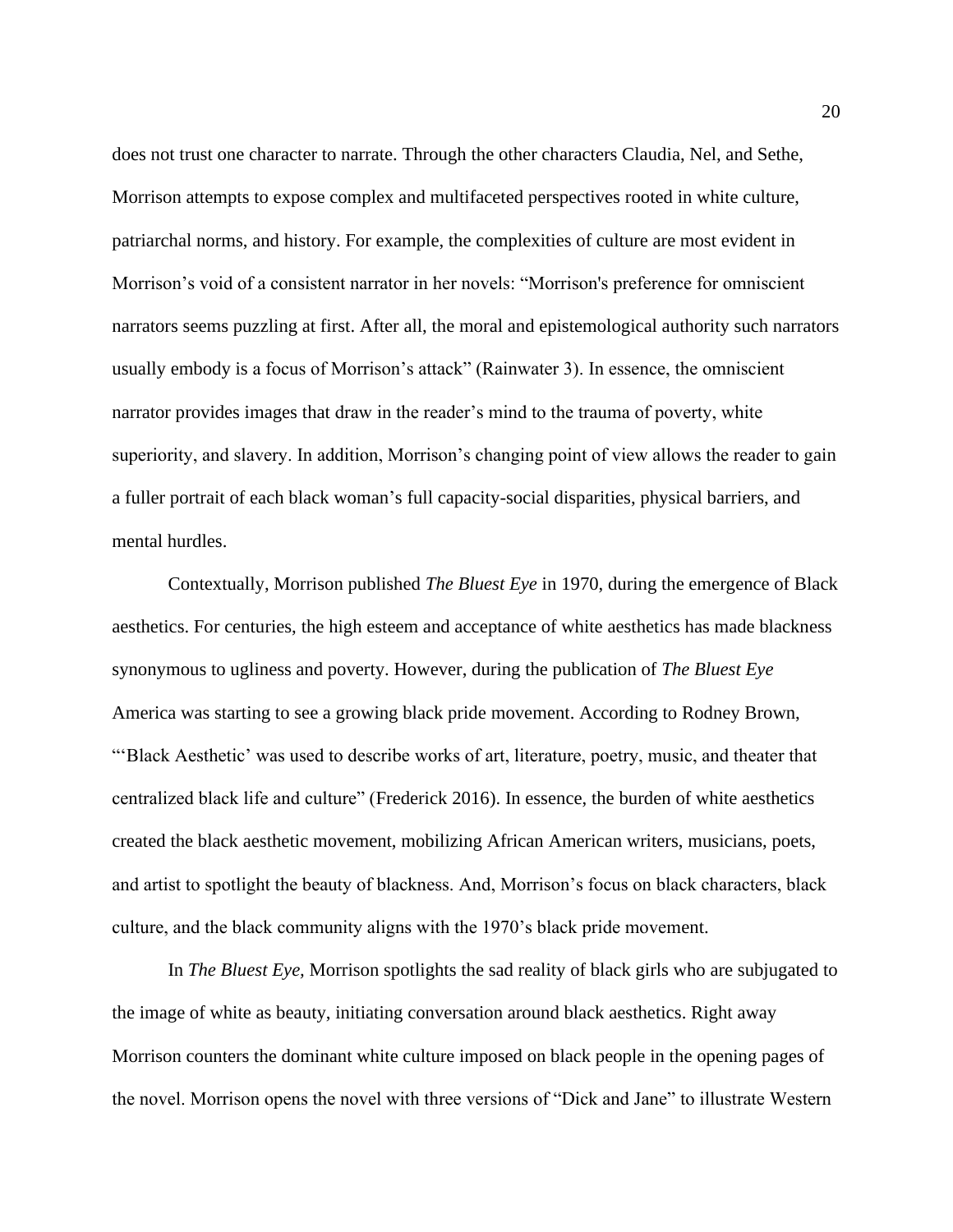does not trust one character to narrate. Through the other characters Claudia, Nel, and Sethe, Morrison attempts to expose complex and multifaceted perspectives rooted in white culture, patriarchal norms, and history. For example, the complexities of culture are most evident in Morrison's void of a consistent narrator in her novels: "Morrison's preference for omniscient narrators seems puzzling at first. After all, the moral and epistemological authority such narrators usually embody is a focus of Morrison's attack" (Rainwater 3). In essence, the omniscient narrator provides images that draw in the reader's mind to the trauma of poverty, white superiority, and slavery. In addition, Morrison's changing point of view allows the reader to gain a fuller portrait of each black woman's full capacity-social disparities, physical barriers, and mental hurdles.

Contextually, Morrison published *The Bluest Eye* in 1970, during the emergence of Black aesthetics. For centuries, the high esteem and acceptance of white aesthetics has made blackness synonymous to ugliness and poverty. However, during the publication of *The Bluest Eye* America was starting to see a growing black pride movement. According to Rodney Brown, "'Black Aesthetic' was used to describe works of art, literature, poetry, music, and theater that centralized black life and culture" (Frederick 2016). In essence, the burden of white aesthetics created the black aesthetic movement, mobilizing African American writers, musicians, poets, and artist to spotlight the beauty of blackness. And, Morrison's focus on black characters, black culture, and the black community aligns with the 1970's black pride movement.

In *The Bluest Eye,* Morrison spotlights the sad reality of black girls who are subjugated to the image of white as beauty, initiating conversation around black aesthetics. Right away Morrison counters the dominant white culture imposed on black people in the opening pages of the novel. Morrison opens the novel with three versions of "Dick and Jane" to illustrate Western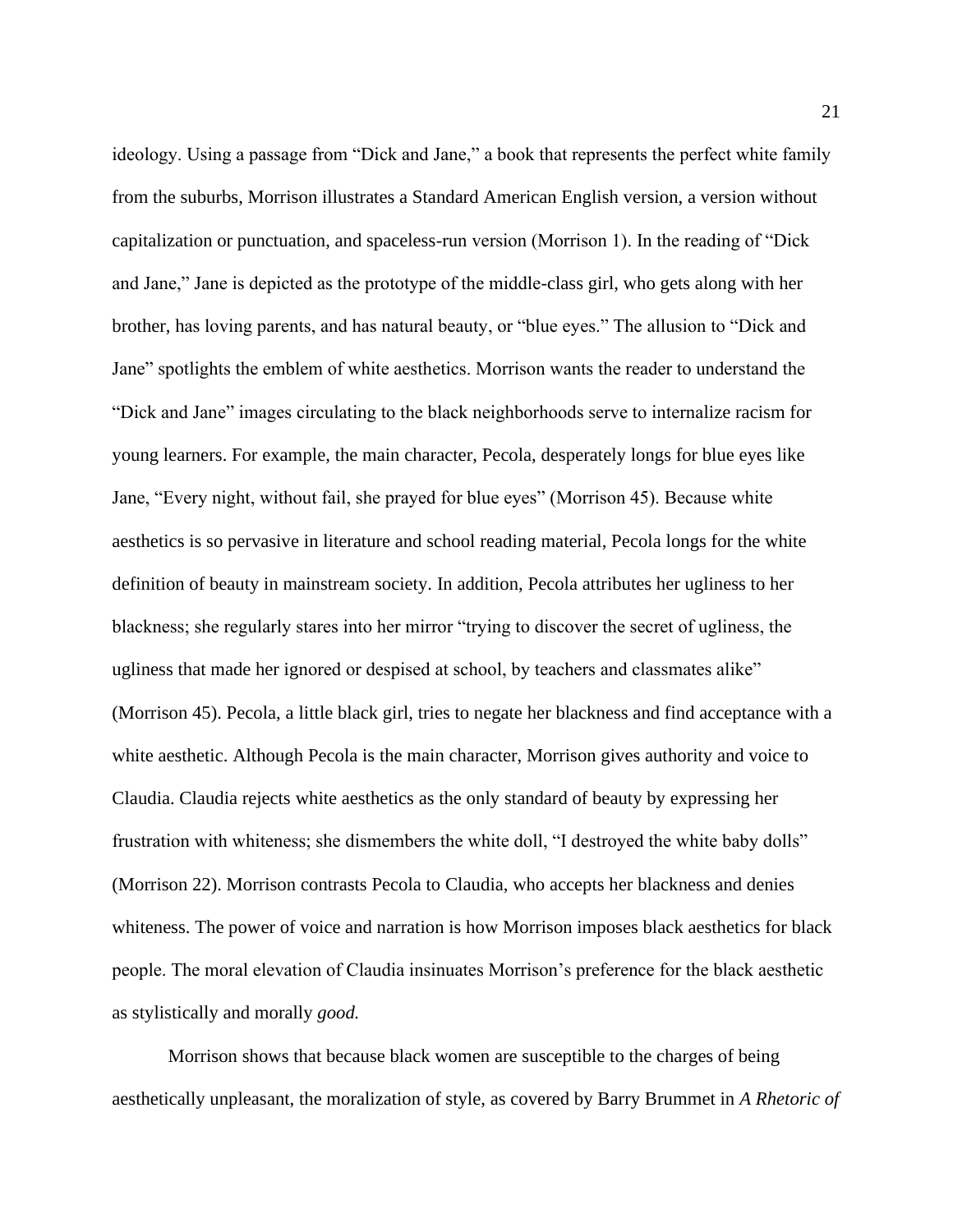ideology. Using a passage from "Dick and Jane," a book that represents the perfect white family from the suburbs, Morrison illustrates a Standard American English version, a version without capitalization or punctuation, and spaceless-run version (Morrison 1). In the reading of "Dick and Jane," Jane is depicted as the prototype of the middle-class girl, who gets along with her brother, has loving parents, and has natural beauty, or "blue eyes." The allusion to "Dick and Jane" spotlights the emblem of white aesthetics. Morrison wants the reader to understand the "Dick and Jane" images circulating to the black neighborhoods serve to internalize racism for young learners. For example, the main character, Pecola, desperately longs for blue eyes like Jane, "Every night, without fail, she prayed for blue eyes" (Morrison 45). Because white aesthetics is so pervasive in literature and school reading material, Pecola longs for the white definition of beauty in mainstream society. In addition, Pecola attributes her ugliness to her blackness; she regularly stares into her mirror "trying to discover the secret of ugliness, the ugliness that made her ignored or despised at school, by teachers and classmates alike" (Morrison 45). Pecola, a little black girl, tries to negate her blackness and find acceptance with a white aesthetic. Although Pecola is the main character, Morrison gives authority and voice to Claudia. Claudia rejects white aesthetics as the only standard of beauty by expressing her frustration with whiteness; she dismembers the white doll, "I destroyed the white baby dolls" (Morrison 22). Morrison contrasts Pecola to Claudia, who accepts her blackness and denies whiteness. The power of voice and narration is how Morrison imposes black aesthetics for black people. The moral elevation of Claudia insinuates Morrison's preference for the black aesthetic as stylistically and morally *good.*

Morrison shows that because black women are susceptible to the charges of being aesthetically unpleasant, the moralization of style, as covered by Barry Brummet in *A Rhetoric of*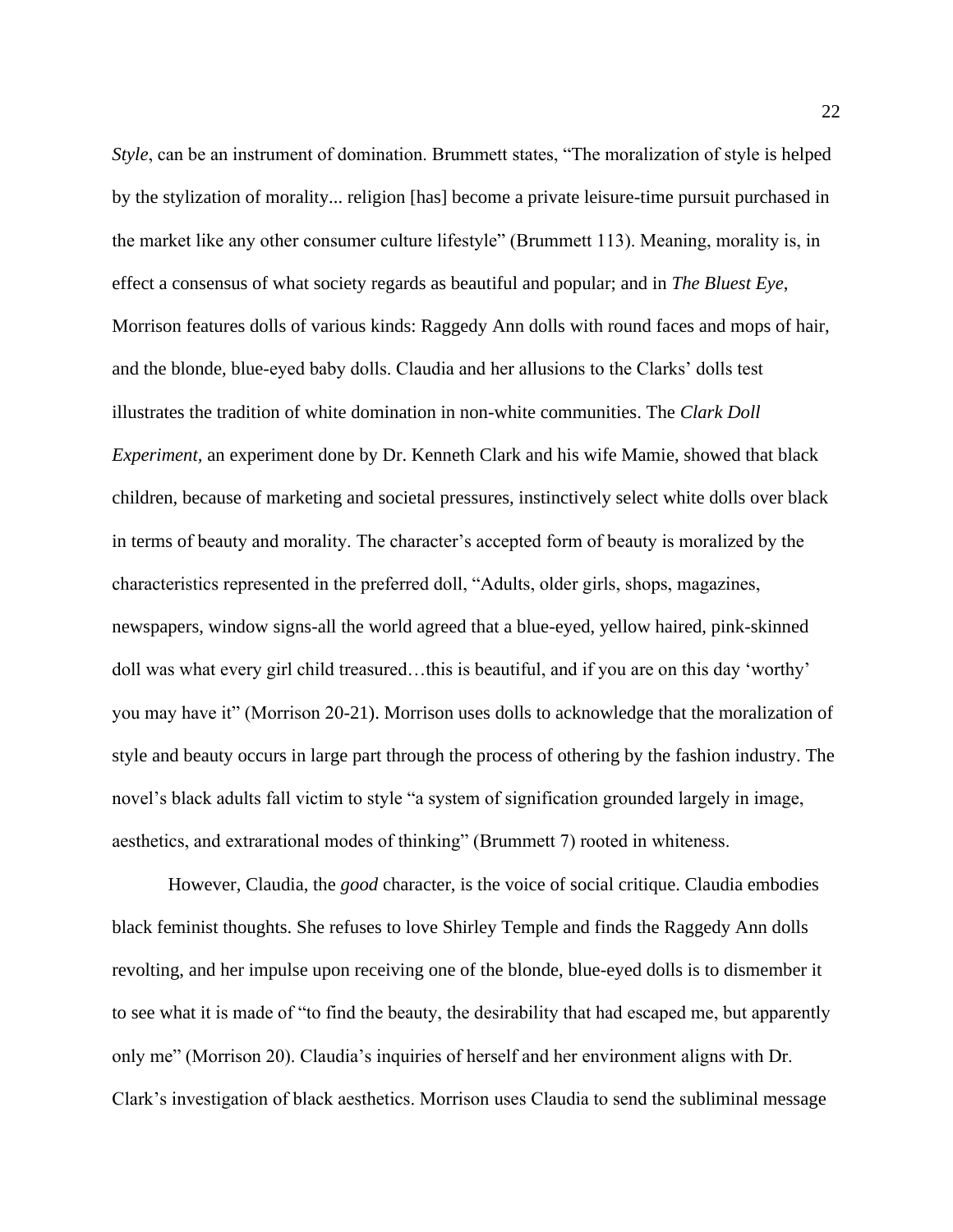*Style*, can be an instrument of domination. Brummett states, "The moralization of style is helped by the stylization of morality... religion [has] become a private leisure-time pursuit purchased in the market like any other consumer culture lifestyle" (Brummett 113). Meaning, morality is, in effect a consensus of what society regards as beautiful and popular; and in *The Bluest Eye*, Morrison features dolls of various kinds: Raggedy Ann dolls with round faces and mops of hair, and the blonde, blue-eyed baby dolls. Claudia and her allusions to the Clarks' dolls test illustrates the tradition of white domination in non-white communities. The *Clark Doll Experiment,* an experiment done by Dr. Kenneth Clark and his wife Mamie, showed that black children, because of marketing and societal pressures, instinctively select white dolls over black in terms of beauty and morality. The character's accepted form of beauty is moralized by the characteristics represented in the preferred doll, "Adults, older girls, shops, magazines, newspapers, window signs-all the world agreed that a blue-eyed, yellow haired, pink-skinned doll was what every girl child treasured…this is beautiful, and if you are on this day 'worthy' you may have it" (Morrison 20-21). Morrison uses dolls to acknowledge that the moralization of style and beauty occurs in large part through the process of othering by the fashion industry. The novel's black adults fall victim to style "a system of signification grounded largely in image, aesthetics, and extrarational modes of thinking" (Brummett 7) rooted in whiteness.

However, Claudia, the *good* character, is the voice of social critique. Claudia embodies black feminist thoughts. She refuses to love Shirley Temple and finds the Raggedy Ann dolls revolting, and her impulse upon receiving one of the blonde, blue-eyed dolls is to dismember it to see what it is made of "to find the beauty, the desirability that had escaped me, but apparently only me" (Morrison 20). Claudia's inquiries of herself and her environment aligns with Dr. Clark's investigation of black aesthetics. Morrison uses Claudia to send the subliminal message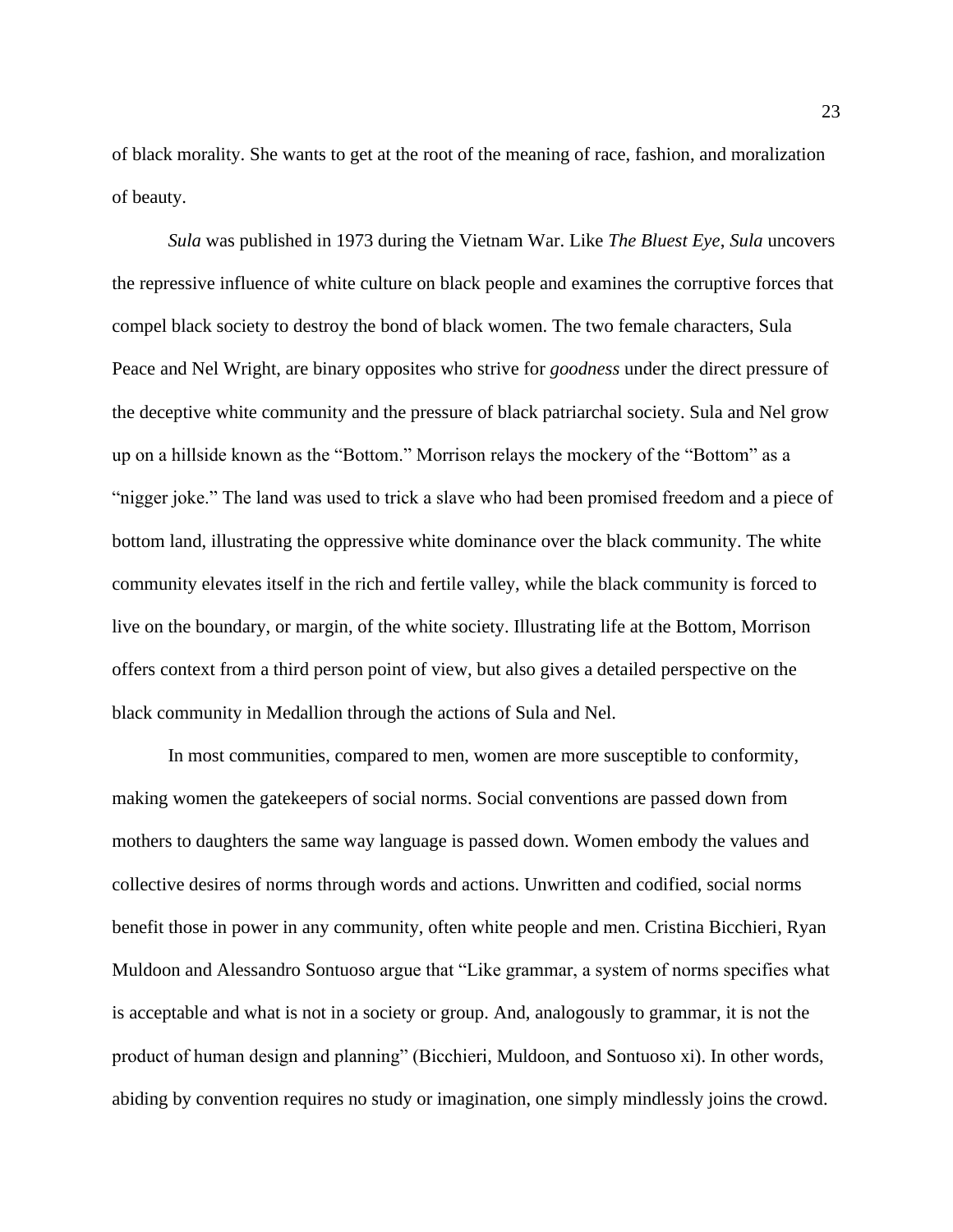of black morality. She wants to get at the root of the meaning of race, fashion, and moralization of beauty.

*Sula* was published in 1973 during the Vietnam War. Like *The Bluest Eye*, *Sula* uncovers the repressive influence of white culture on black people and examines the corruptive forces that compel black society to destroy the bond of black women. The two female characters, Sula Peace and Nel Wright, are binary opposites who strive for *goodness* under the direct pressure of the deceptive white community and the pressure of black patriarchal society. Sula and Nel grow up on a hillside known as the "Bottom." Morrison relays the mockery of the "Bottom" as a "nigger joke." The land was used to trick a slave who had been promised freedom and a piece of bottom land, illustrating the oppressive white dominance over the black community. The white community elevates itself in the rich and fertile valley, while the black community is forced to live on the boundary, or margin, of the white society. Illustrating life at the Bottom, Morrison offers context from a third person point of view, but also gives a detailed perspective on the black community in Medallion through the actions of Sula and Nel.

In most communities, compared to men, women are more susceptible to conformity, making women the gatekeepers of social norms. Social conventions are passed down from mothers to daughters the same way language is passed down. Women embody the values and collective desires of norms through words and actions. Unwritten and codified, social norms benefit those in power in any community, often white people and men. Cristina Bicchieri, Ryan Muldoon and Alessandro Sontuoso argue that "Like grammar, a system of norms specifies what is acceptable and what is not in a society or group. And, analogously to grammar, it is not the product of human design and planning" (Bicchieri, Muldoon, and Sontuoso xi). In other words, abiding by convention requires no study or imagination, one simply mindlessly joins the crowd.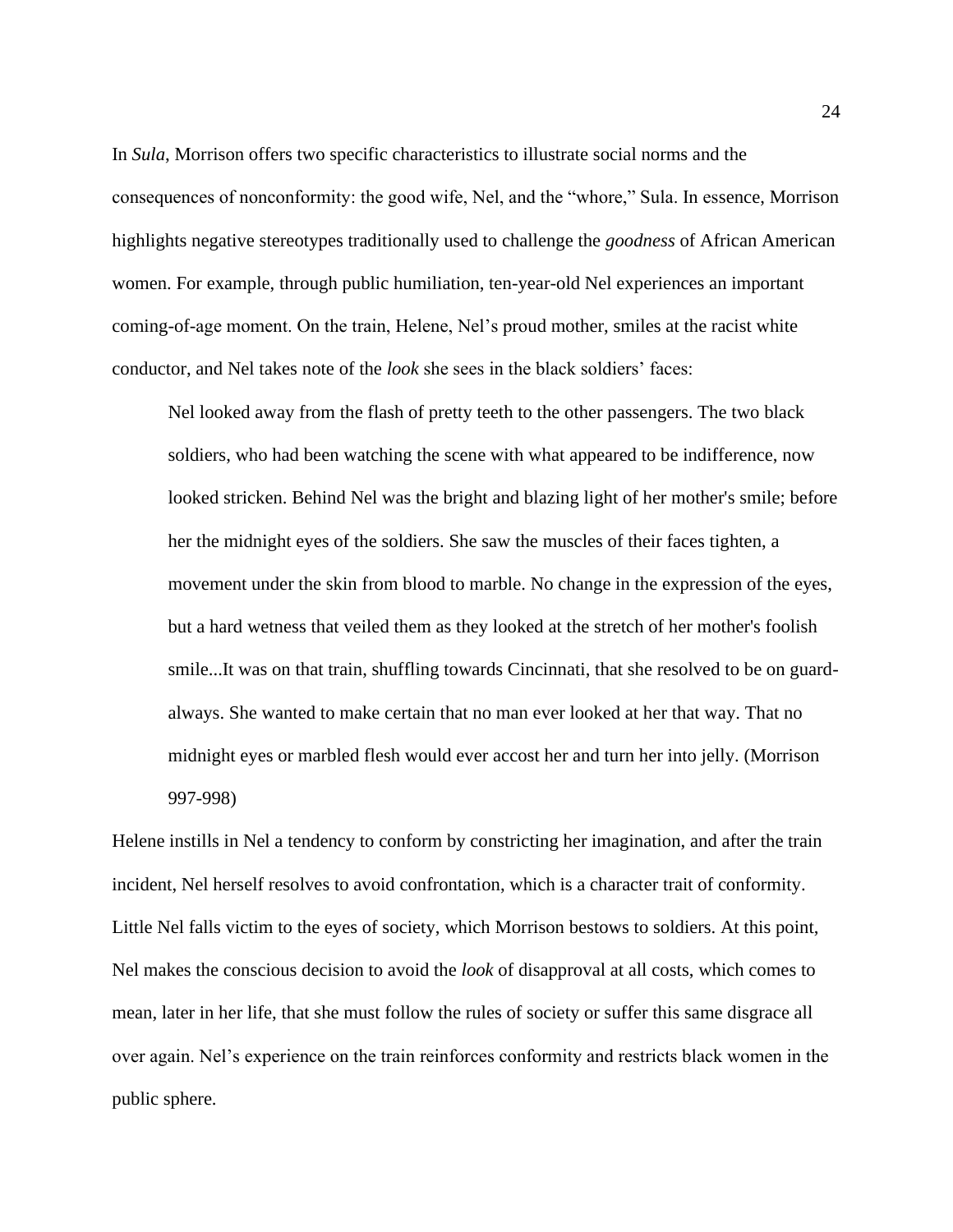In *Sula*, Morrison offers two specific characteristics to illustrate social norms and the consequences of nonconformity: the good wife, Nel, and the "whore," Sula. In essence, Morrison highlights negative stereotypes traditionally used to challenge the *goodness* of African American women. For example, through public humiliation, ten-year-old Nel experiences an important coming-of-age moment. On the train, Helene, Nel's proud mother, smiles at the racist white conductor, and Nel takes note of the *look* she sees in the black soldiers' faces:

Nel looked away from the flash of pretty teeth to the other passengers. The two black soldiers, who had been watching the scene with what appeared to be indifference, now looked stricken. Behind Nel was the bright and blazing light of her mother's smile; before her the midnight eyes of the soldiers. She saw the muscles of their faces tighten, a movement under the skin from blood to marble. No change in the expression of the eyes, but a hard wetness that veiled them as they looked at the stretch of her mother's foolish smile...It was on that train, shuffling towards Cincinnati, that she resolved to be on guardalways. She wanted to make certain that no man ever looked at her that way. That no midnight eyes or marbled flesh would ever accost her and turn her into jelly. (Morrison 997-998)

Helene instills in Nel a tendency to conform by constricting her imagination, and after the train incident, Nel herself resolves to avoid confrontation, which is a character trait of conformity. Little Nel falls victim to the eyes of society, which Morrison bestows to soldiers. At this point, Nel makes the conscious decision to avoid the *look* of disapproval at all costs, which comes to mean, later in her life, that she must follow the rules of society or suffer this same disgrace all over again. Nel's experience on the train reinforces conformity and restricts black women in the public sphere.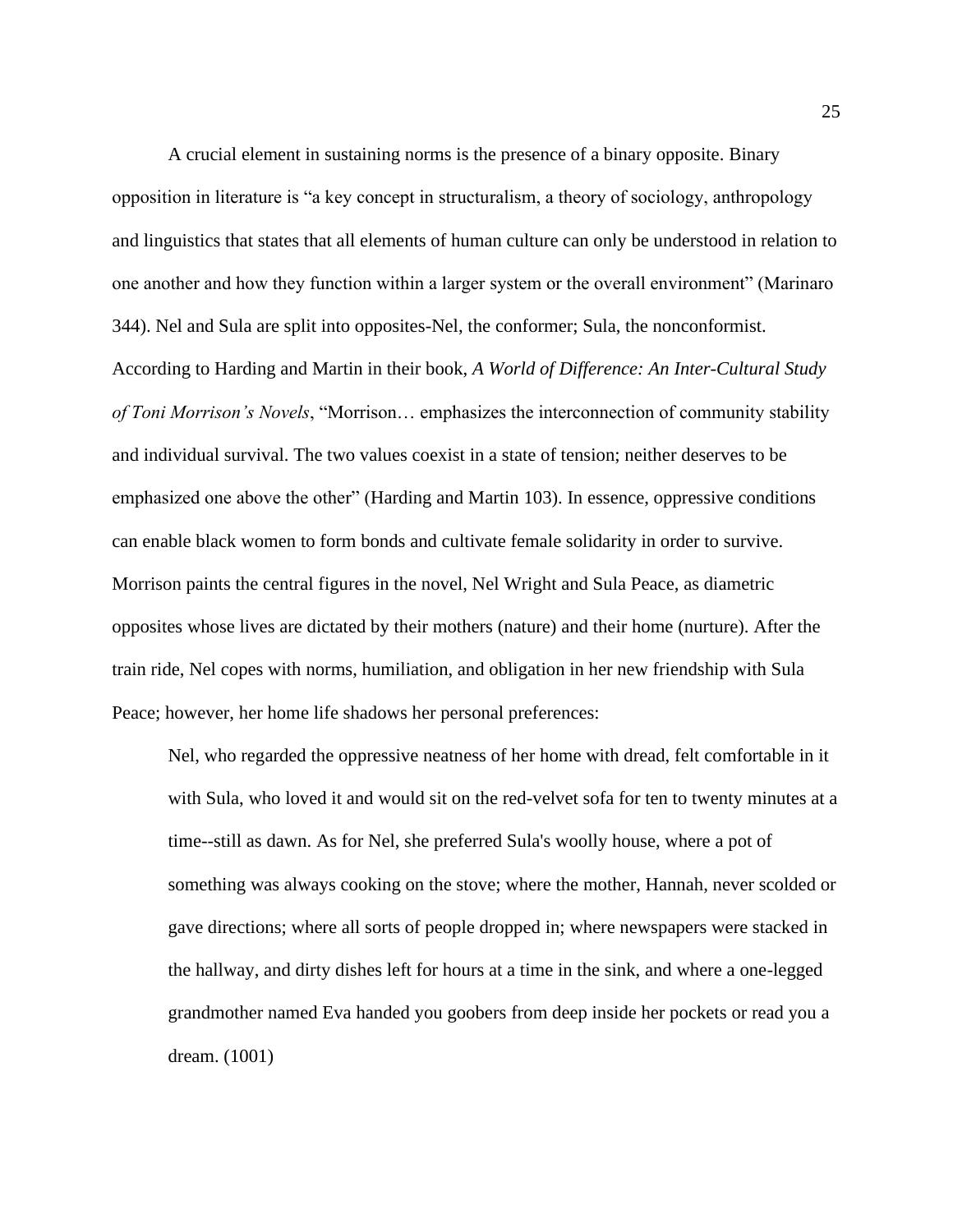A crucial element in sustaining norms is the presence of a binary opposite. Binary opposition in literature is "a key concept in structuralism, a theory of sociology, anthropology and linguistics that states that all elements of human culture can only be understood in relation to one another and how they function within a larger system or the overall environment" (Marinaro 344). Nel and Sula are split into opposites-Nel, the conformer; Sula, the nonconformist. According to Harding and Martin in their book, *A World of Difference: An Inter-Cultural Study of Toni Morrison's Novels*, "Morrison… emphasizes the interconnection of community stability and individual survival. The two values coexist in a state of tension; neither deserves to be emphasized one above the other" (Harding and Martin 103). In essence, oppressive conditions can enable black women to form bonds and cultivate female solidarity in order to survive. Morrison paints the central figures in the novel, Nel Wright and Sula Peace, as diametric opposites whose lives are dictated by their mothers (nature) and their home (nurture). After the train ride, Nel copes with norms, humiliation, and obligation in her new friendship with Sula Peace; however, her home life shadows her personal preferences:

Nel, who regarded the oppressive neatness of her home with dread, felt comfortable in it with Sula, who loved it and would sit on the red-velvet sofa for ten to twenty minutes at a time--still as dawn. As for Nel, she preferred Sula's woolly house, where a pot of something was always cooking on the stove; where the mother, Hannah, never scolded or gave directions; where all sorts of people dropped in; where newspapers were stacked in the hallway, and dirty dishes left for hours at a time in the sink, and where a one-legged grandmother named Eva handed you goobers from deep inside her pockets or read you a dream. (1001)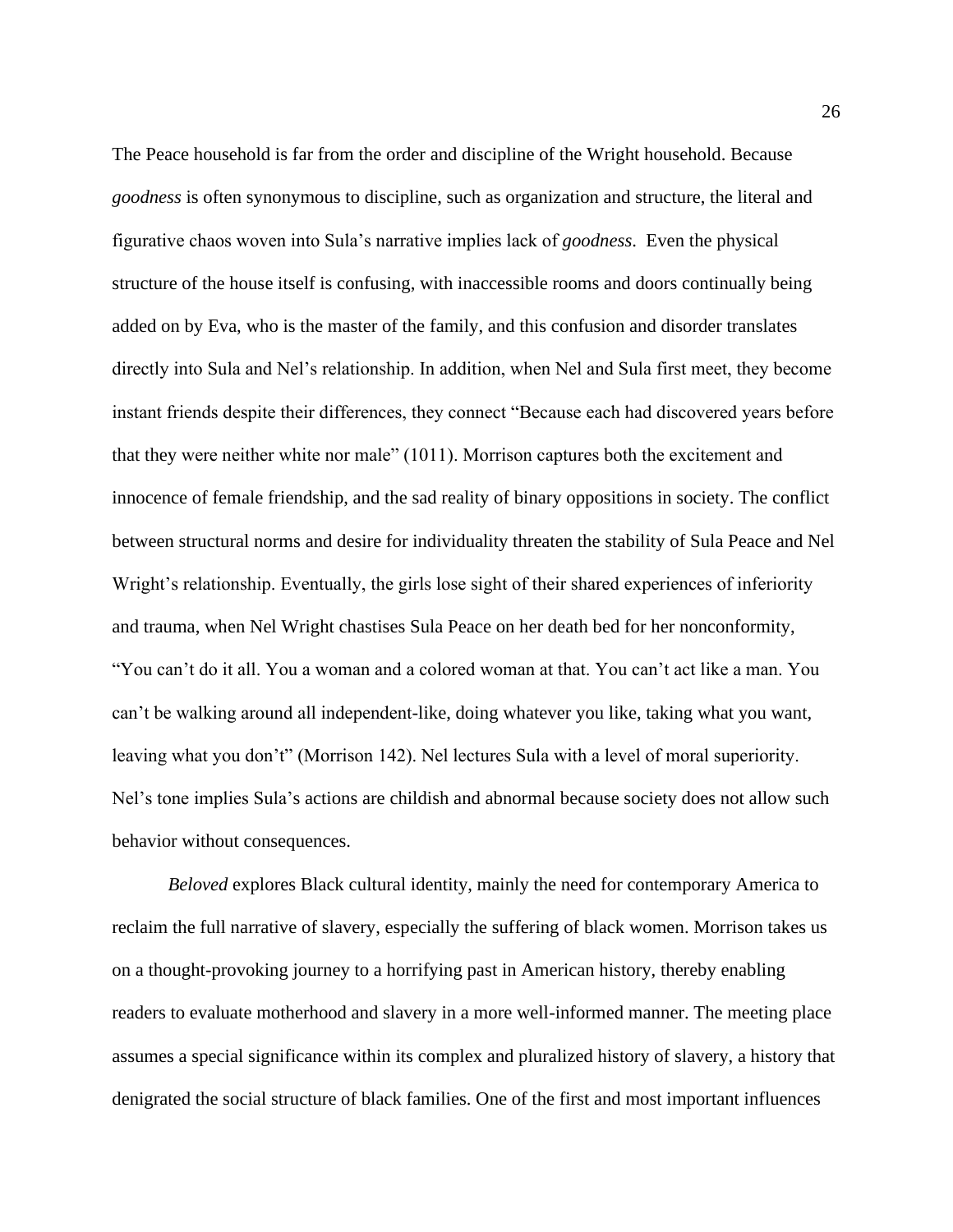The Peace household is far from the order and discipline of the Wright household. Because *goodness* is often synonymous to discipline, such as organization and structure, the literal and figurative chaos woven into Sula's narrative implies lack of *goodness*. Even the physical structure of the house itself is confusing, with inaccessible rooms and doors continually being added on by Eva, who is the master of the family, and this confusion and disorder translates directly into Sula and Nel's relationship. In addition, when Nel and Sula first meet, they become instant friends despite their differences, they connect "Because each had discovered years before that they were neither white nor male" (1011). Morrison captures both the excitement and innocence of female friendship, and the sad reality of binary oppositions in society. The conflict between structural norms and desire for individuality threaten the stability of Sula Peace and Nel Wright's relationship. Eventually, the girls lose sight of their shared experiences of inferiority and trauma, when Nel Wright chastises Sula Peace on her death bed for her nonconformity, "You can't do it all. You a woman and a colored woman at that. You can't act like a man. You can't be walking around all independent-like, doing whatever you like, taking what you want, leaving what you don't" (Morrison 142). Nel lectures Sula with a level of moral superiority. Nel's tone implies Sula's actions are childish and abnormal because society does not allow such behavior without consequences.

*Beloved* explores Black cultural identity, mainly the need for contemporary America to reclaim the full narrative of slavery, especially the suffering of black women. Morrison takes us on a thought-provoking journey to a horrifying past in American history, thereby enabling readers to evaluate motherhood and slavery in a more well-informed manner. The meeting place assumes a special significance within its complex and pluralized history of slavery, a history that denigrated the social structure of black families. One of the first and most important influences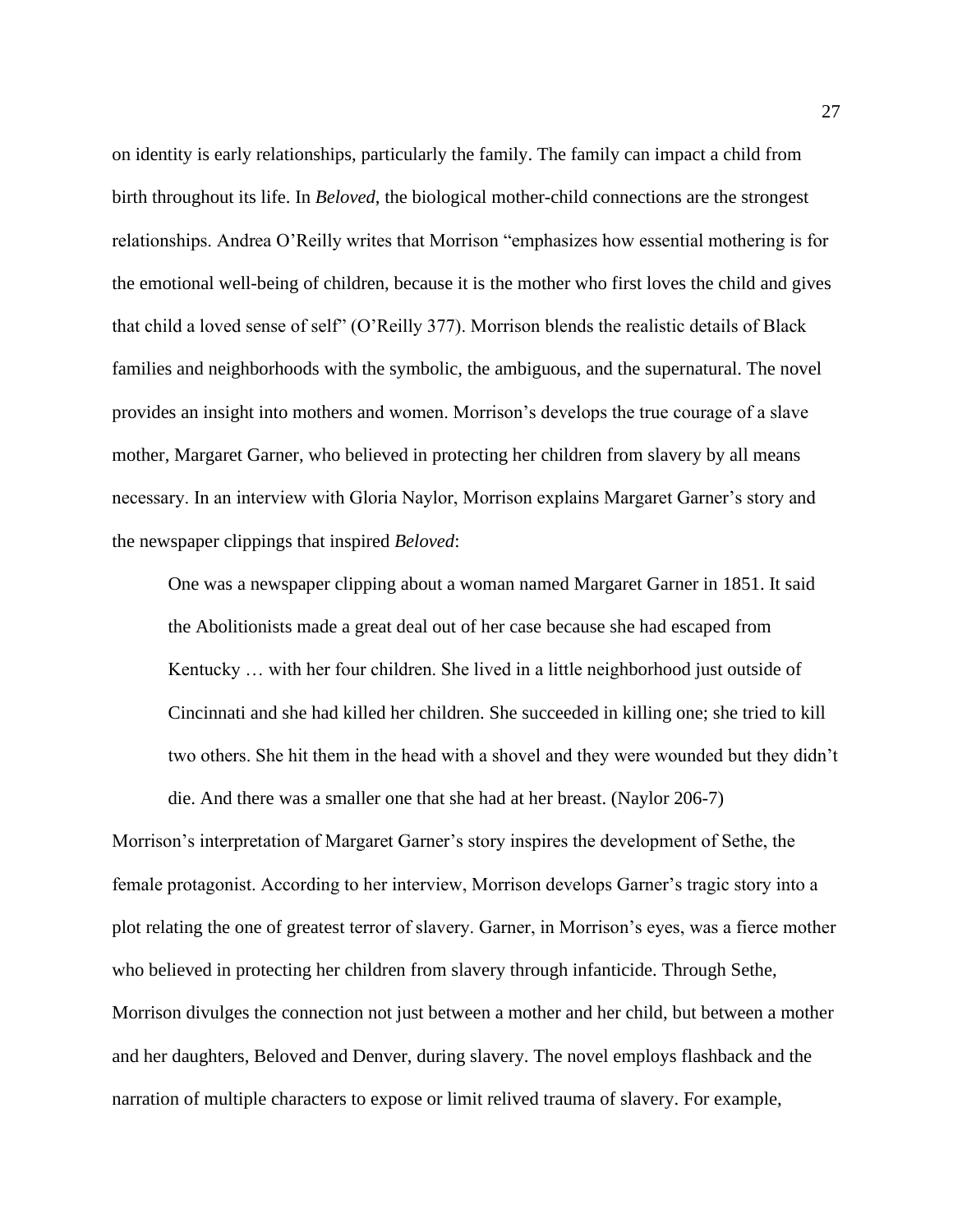on identity is early relationships, particularly the family. The family can impact a child from birth throughout its life. In *Beloved*, the biological mother-child connections are the strongest relationships. Andrea O'Reilly writes that Morrison "emphasizes how essential mothering is for the emotional well-being of children, because it is the mother who first loves the child and gives that child a loved sense of self" (O'Reilly 377). Morrison blends the realistic details of Black families and neighborhoods with the symbolic, the ambiguous, and the supernatural. The novel provides an insight into mothers and women. Morrison's develops the true courage of a slave mother, Margaret Garner, who believed in protecting her children from slavery by all means necessary. In an interview with Gloria Naylor, Morrison explains Margaret Garner's story and the newspaper clippings that inspired *Beloved*:

One was a newspaper clipping about a woman named Margaret Garner in 1851. It said the Abolitionists made a great deal out of her case because she had escaped from Kentucky … with her four children. She lived in a little neighborhood just outside of Cincinnati and she had killed her children. She succeeded in killing one; she tried to kill two others. She hit them in the head with a shovel and they were wounded but they didn't die. And there was a smaller one that she had at her breast. (Naylor 206-7)

Morrison's interpretation of Margaret Garner's story inspires the development of Sethe, the female protagonist. According to her interview, Morrison develops Garner's tragic story into a plot relating the one of greatest terror of slavery. Garner, in Morrison's eyes, was a fierce mother who believed in protecting her children from slavery through infanticide. Through Sethe, Morrison divulges the connection not just between a mother and her child, but between a mother and her daughters, Beloved and Denver, during slavery. The novel employs flashback and the narration of multiple characters to expose or limit relived trauma of slavery. For example,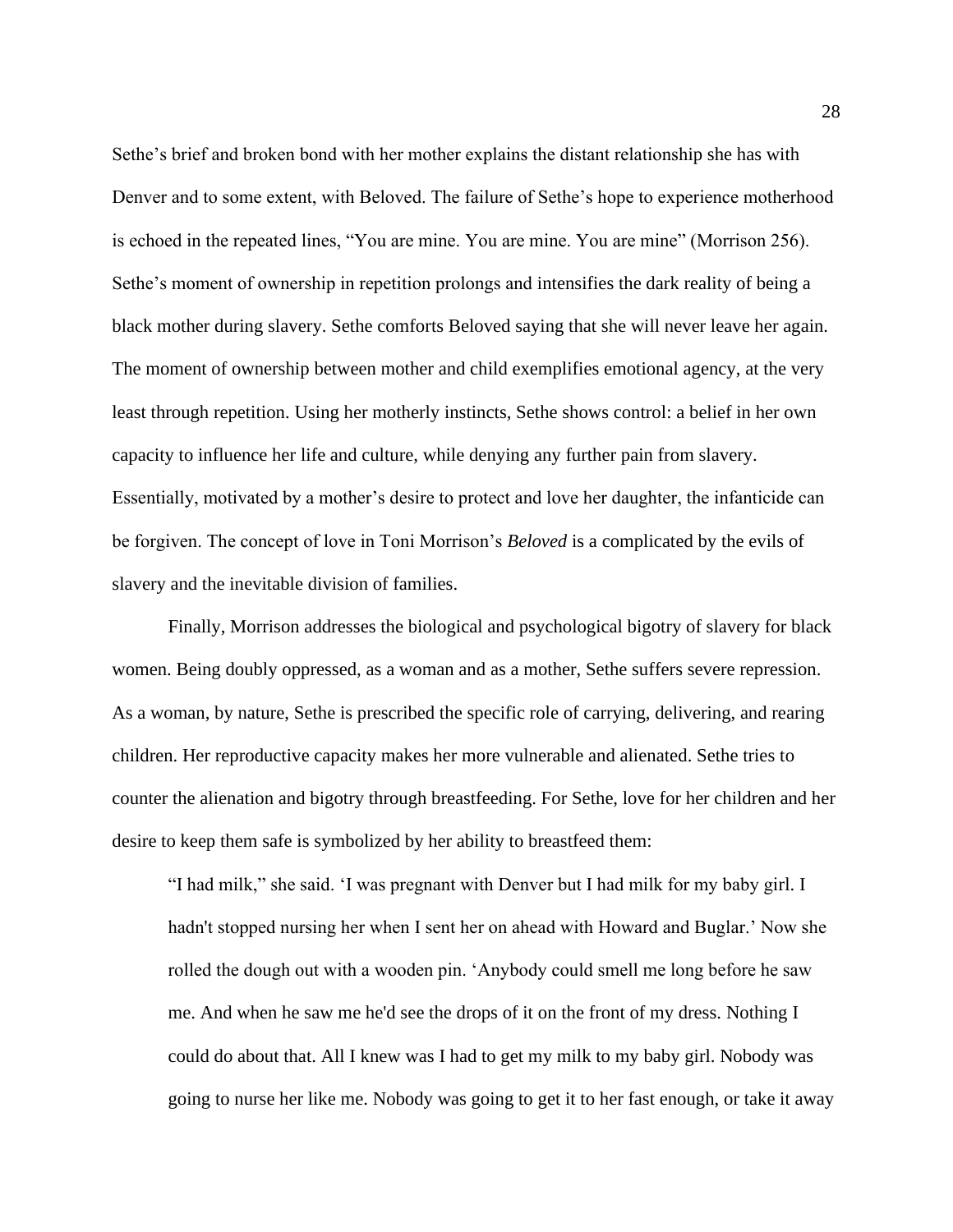Sethe's brief and broken bond with her mother explains the distant relationship she has with Denver and to some extent, with Beloved. The failure of Sethe's hope to experience motherhood is echoed in the repeated lines, "You are mine. You are mine. You are mine" (Morrison 256). Sethe's moment of ownership in repetition prolongs and intensifies the dark reality of being a black mother during slavery. Sethe comforts Beloved saying that she will never leave her again. The moment of ownership between mother and child exemplifies emotional agency, at the very least through repetition. Using her motherly instincts, Sethe shows control: a belief in her own capacity to influence her life and culture, while denying any further pain from slavery. Essentially, motivated by a mother's desire to protect and love her daughter, the infanticide can be forgiven. The concept of love in Toni Morrison's *Beloved* is a complicated by the evils of slavery and the inevitable division of families.

Finally, Morrison addresses the biological and psychological bigotry of slavery for black women. Being doubly oppressed, as a woman and as a mother, Sethe suffers severe repression. As a woman, by nature, Sethe is prescribed the specific role of carrying, delivering, and rearing children. Her reproductive capacity makes her more vulnerable and alienated. Sethe tries to counter the alienation and bigotry through breastfeeding. For Sethe, love for her children and her desire to keep them safe is symbolized by her ability to breastfeed them:

"I had milk," she said. 'I was pregnant with Denver but I had milk for my baby girl. I hadn't stopped nursing her when I sent her on ahead with Howard and Buglar.' Now she rolled the dough out with a wooden pin. 'Anybody could smell me long before he saw me. And when he saw me he'd see the drops of it on the front of my dress. Nothing I could do about that. All I knew was I had to get my milk to my baby girl. Nobody was going to nurse her like me. Nobody was going to get it to her fast enough, or take it away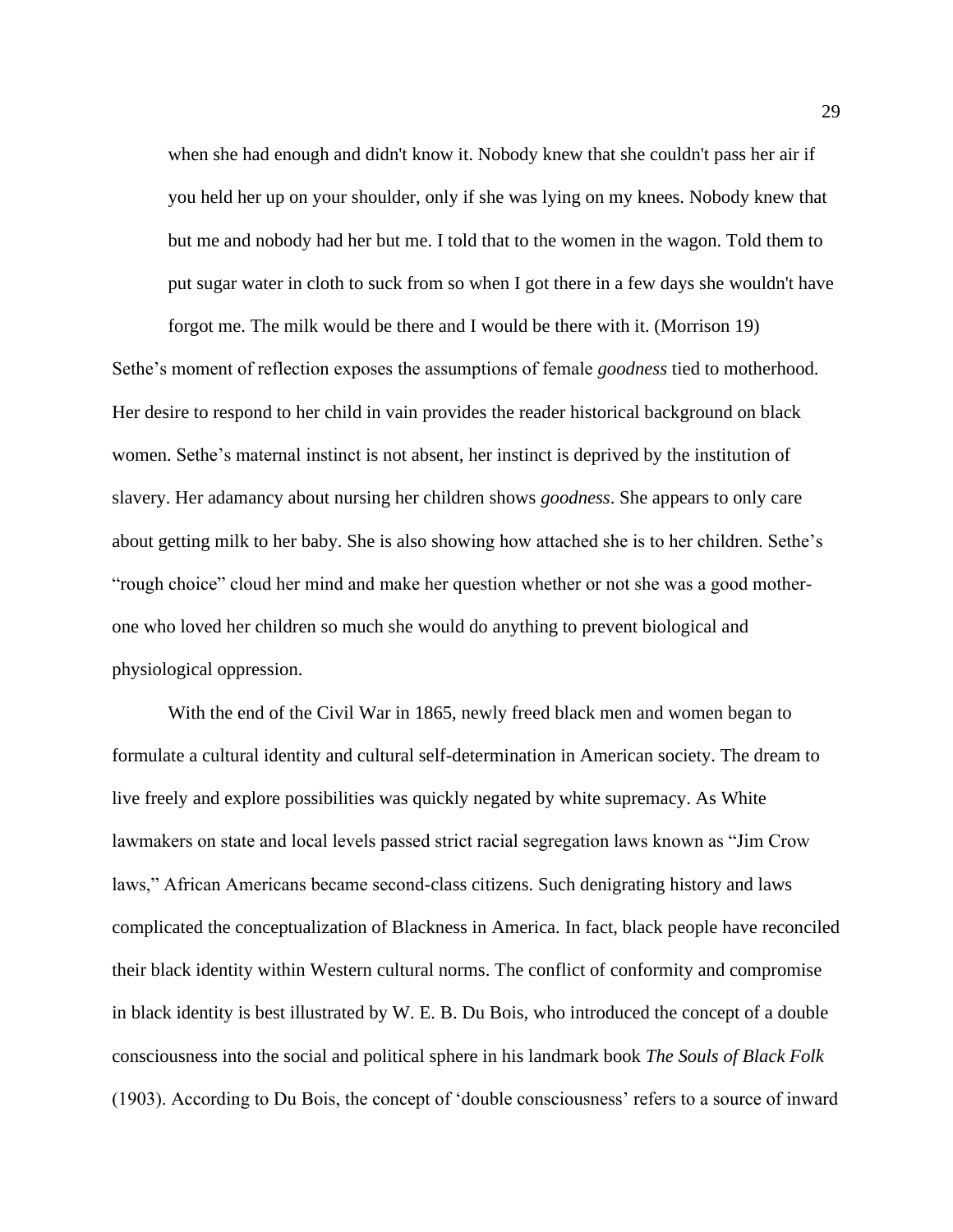when she had enough and didn't know it. Nobody knew that she couldn't pass her air if you held her up on your shoulder, only if she was lying on my knees. Nobody knew that but me and nobody had her but me. I told that to the women in the wagon. Told them to put sugar water in cloth to suck from so when I got there in a few days she wouldn't have forgot me. The milk would be there and I would be there with it. (Morrison 19)

Sethe's moment of reflection exposes the assumptions of female *goodness* tied to motherhood. Her desire to respond to her child in vain provides the reader historical background on black women. Sethe's maternal instinct is not absent, her instinct is deprived by the institution of slavery. Her adamancy about nursing her children shows *goodness*. She appears to only care about getting milk to her baby. She is also showing how attached she is to her children. Sethe's "rough choice" cloud her mind and make her question whether or not she was a good motherone who loved her children so much she would do anything to prevent biological and physiological oppression.

With the end of the Civil War in 1865, newly freed black men and women began to formulate a cultural identity and cultural self-determination in American society. The dream to live freely and explore possibilities was quickly negated by white supremacy. As White lawmakers on state and local levels passed strict racial segregation laws known as "Jim Crow laws," African Americans became second-class citizens. Such denigrating history and laws complicated the conceptualization of Blackness in America. In fact, black people have reconciled their black identity within Western cultural norms. The conflict of conformity and compromise in black identity is best illustrated by W. E. B. Du Bois, who introduced the concept of a double consciousness into the social and political sphere in his landmark book *The Souls of Black Folk* (1903). According to Du Bois, the concept of 'double consciousness' refers to a source of inward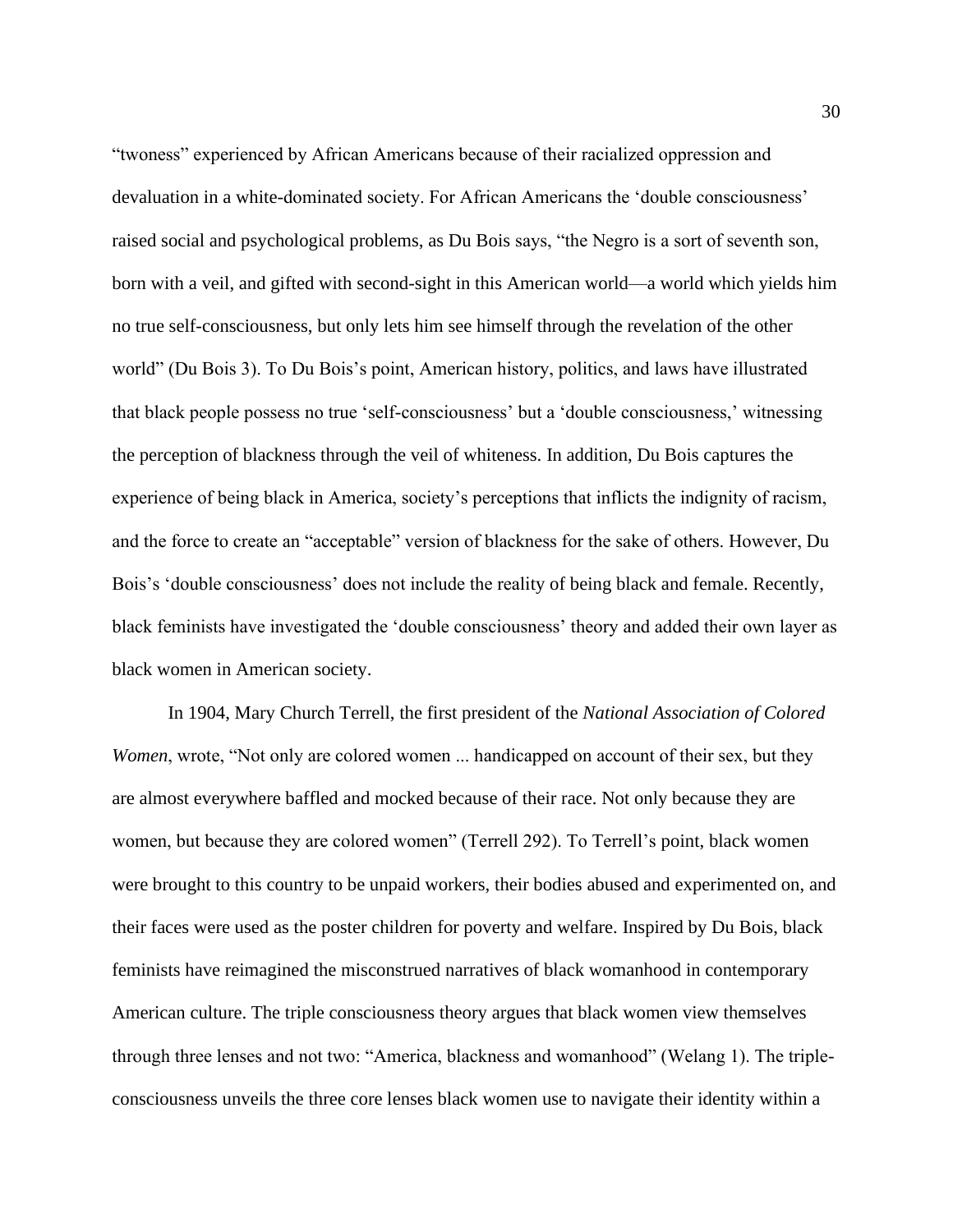"twoness" experienced by African Americans because of their racialized oppression and devaluation in a white-dominated society. For African Americans the 'double consciousness' raised social and psychological problems, as Du Bois says, "the Negro is a sort of seventh son, born with a veil, and gifted with second-sight in this American world—a world which yields him no true self-consciousness, but only lets him see himself through the revelation of the other world" (Du Bois 3). To Du Bois's point, American history, politics, and laws have illustrated that black people possess no true 'self-consciousness' but a 'double consciousness,' witnessing the perception of blackness through the veil of whiteness. In addition, Du Bois captures the experience of being black in America, society's perceptions that inflicts the indignity of racism, and the force to create an "acceptable" version of blackness for the sake of others. However, Du Bois's 'double consciousness' does not include the reality of being black and female. Recently, black feminists have investigated the 'double consciousness' theory and added their own layer as black women in American society.

In 1904, Mary Church Terrell, the first president of the *National Association of Colored Women*, wrote, "Not only are colored women ... handicapped on account of their sex, but they are almost everywhere baffled and mocked because of their race. Not only because they are women, but because they are colored women" (Terrell 292). To Terrell's point, black women were brought to this country to be unpaid workers, their bodies abused and experimented on, and their faces were used as the poster children for poverty and welfare. Inspired by Du Bois, black feminists have reimagined the misconstrued narratives of black womanhood in contemporary American culture. The triple consciousness theory argues that black women view themselves through three lenses and not two: "America, blackness and womanhood" (Welang 1). The tripleconsciousness unveils the three core lenses black women use to navigate their identity within a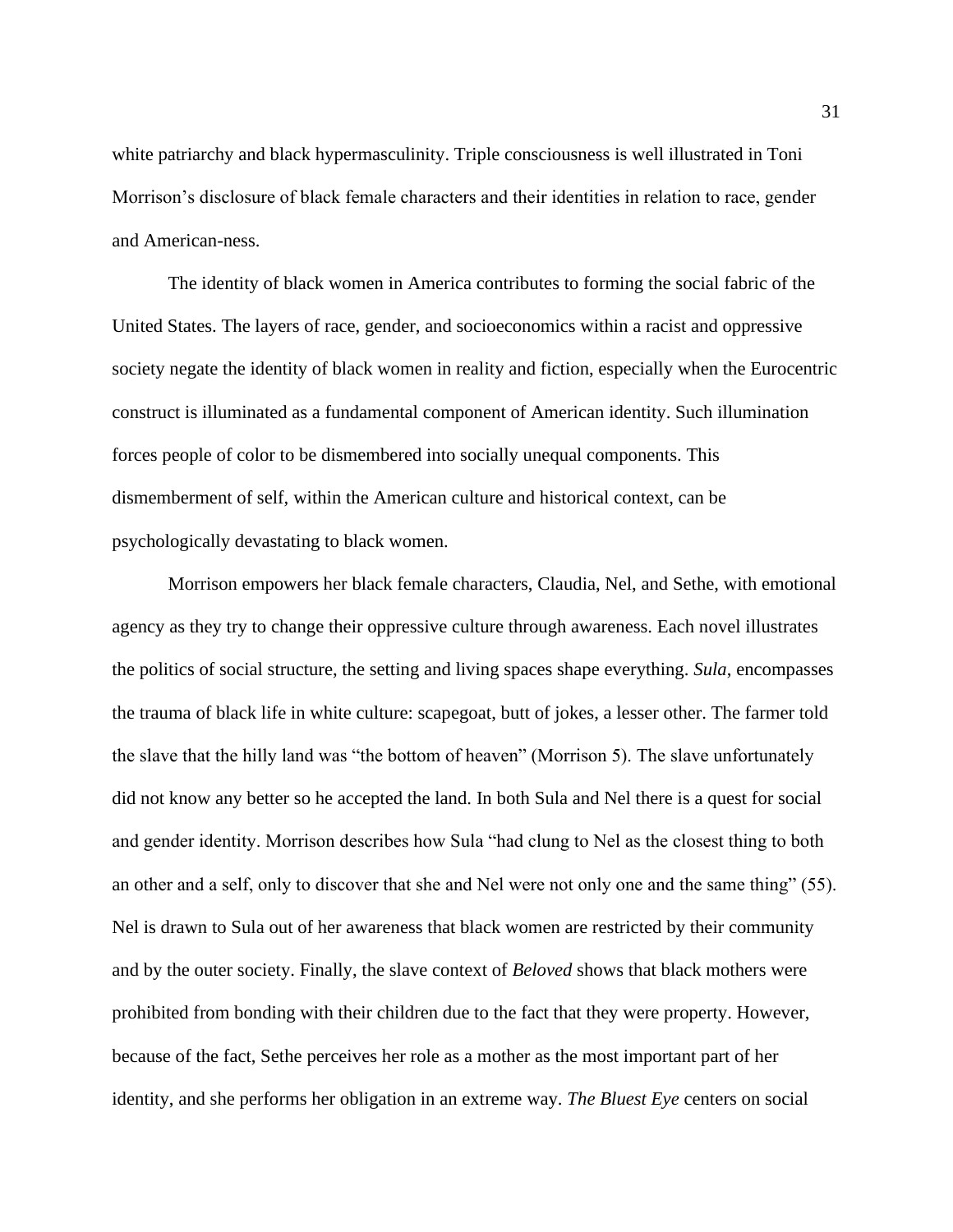white patriarchy and black hypermasculinity. Triple consciousness is well illustrated in Toni Morrison's disclosure of black female characters and their identities in relation to race, gender and American-ness.

The identity of black women in America contributes to forming the social fabric of the United States. The layers of race, gender, and socioeconomics within a racist and oppressive society negate the identity of black women in reality and fiction, especially when the Eurocentric construct is illuminated as a fundamental component of American identity. Such illumination forces people of color to be dismembered into socially unequal components. This dismemberment of self, within the American culture and historical context, can be psychologically devastating to black women.

Morrison empowers her black female characters, Claudia, Nel, and Sethe, with emotional agency as they try to change their oppressive culture through awareness. Each novel illustrates the politics of social structure, the setting and living spaces shape everything. *Sula*, encompasses the trauma of black life in white culture: scapegoat, butt of jokes, a lesser other. The farmer told the slave that the hilly land was "the bottom of heaven" (Morrison 5). The slave unfortunately did not know any better so he accepted the land. In both Sula and Nel there is a quest for social and gender identity. Morrison describes how Sula "had clung to Nel as the closest thing to both an other and a self, only to discover that she and Nel were not only one and the same thing" (55). Nel is drawn to Sula out of her awareness that black women are restricted by their community and by the outer society. Finally, the slave context of *Beloved* shows that black mothers were prohibited from bonding with their children due to the fact that they were property. However, because of the fact, Sethe perceives her role as a mother as the most important part of her identity, and she performs her obligation in an extreme way. *The Bluest Eye* centers on social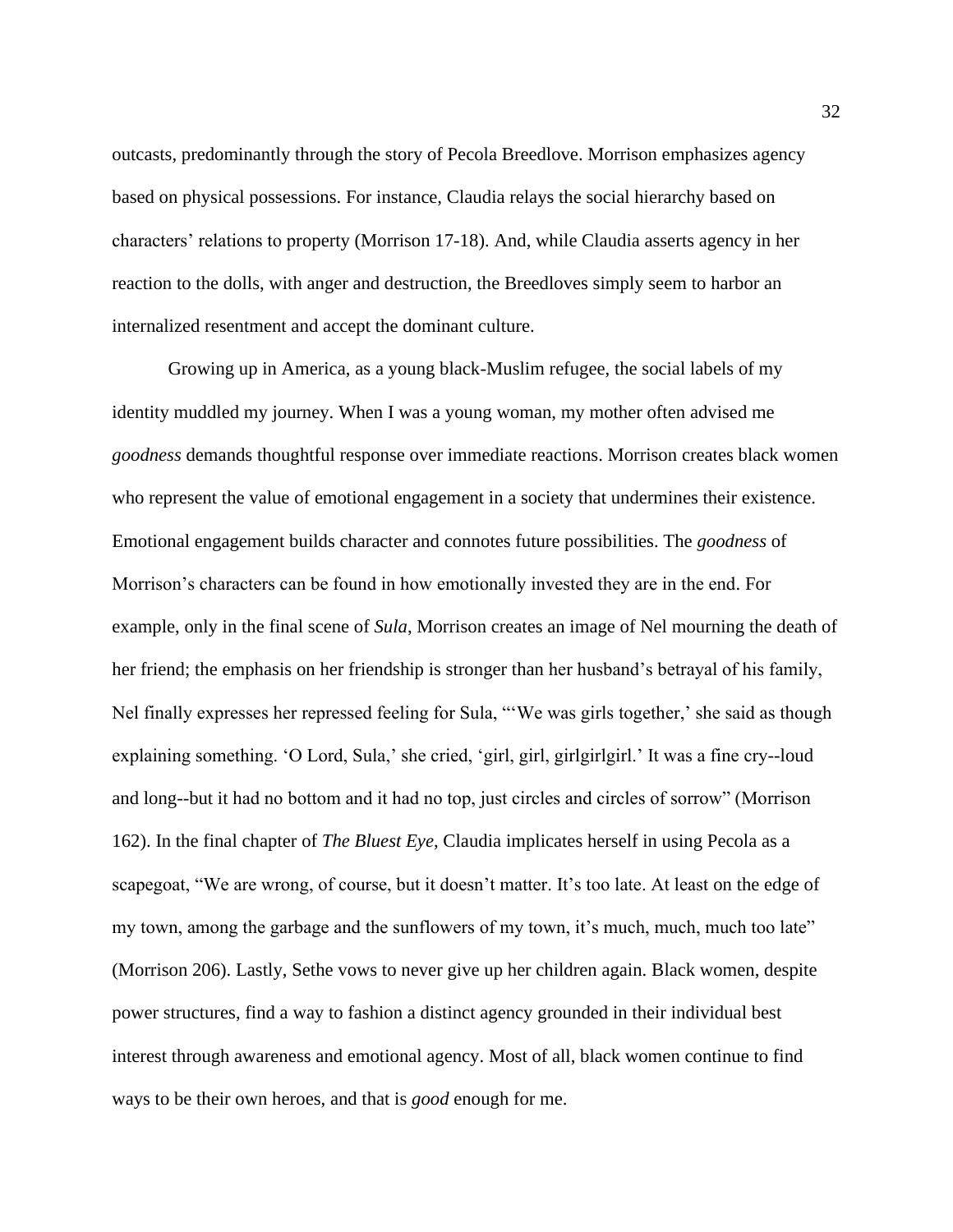outcasts, predominantly through the story of Pecola Breedlove. Morrison emphasizes agency based on physical possessions. For instance, Claudia relays the social hierarchy based on characters' relations to property (Morrison 17-18). And, while Claudia asserts agency in her reaction to the dolls, with anger and destruction, the Breedloves simply seem to harbor an internalized resentment and accept the dominant culture.

Growing up in America, as a young black-Muslim refugee, the social labels of my identity muddled my journey. When I was a young woman, my mother often advised me *goodness* demands thoughtful response over immediate reactions. Morrison creates black women who represent the value of emotional engagement in a society that undermines their existence. Emotional engagement builds character and connotes future possibilities. The *goodness* of Morrison's characters can be found in how emotionally invested they are in the end. For example, only in the final scene of *Sula*, Morrison creates an image of Nel mourning the death of her friend; the emphasis on her friendship is stronger than her husband's betrayal of his family, Nel finally expresses her repressed feeling for Sula, "'We was girls together,' she said as though explaining something. 'O Lord, Sula,' she cried, 'girl, girl, girlgirlgirl.' It was a fine cry--loud and long--but it had no bottom and it had no top, just circles and circles of sorrow" (Morrison 162). In the final chapter of *The Bluest Eye*, Claudia implicates herself in using Pecola as a scapegoat, "We are wrong, of course, but it doesn't matter. It's too late. At least on the edge of my town, among the garbage and the sunflowers of my town, it's much, much, much too late" (Morrison 206). Lastly, Sethe vows to never give up her children again. Black women, despite power structures, find a way to fashion a distinct agency grounded in their individual best interest through awareness and emotional agency. Most of all, black women continue to find ways to be their own heroes, and that is *good* enough for me.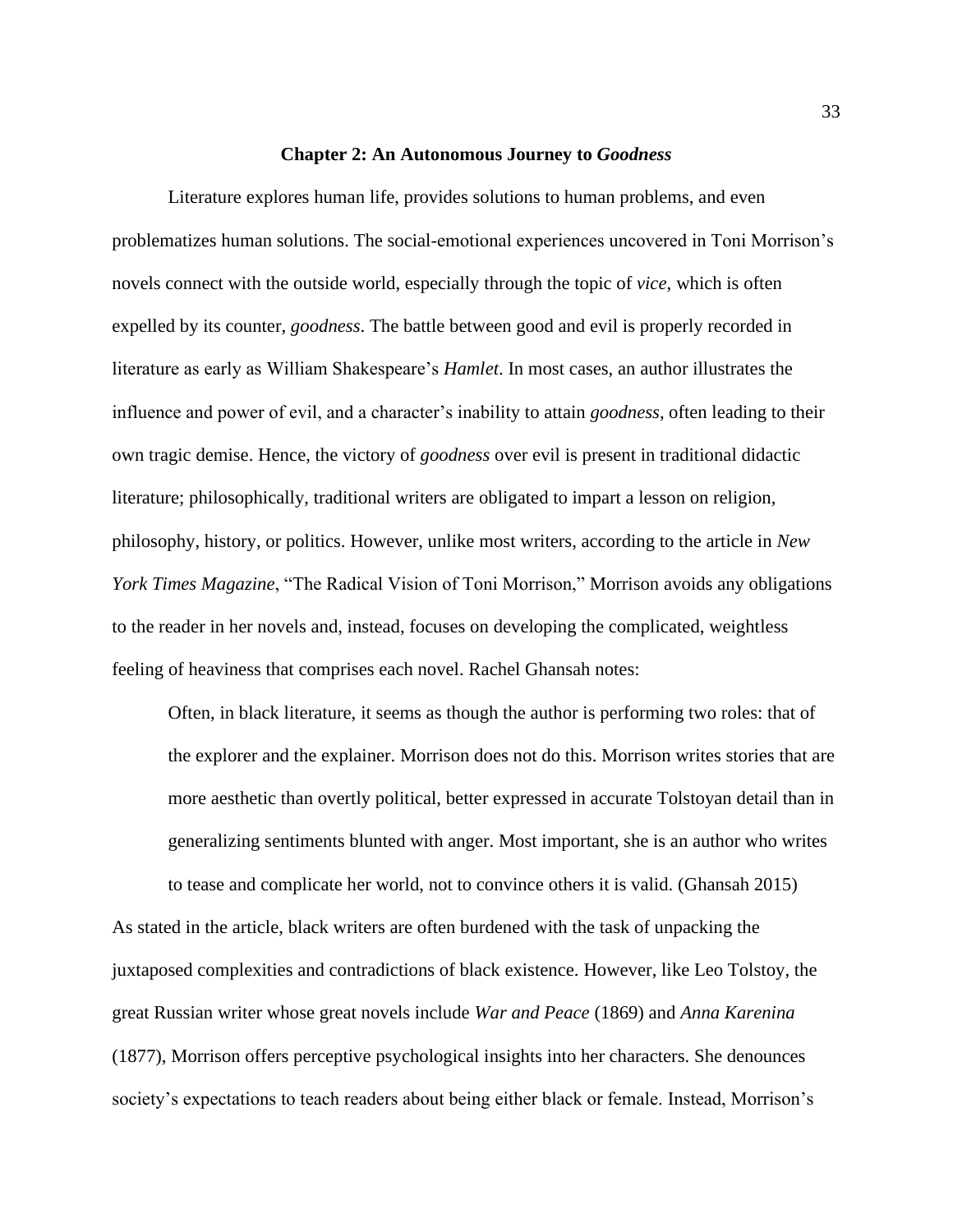### **Chapter 2: An Autonomous Journey to** *Goodness*

Literature explores human life, provides solutions to human problems, and even problematizes human solutions. The social-emotional experiences uncovered in Toni Morrison's novels connect with the outside world, especially through the topic of *vice*, which is often expelled by its counter, *goodness*. The battle between good and evil is properly recorded in literature as early as William Shakespeare's *Hamlet*. In most cases, an author illustrates the influence and power of evil, and a character's inability to attain *goodness*, often leading to their own tragic demise. Hence, the victory of *goodness* over evil is present in traditional didactic literature; philosophically, traditional writers are obligated to impart a lesson on religion, philosophy, history, or politics. However, unlike most writers, according to the article in *New York Times Magazine*, "The Radical Vision of Toni Morrison," Morrison avoids any obligations to the reader in her novels and, instead, focuses on developing the complicated, weightless feeling of heaviness that comprises each novel. Rachel Ghansah notes:

Often, in black literature, it seems as though the author is performing two roles: that of the explorer and the explainer. Morrison does not do this. Morrison writes stories that are more aesthetic than overtly political, better expressed in accurate Tolstoyan detail than in generalizing sentiments blunted with anger. Most important, she is an author who writes

to tease and complicate her world, not to convince others it is valid. (Ghansah 2015) As stated in the article, black writers are often burdened with the task of unpacking the juxtaposed complexities and contradictions of black existence. However, like Leo Tolstoy, the great Russian writer whose great novels include *War and Peace* (1869) and *Anna Karenina* (1877), Morrison offers perceptive psychological insights into her characters. She denounces society's expectations to teach readers about being either black or female. Instead, Morrison's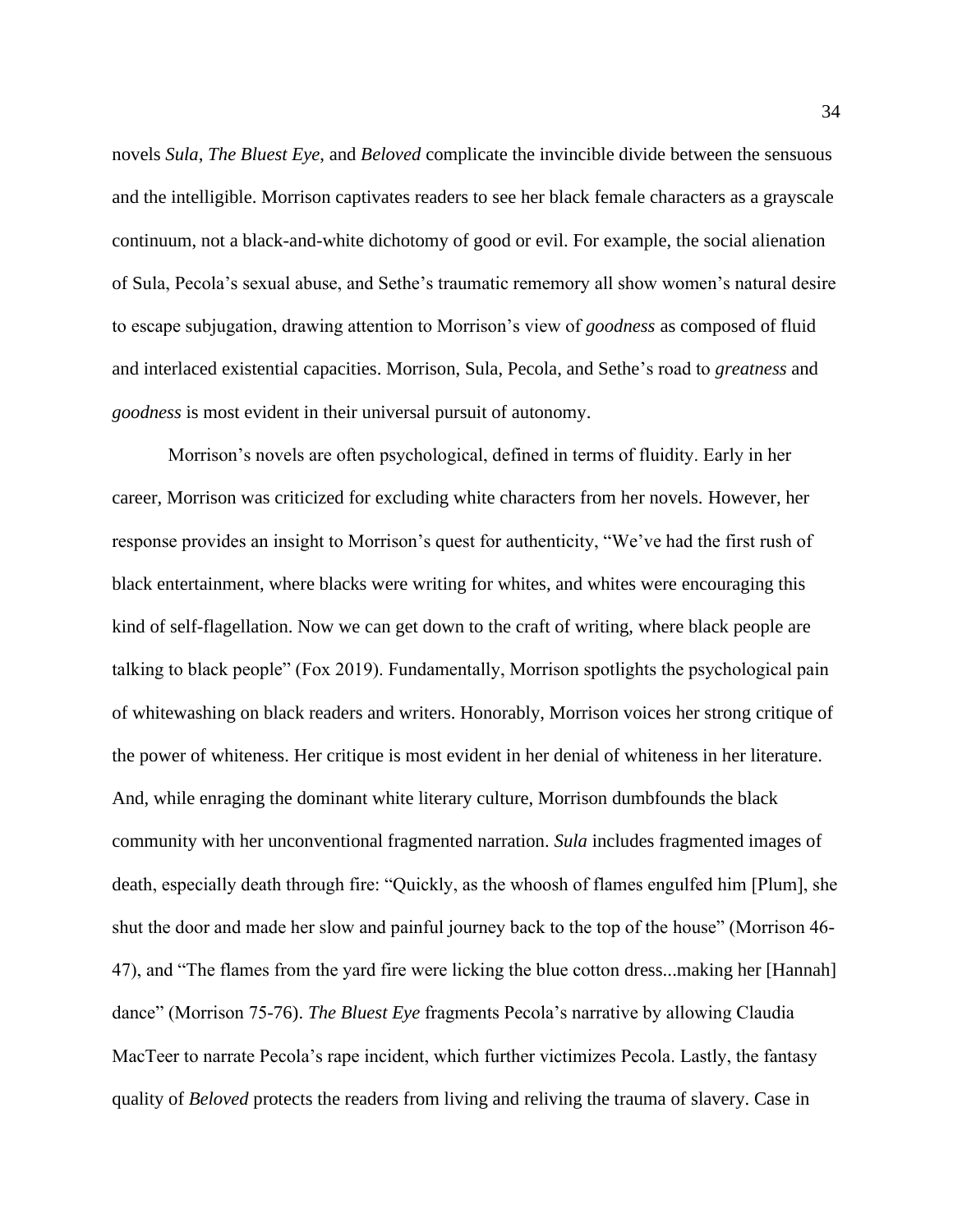novels *Sula*, *The Bluest Eye*, and *Beloved* complicate the invincible divide between the sensuous and the intelligible. Morrison captivates readers to see her black female characters as a grayscale continuum, not a black-and-white dichotomy of good or evil. For example, the social alienation of Sula, Pecola's sexual abuse, and Sethe's traumatic rememory all show women's natural desire to escape subjugation, drawing attention to Morrison's view of *goodness* as composed of fluid and interlaced existential capacities. Morrison, Sula, Pecola, and Sethe's road to *greatness* and *goodness* is most evident in their universal pursuit of autonomy.

Morrison's novels are often psychological, defined in terms of fluidity. Early in her career, Morrison was criticized for excluding white characters from her novels. However, her response provides an insight to Morrison's quest for authenticity, "We've had the first rush of black entertainment, where blacks were writing for whites, and whites were encouraging this kind of self-flagellation. Now we can get down to the craft of writing, where black people are talking to black people" (Fox 2019). Fundamentally, Morrison spotlights the psychological pain of whitewashing on black readers and writers. Honorably, Morrison voices her strong critique of the power of whiteness. Her critique is most evident in her denial of whiteness in her literature. And, while enraging the dominant white literary culture, Morrison dumbfounds the black community with her unconventional fragmented narration. *Sula* includes fragmented images of death, especially death through fire: "Quickly, as the whoosh of flames engulfed him [Plum], she shut the door and made her slow and painful journey back to the top of the house" (Morrison 46- 47), and "The flames from the yard fire were licking the blue cotton dress...making her [Hannah] dance" (Morrison 75-76). *The Bluest Eye* fragments Pecola's narrative by allowing Claudia MacTeer to narrate Pecola's rape incident, which further victimizes Pecola. Lastly, the fantasy quality of *Beloved* protects the readers from living and reliving the trauma of slavery. Case in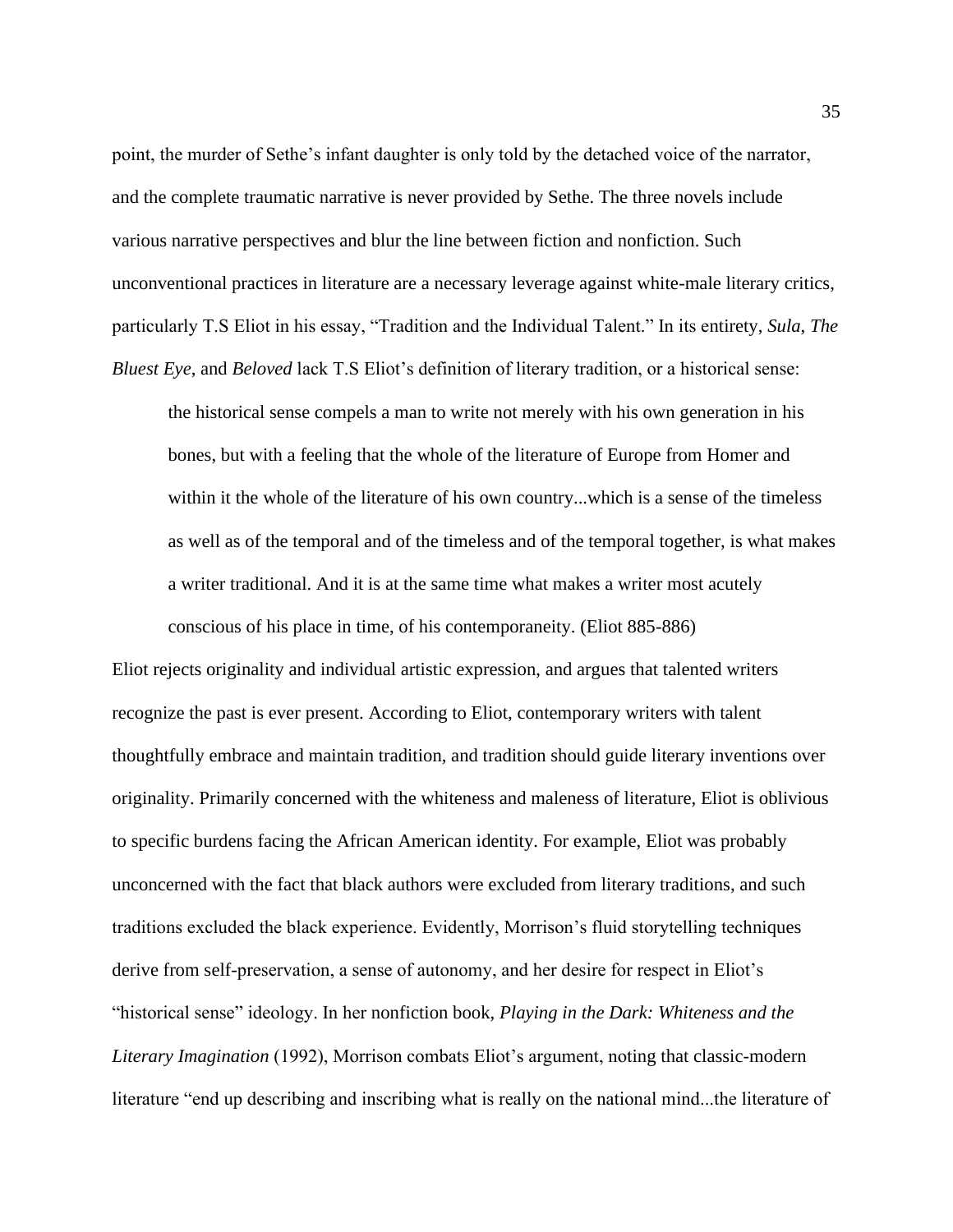point, the murder of Sethe's infant daughter is only told by the detached voice of the narrator, and the complete traumatic narrative is never provided by Sethe. The three novels include various narrative perspectives and blur the line between fiction and nonfiction. Such unconventional practices in literature are a necessary leverage against white-male literary critics, particularly T.S Eliot in his essay, "Tradition and the Individual Talent." In its entirety, *Sula*, *The Bluest Eye*, and *Beloved* lack T.S Eliot's definition of literary tradition, or a historical sense:

the historical sense compels a man to write not merely with his own generation in his bones, but with a feeling that the whole of the literature of Europe from Homer and within it the whole of the literature of his own country...which is a sense of the timeless as well as of the temporal and of the timeless and of the temporal together, is what makes a writer traditional. And it is at the same time what makes a writer most acutely conscious of his place in time, of his contemporaneity. (Eliot 885-886)

Eliot rejects originality and individual artistic expression, and argues that talented writers recognize the past is ever present. According to Eliot, contemporary writers with talent thoughtfully embrace and maintain tradition, and tradition should guide literary inventions over originality. Primarily concerned with the whiteness and maleness of literature, Eliot is oblivious to specific burdens facing the African American identity. For example, Eliot was probably unconcerned with the fact that black authors were excluded from literary traditions, and such traditions excluded the black experience. Evidently, Morrison's fluid storytelling techniques derive from self-preservation, a sense of autonomy, and her desire for respect in Eliot's "historical sense" ideology. In her nonfiction book, *Playing in the Dark: Whiteness and the Literary Imagination* (1992), Morrison combats Eliot's argument, noting that classic-modern literature "end up describing and inscribing what is really on the national mind...the literature of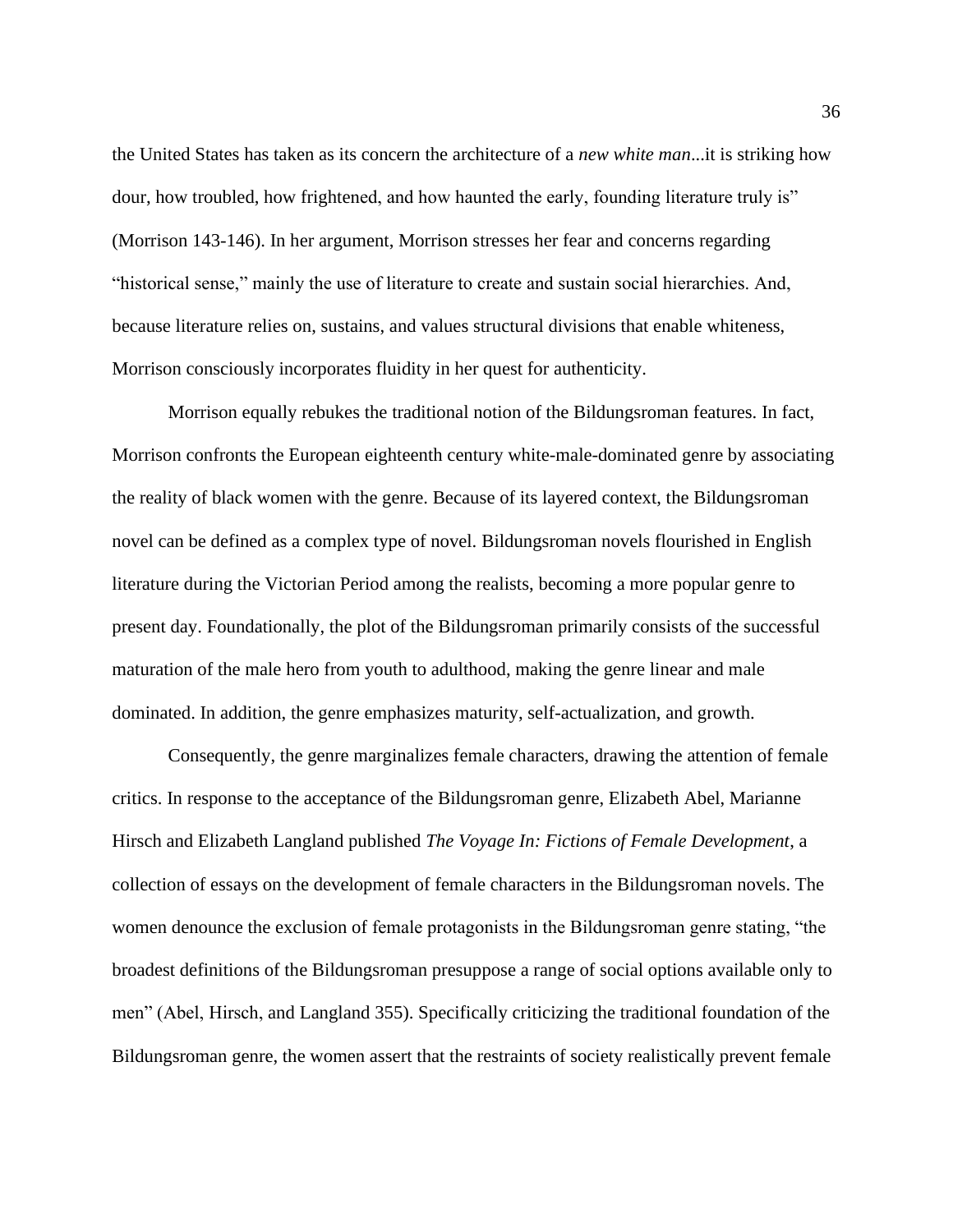the United States has taken as its concern the architecture of a *new white man*...it is striking how dour, how troubled, how frightened, and how haunted the early, founding literature truly is" (Morrison 143-146). In her argument, Morrison stresses her fear and concerns regarding "historical sense," mainly the use of literature to create and sustain social hierarchies. And, because literature relies on, sustains, and values structural divisions that enable whiteness, Morrison consciously incorporates fluidity in her quest for authenticity.

Morrison equally rebukes the traditional notion of the Bildungsroman features. In fact, Morrison confronts the European eighteenth century white-male-dominated genre by associating the reality of black women with the genre. Because of its layered context, the Bildungsroman novel can be defined as a complex type of novel. Bildungsroman novels flourished in English literature during the Victorian Period among the realists, becoming a more popular genre to present day. Foundationally, the plot of the Bildungsroman primarily consists of the successful maturation of the male hero from youth to adulthood, making the genre linear and male dominated. In addition, the genre emphasizes maturity, self-actualization, and growth.

Consequently, the genre marginalizes female characters, drawing the attention of female critics. In response to the acceptance of the Bildungsroman genre, Elizabeth Abel, Marianne Hirsch and Elizabeth Langland published *The Voyage In: Fictions of Female Development*, a collection of essays on the development of female characters in the Bildungsroman novels. The women denounce the exclusion of female protagonists in the Bildungsroman genre stating, "the broadest definitions of the Bildungsroman presuppose a range of social options available only to men" (Abel, Hirsch, and Langland 355). Specifically criticizing the traditional foundation of the Bildungsroman genre, the women assert that the restraints of society realistically prevent female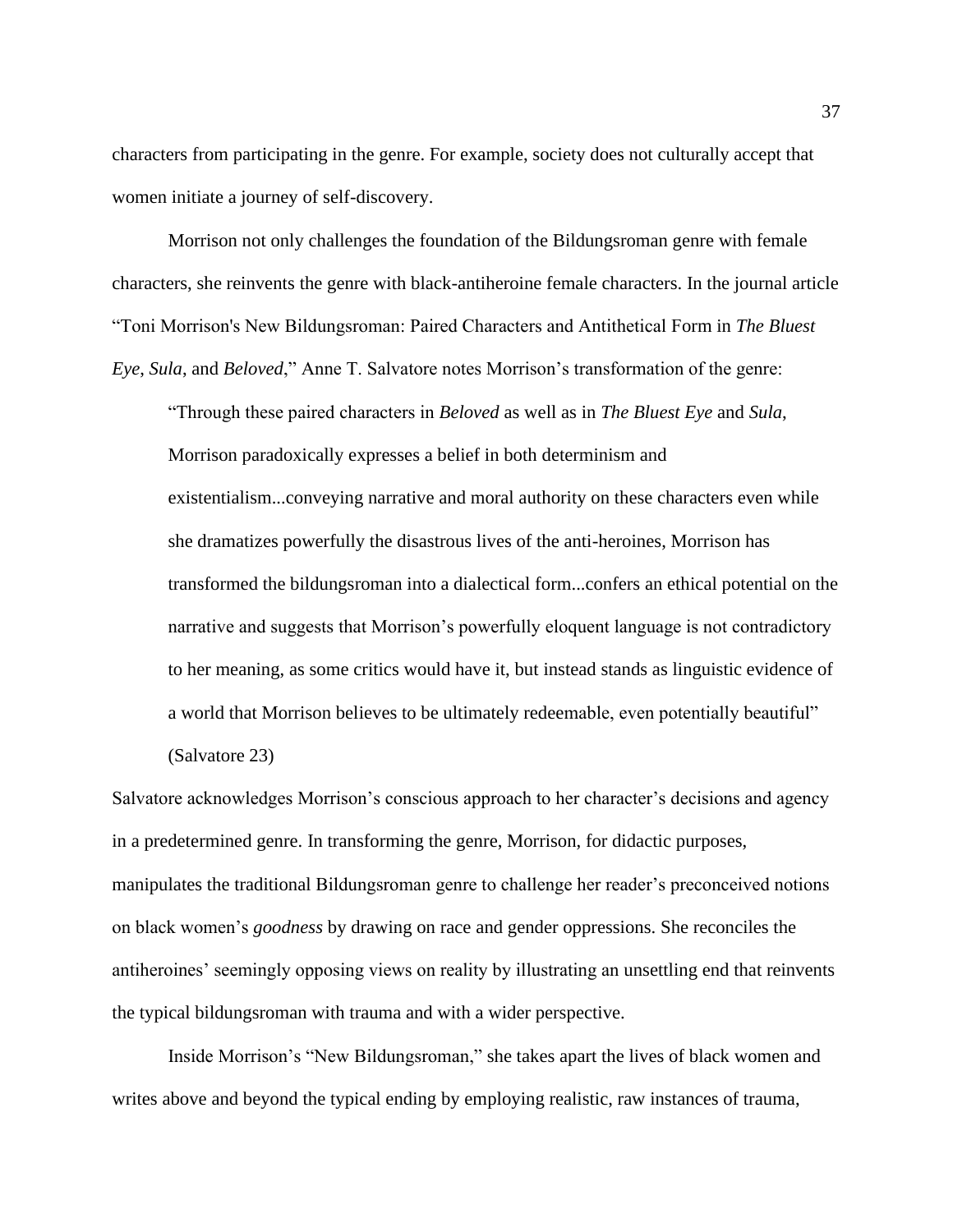characters from participating in the genre. For example, society does not culturally accept that women initiate a journey of self-discovery.

Morrison not only challenges the foundation of the Bildungsroman genre with female characters, she reinvents the genre with black-antiheroine female characters. In the journal article "Toni Morrison's New Bildungsroman: Paired Characters and Antithetical Form in *The Bluest Eye*, *Sula*, and *Beloved*," Anne T. Salvatore notes Morrison's transformation of the genre:

"Through these paired characters in *Beloved* as well as in *The Bluest Eye* and *Sula*, Morrison paradoxically expresses a belief in both determinism and existentialism...conveying narrative and moral authority on these characters even while she dramatizes powerfully the disastrous lives of the anti-heroines, Morrison has transformed the bildungsroman into a dialectical form...confers an ethical potential on the narrative and suggests that Morrison's powerfully eloquent language is not contradictory to her meaning, as some critics would have it, but instead stands as linguistic evidence of a world that Morrison believes to be ultimately redeemable, even potentially beautiful" (Salvatore 23)

Salvatore acknowledges Morrison's conscious approach to her character's decisions and agency in a predetermined genre. In transforming the genre, Morrison, for didactic purposes, manipulates the traditional Bildungsroman genre to challenge her reader's preconceived notions on black women's *goodness* by drawing on race and gender oppressions. She reconciles the antiheroines' seemingly opposing views on reality by illustrating an unsettling end that reinvents the typical bildungsroman with trauma and with a wider perspective.

Inside Morrison's "New Bildungsroman," she takes apart the lives of black women and writes above and beyond the typical ending by employing realistic, raw instances of trauma,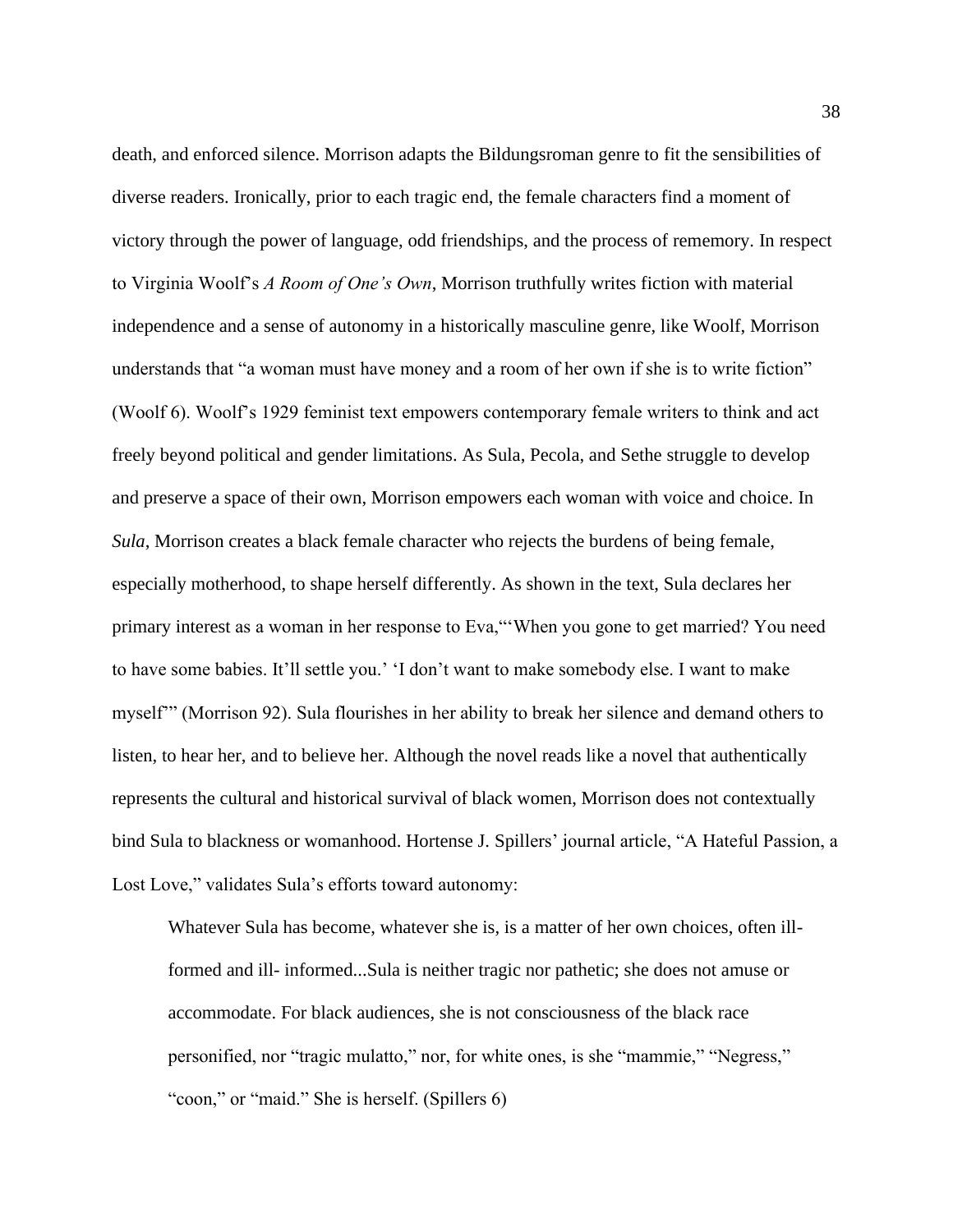death, and enforced silence. Morrison adapts the Bildungsroman genre to fit the sensibilities of diverse readers. Ironically, prior to each tragic end, the female characters find a moment of victory through the power of language, odd friendships, and the process of rememory. In respect to Virginia Woolf's *A Room of One's Own*, Morrison truthfully writes fiction with material independence and a sense of autonomy in a historically masculine genre, like Woolf, Morrison understands that "a woman must have money and a room of her own if she is to write fiction" (Woolf 6). Woolf's 1929 feminist text empowers contemporary female writers to think and act freely beyond political and gender limitations. As Sula, Pecola, and Sethe struggle to develop and preserve a space of their own, Morrison empowers each woman with voice and choice. In *Sula*, Morrison creates a black female character who rejects the burdens of being female, especially motherhood, to shape herself differently. As shown in the text, Sula declares her primary interest as a woman in her response to Eva,"'When you gone to get married? You need to have some babies. It'll settle you.' 'I don't want to make somebody else. I want to make myself'" (Morrison 92). Sula flourishes in her ability to break her silence and demand others to listen, to hear her, and to believe her. Although the novel reads like a novel that authentically represents the cultural and historical survival of black women, Morrison does not contextually bind Sula to blackness or womanhood. Hortense J. Spillers' journal article, "A Hateful Passion, a Lost Love," validates Sula's efforts toward autonomy:

Whatever Sula has become, whatever she is, is a matter of her own choices, often illformed and ill- informed...Sula is neither tragic nor pathetic; she does not amuse or accommodate. For black audiences, she is not consciousness of the black race personified, nor "tragic mulatto," nor, for white ones, is she "mammie," "Negress," "coon," or "maid." She is herself. (Spillers 6)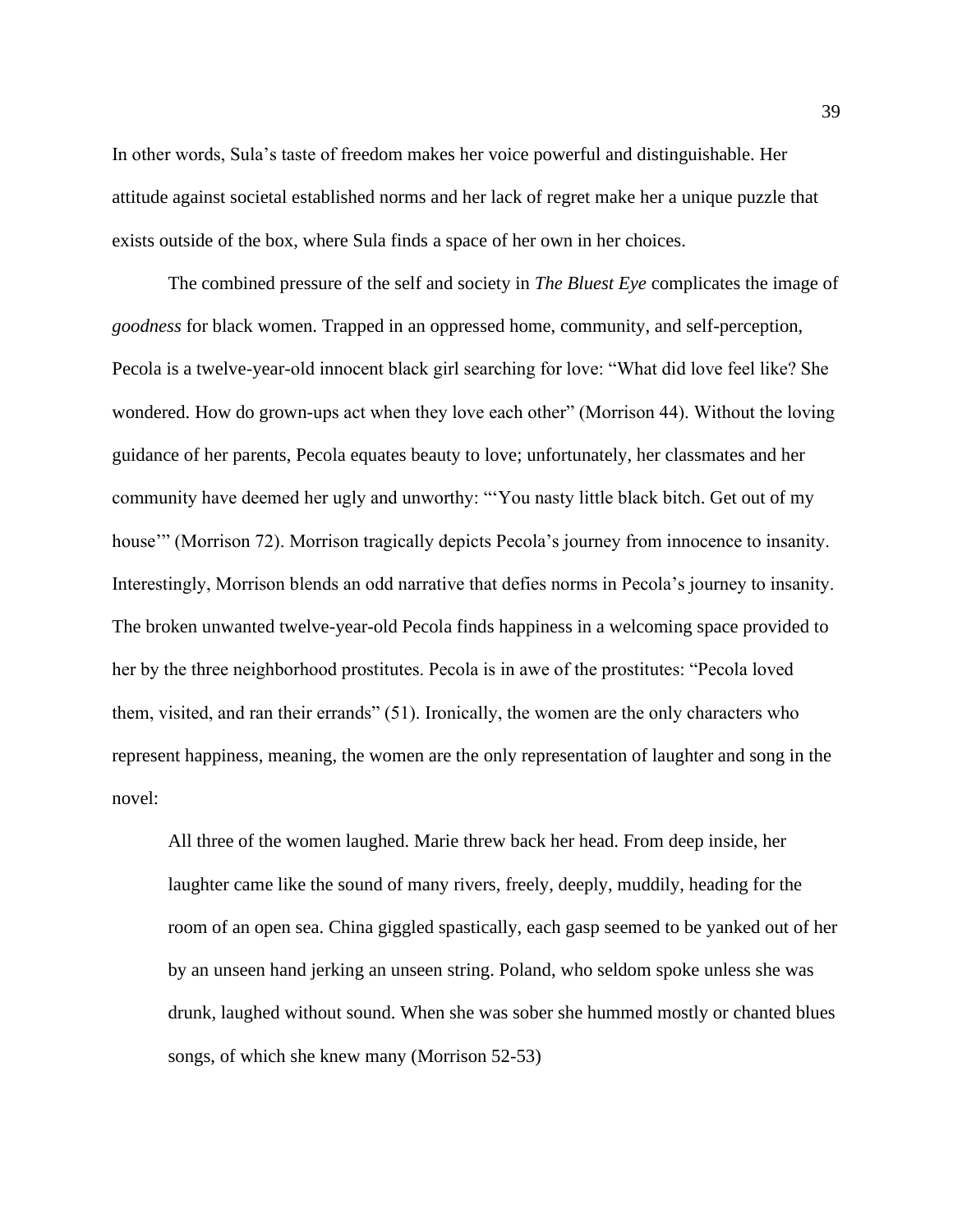In other words, Sula's taste of freedom makes her voice powerful and distinguishable. Her attitude against societal established norms and her lack of regret make her a unique puzzle that exists outside of the box, where Sula finds a space of her own in her choices.

The combined pressure of the self and society in *The Bluest Eye* complicates the image of *goodness* for black women. Trapped in an oppressed home, community, and self-perception, Pecola is a twelve-year-old innocent black girl searching for love: "What did love feel like? She wondered. How do grown-ups act when they love each other" (Morrison 44). Without the loving guidance of her parents, Pecola equates beauty to love; unfortunately, her classmates and her community have deemed her ugly and unworthy: "'You nasty little black bitch. Get out of my house" (Morrison 72). Morrison tragically depicts Pecola's journey from innocence to insanity. Interestingly, Morrison blends an odd narrative that defies norms in Pecola's journey to insanity. The broken unwanted twelve-year-old Pecola finds happiness in a welcoming space provided to her by the three neighborhood prostitutes. Pecola is in awe of the prostitutes: "Pecola loved them, visited, and ran their errands" (51). Ironically, the women are the only characters who represent happiness, meaning, the women are the only representation of laughter and song in the novel:

All three of the women laughed. Marie threw back her head. From deep inside, her laughter came like the sound of many rivers, freely, deeply, muddily, heading for the room of an open sea. China giggled spastically, each gasp seemed to be yanked out of her by an unseen hand jerking an unseen string. Poland, who seldom spoke unless she was drunk, laughed without sound. When she was sober she hummed mostly or chanted blues songs, of which she knew many (Morrison 52-53)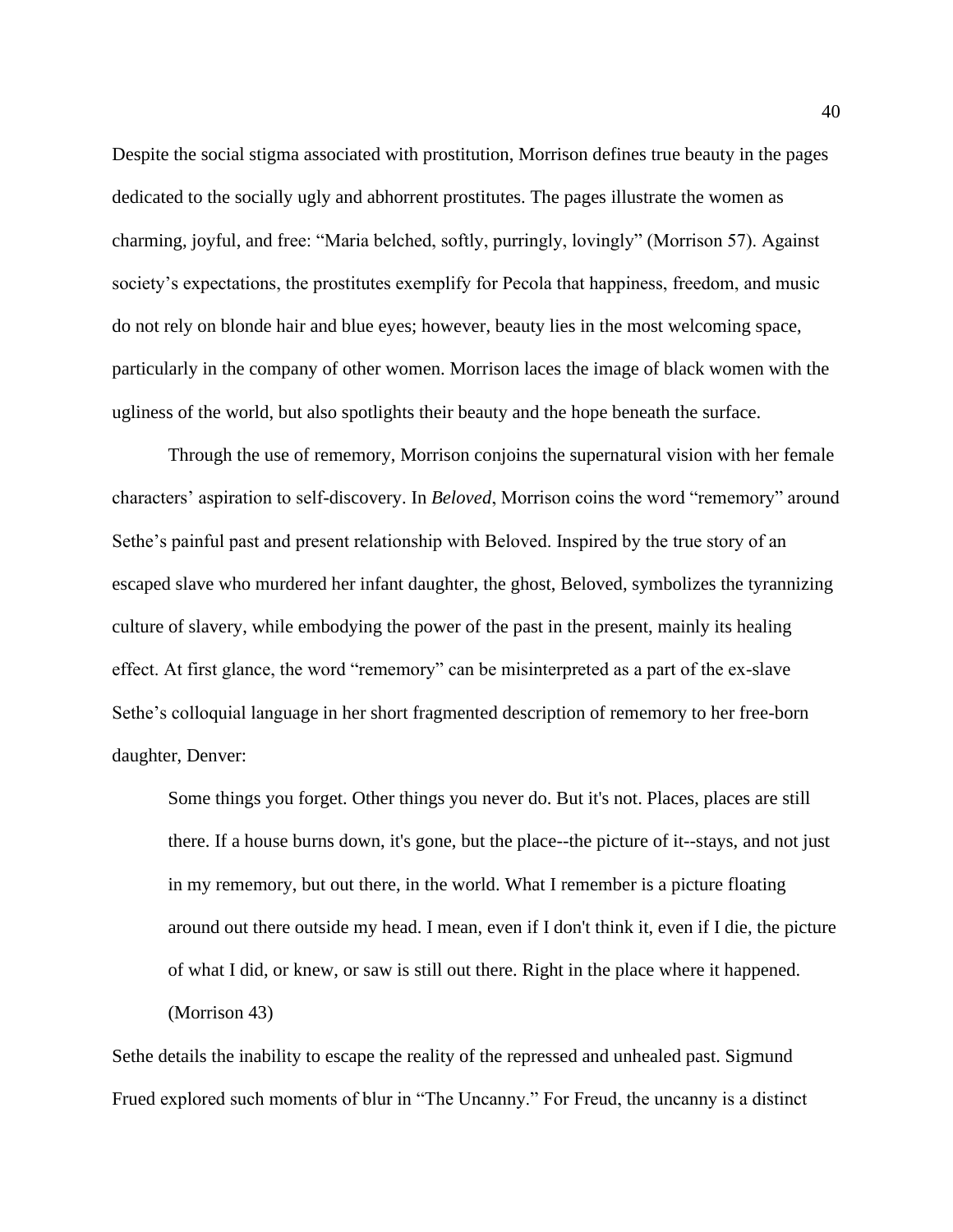Despite the social stigma associated with prostitution, Morrison defines true beauty in the pages dedicated to the socially ugly and abhorrent prostitutes. The pages illustrate the women as charming, joyful, and free: "Maria belched, softly, purringly, lovingly" (Morrison 57). Against society's expectations, the prostitutes exemplify for Pecola that happiness, freedom, and music do not rely on blonde hair and blue eyes; however, beauty lies in the most welcoming space, particularly in the company of other women. Morrison laces the image of black women with the ugliness of the world, but also spotlights their beauty and the hope beneath the surface.

Through the use of rememory, Morrison conjoins the supernatural vision with her female characters' aspiration to self-discovery. In *Beloved*, Morrison coins the word "rememory" around Sethe's painful past and present relationship with Beloved. Inspired by the true story of an escaped slave who murdered her infant daughter, the ghost, Beloved, symbolizes the tyrannizing culture of slavery, while embodying the power of the past in the present, mainly its healing effect. At first glance, the word "rememory" can be misinterpreted as a part of the ex-slave Sethe's colloquial language in her short fragmented description of rememory to her free-born daughter, Denver:

Some things you forget. Other things you never do. But it's not. Places, places are still there. If a house burns down, it's gone, but the place--the picture of it--stays, and not just in my rememory, but out there, in the world. What I remember is a picture floating around out there outside my head. I mean, even if I don't think it, even if I die, the picture of what I did, or knew, or saw is still out there. Right in the place where it happened. (Morrison 43)

Sethe details the inability to escape the reality of the repressed and unhealed past. Sigmund Frued explored such moments of blur in "The Uncanny." For Freud, the uncanny is a distinct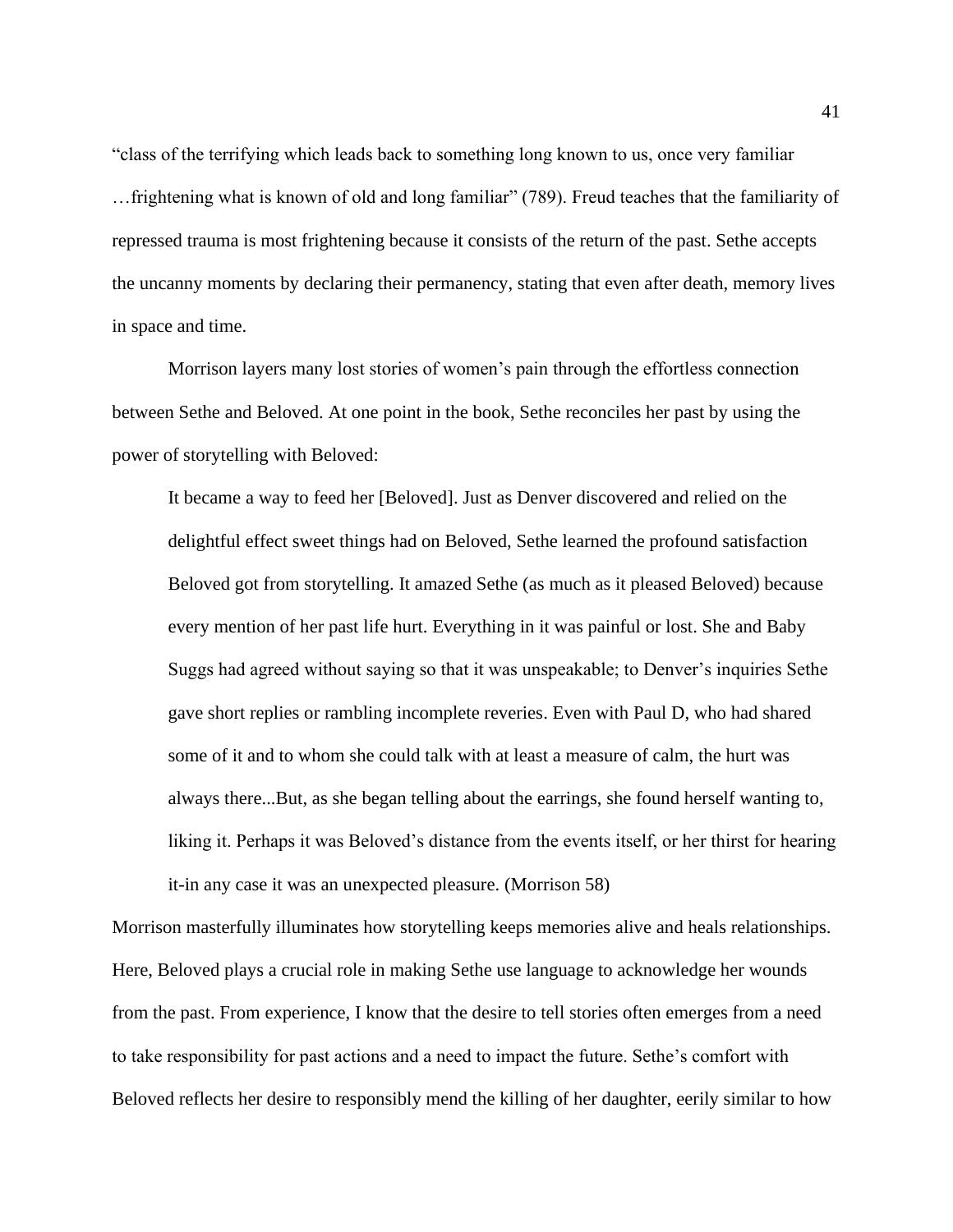"class of the terrifying which leads back to something long known to us, once very familiar …frightening what is known of old and long familiar" (789). Freud teaches that the familiarity of repressed trauma is most frightening because it consists of the return of the past. Sethe accepts the uncanny moments by declaring their permanency, stating that even after death, memory lives in space and time.

Morrison layers many lost stories of women's pain through the effortless connection between Sethe and Beloved. At one point in the book, Sethe reconciles her past by using the power of storytelling with Beloved:

It became a way to feed her [Beloved]. Just as Denver discovered and relied on the delightful effect sweet things had on Beloved, Sethe learned the profound satisfaction Beloved got from storytelling. It amazed Sethe (as much as it pleased Beloved) because every mention of her past life hurt. Everything in it was painful or lost. She and Baby Suggs had agreed without saying so that it was unspeakable; to Denver's inquiries Sethe gave short replies or rambling incomplete reveries. Even with Paul D, who had shared some of it and to whom she could talk with at least a measure of calm, the hurt was always there...But, as she began telling about the earrings, she found herself wanting to, liking it. Perhaps it was Beloved's distance from the events itself, or her thirst for hearing it-in any case it was an unexpected pleasure. (Morrison 58)

Morrison masterfully illuminates how storytelling keeps memories alive and heals relationships. Here, Beloved plays a crucial role in making Sethe use language to acknowledge her wounds from the past. From experience, I know that the desire to tell stories often emerges from a need to take responsibility for past actions and a need to impact the future. Sethe's comfort with Beloved reflects her desire to responsibly mend the killing of her daughter, eerily similar to how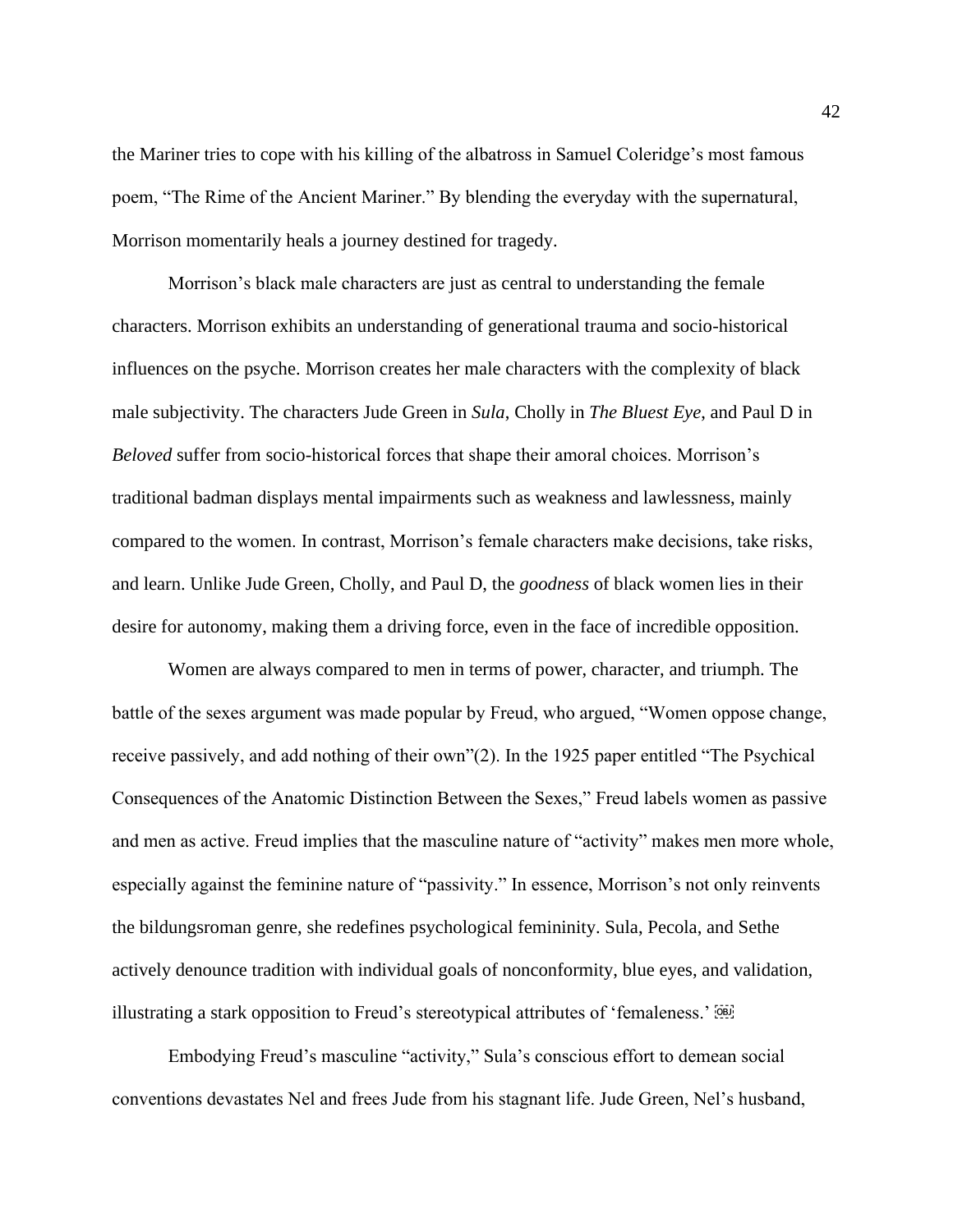the Mariner tries to cope with his killing of the albatross in Samuel Coleridge's most famous poem, "The Rime of the Ancient Mariner." By blending the everyday with the supernatural, Morrison momentarily heals a journey destined for tragedy.

Morrison's black male characters are just as central to understanding the female characters. Morrison exhibits an understanding of generational trauma and socio-historical influences on the psyche. Morrison creates her male characters with the complexity of black male subjectivity. The characters Jude Green in *Sula*, Cholly in *The Bluest Eye*, and Paul D in *Beloved* suffer from socio-historical forces that shape their amoral choices. Morrison's traditional badman displays mental impairments such as weakness and lawlessness, mainly compared to the women. In contrast, Morrison's female characters make decisions, take risks, and learn. Unlike Jude Green, Cholly, and Paul D, the *goodness* of black women lies in their desire for autonomy, making them a driving force, even in the face of incredible opposition.

Women are always compared to men in terms of power, character, and triumph. The battle of the sexes argument was made popular by Freud, who argued, "Women oppose change, receive passively, and add nothing of their own"(2). In the 1925 paper entitled "The Psychical Consequences of the Anatomic Distinction Between the Sexes," Freud labels women as passive and men as active. Freud implies that the masculine nature of "activity" makes men more whole, especially against the feminine nature of "passivity." In essence, Morrison's not only reinvents the bildungsroman genre, she redefines psychological femininity. Sula, Pecola, and Sethe actively denounce tradition with individual goals of nonconformity, blue eyes, and validation, illustrating a stark opposition to Freud's stereotypical attributes of 'femaleness.'

Embodying Freud's masculine "activity," Sula's conscious effort to demean social conventions devastates Nel and frees Jude from his stagnant life. Jude Green, Nel's husband,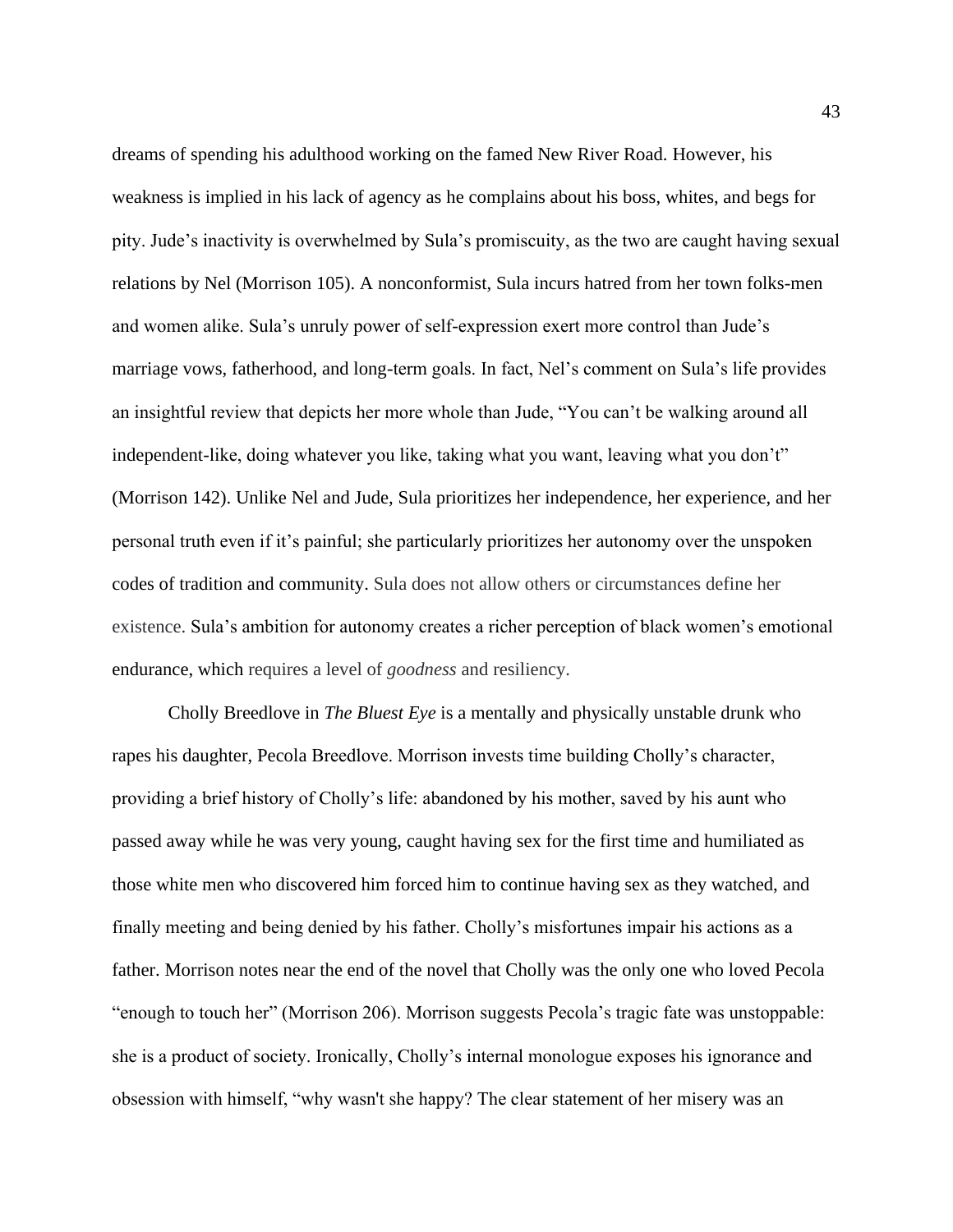dreams of spending his adulthood working on the famed New River Road. However, his weakness is implied in his lack of agency as he complains about his boss, whites, and begs for pity. Jude's inactivity is overwhelmed by Sula's promiscuity, as the two are caught having sexual relations by Nel (Morrison 105). A nonconformist, Sula incurs hatred from her town folks-men and women alike. Sula's unruly power of self-expression exert more control than Jude's marriage vows, fatherhood, and long-term goals. In fact, Nel's comment on Sula's life provides an insightful review that depicts her more whole than Jude, "You can't be walking around all independent-like, doing whatever you like, taking what you want, leaving what you don't" (Morrison 142). Unlike Nel and Jude, Sula prioritizes her independence, her experience, and her personal truth even if it's painful; she particularly prioritizes her autonomy over the unspoken codes of tradition and community. Sula does not allow others or circumstances define her existence. Sula's ambition for autonomy creates a richer perception of black women's emotional endurance, which requires a level of *goodness* and resiliency.

Cholly Breedlove in *The Bluest Eye* is a mentally and physically unstable drunk who rapes his daughter, Pecola Breedlove. Morrison invests time building Cholly's character, providing a brief history of Cholly's life: abandoned by his mother, saved by his aunt who passed away while he was very young, caught having sex for the first time and humiliated as those white men who discovered him forced him to continue having sex as they watched, and finally meeting and being denied by his father. Cholly's misfortunes impair his actions as a father. Morrison notes near the end of the novel that Cholly was the only one who loved Pecola "enough to touch her" (Morrison 206). Morrison suggests Pecola's tragic fate was unstoppable: she is a product of society. Ironically, Cholly's internal monologue exposes his ignorance and obsession with himself, "why wasn't she happy? The clear statement of her misery was an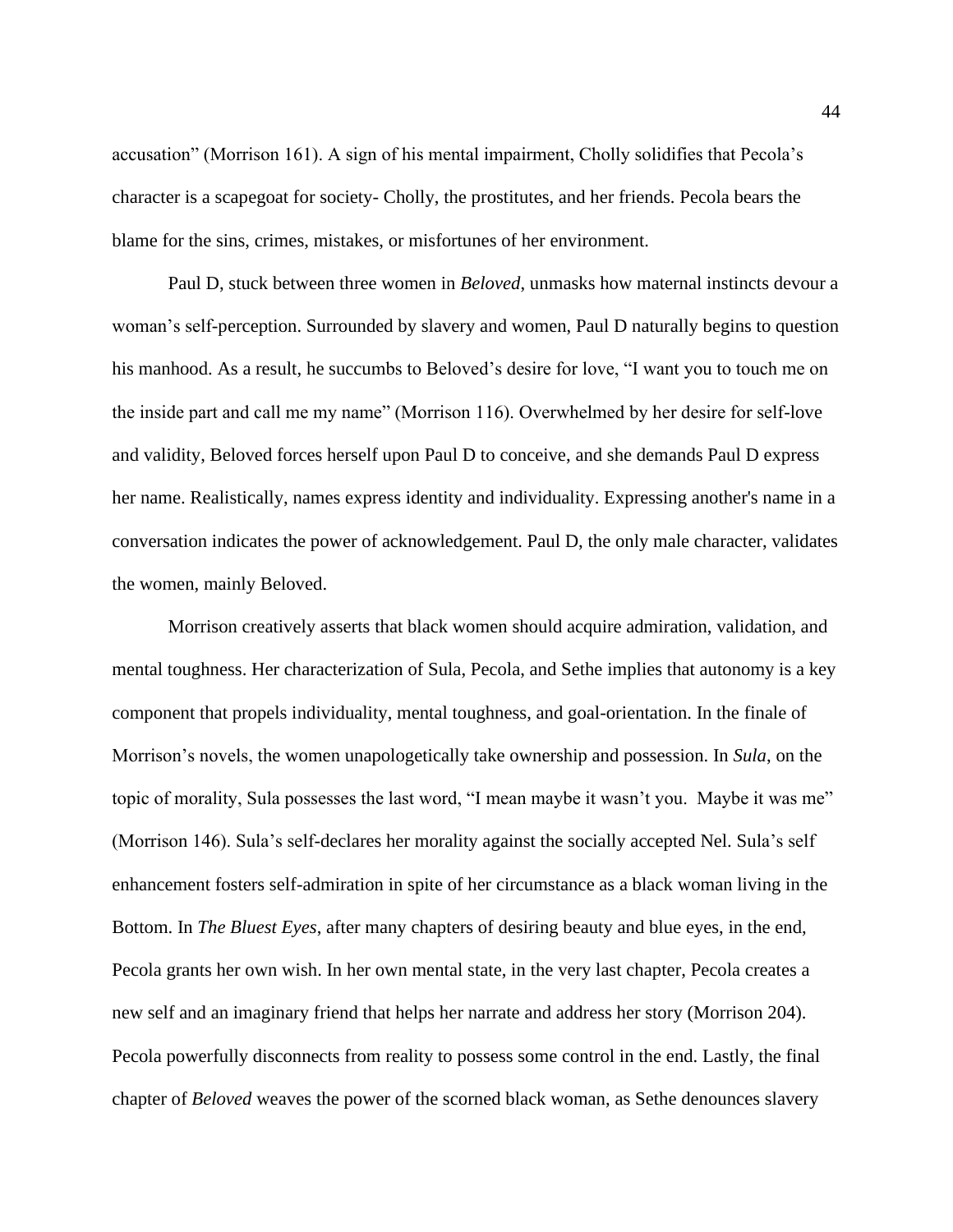accusation" (Morrison 161). A sign of his mental impairment, Cholly solidifies that Pecola's character is a scapegoat for society- Cholly, the prostitutes, and her friends. Pecola bears the blame for the sins, crimes, mistakes, or misfortunes of her environment.

Paul D, stuck between three women in *Beloved*, unmasks how maternal instincts devour a woman's self-perception. Surrounded by slavery and women, Paul D naturally begins to question his manhood. As a result, he succumbs to Beloved's desire for love, "I want you to touch me on the inside part and call me my name" (Morrison 116). Overwhelmed by her desire for self-love and validity, Beloved forces herself upon Paul D to conceive, and she demands Paul D express her name. Realistically, names express identity and individuality. Expressing another's name in a conversation indicates the power of acknowledgement. Paul D, the only male character, validates the women, mainly Beloved.

Morrison creatively asserts that black women should acquire admiration, validation, and mental toughness. Her characterization of Sula, Pecola, and Sethe implies that autonomy is a key component that propels individuality, mental toughness, and goal-orientation. In the finale of Morrison's novels, the women unapologetically take ownership and possession. In *Sula*, on the topic of morality, Sula possesses the last word, "I mean maybe it wasn't you. Maybe it was me" (Morrison 146). Sula's self-declares her morality against the socially accepted Nel. Sula's self enhancement fosters self-admiration in spite of her circumstance as a black woman living in the Bottom. In *The Bluest Eyes*, after many chapters of desiring beauty and blue eyes, in the end, Pecola grants her own wish. In her own mental state, in the very last chapter, Pecola creates a new self and an imaginary friend that helps her narrate and address her story (Morrison 204). Pecola powerfully disconnects from reality to possess some control in the end. Lastly, the final chapter of *Beloved* weaves the power of the scorned black woman, as Sethe denounces slavery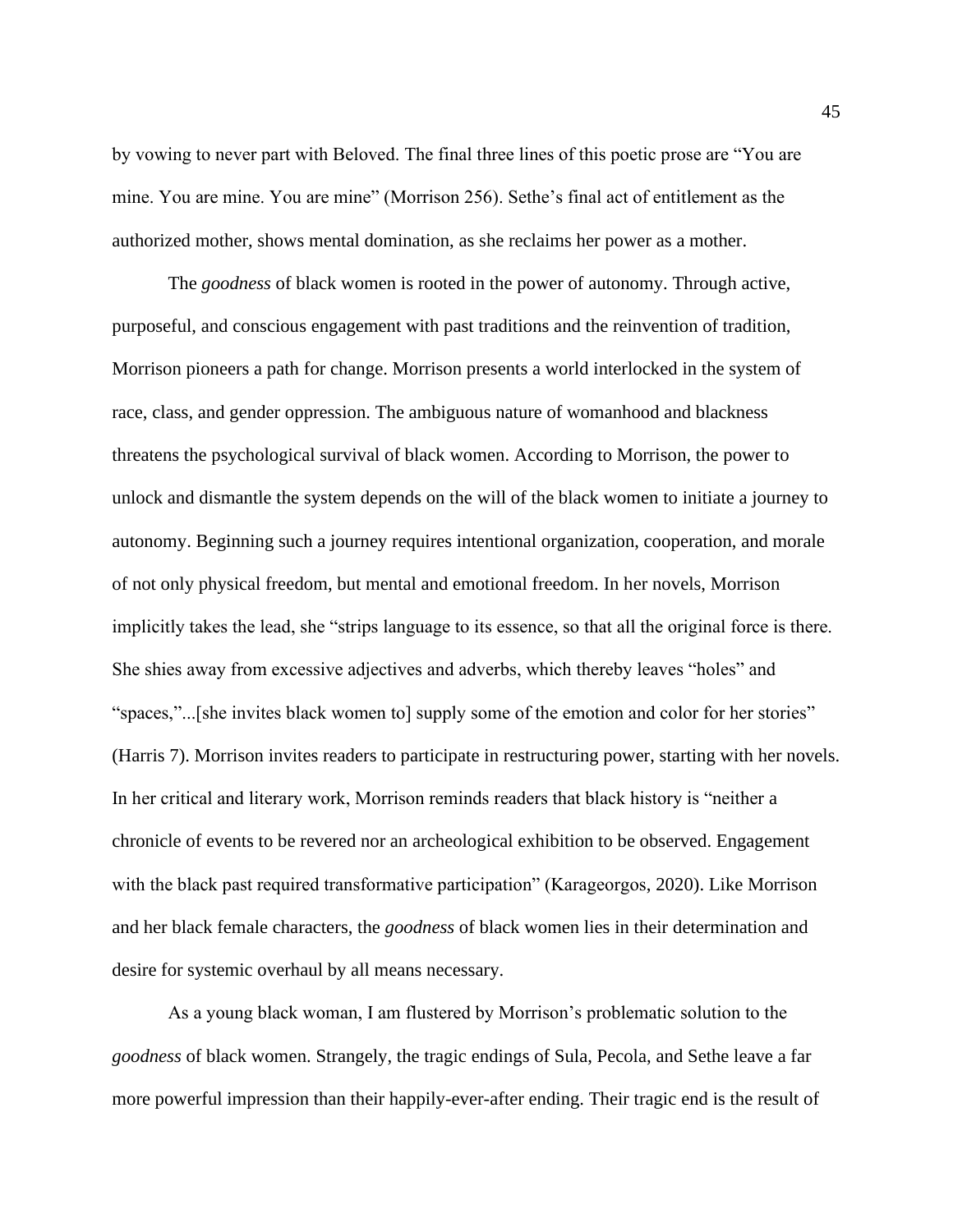by vowing to never part with Beloved. The final three lines of this poetic prose are "You are mine. You are mine. You are mine" (Morrison 256). Sethe's final act of entitlement as the authorized mother, shows mental domination, as she reclaims her power as a mother.

The *goodness* of black women is rooted in the power of autonomy. Through active, purposeful, and conscious engagement with past traditions and the reinvention of tradition, Morrison pioneers a path for change. Morrison presents a world interlocked in the system of race, class, and gender oppression. The ambiguous nature of womanhood and blackness threatens the psychological survival of black women. According to Morrison, the power to unlock and dismantle the system depends on the will of the black women to initiate a journey to autonomy. Beginning such a journey requires intentional organization, cooperation, and morale of not only physical freedom, but mental and emotional freedom. In her novels, Morrison implicitly takes the lead, she "strips language to its essence, so that all the original force is there. She shies away from excessive adjectives and adverbs, which thereby leaves "holes" and "spaces,"...[she invites black women to] supply some of the emotion and color for her stories" (Harris 7). Morrison invites readers to participate in restructuring power, starting with her novels. In her critical and literary work, Morrison reminds readers that black history is "neither a chronicle of events to be revered nor an archeological exhibition to be observed. Engagement with the black past required transformative participation" (Karageorgos, 2020). Like Morrison and her black female characters, the *goodness* of black women lies in their determination and desire for systemic overhaul by all means necessary.

As a young black woman, I am flustered by Morrison's problematic solution to the *goodness* of black women. Strangely, the tragic endings of Sula, Pecola, and Sethe leave a far more powerful impression than their happily-ever-after ending. Their tragic end is the result of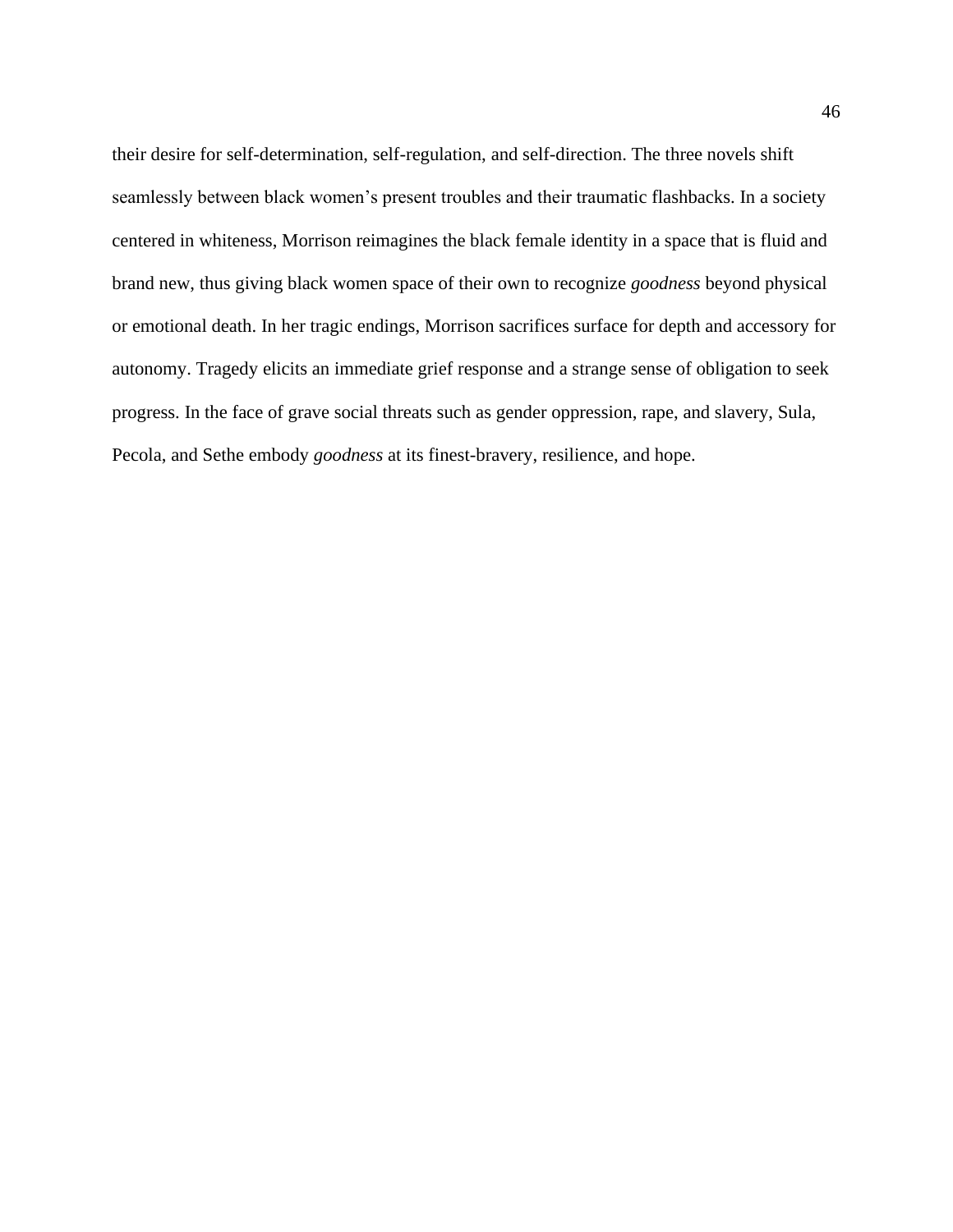their desire for self-determination, self-regulation, and self-direction. The three novels shift seamlessly between black women's present troubles and their traumatic flashbacks. In a society centered in whiteness, Morrison reimagines the black female identity in a space that is fluid and brand new, thus giving black women space of their own to recognize *goodness* beyond physical or emotional death. In her tragic endings, Morrison sacrifices surface for depth and accessory for autonomy. Tragedy elicits an immediate grief response and a strange sense of obligation to seek progress. In the face of grave social threats such as gender oppression, rape, and slavery, Sula, Pecola, and Sethe embody *goodness* at its finest-bravery, resilience, and hope.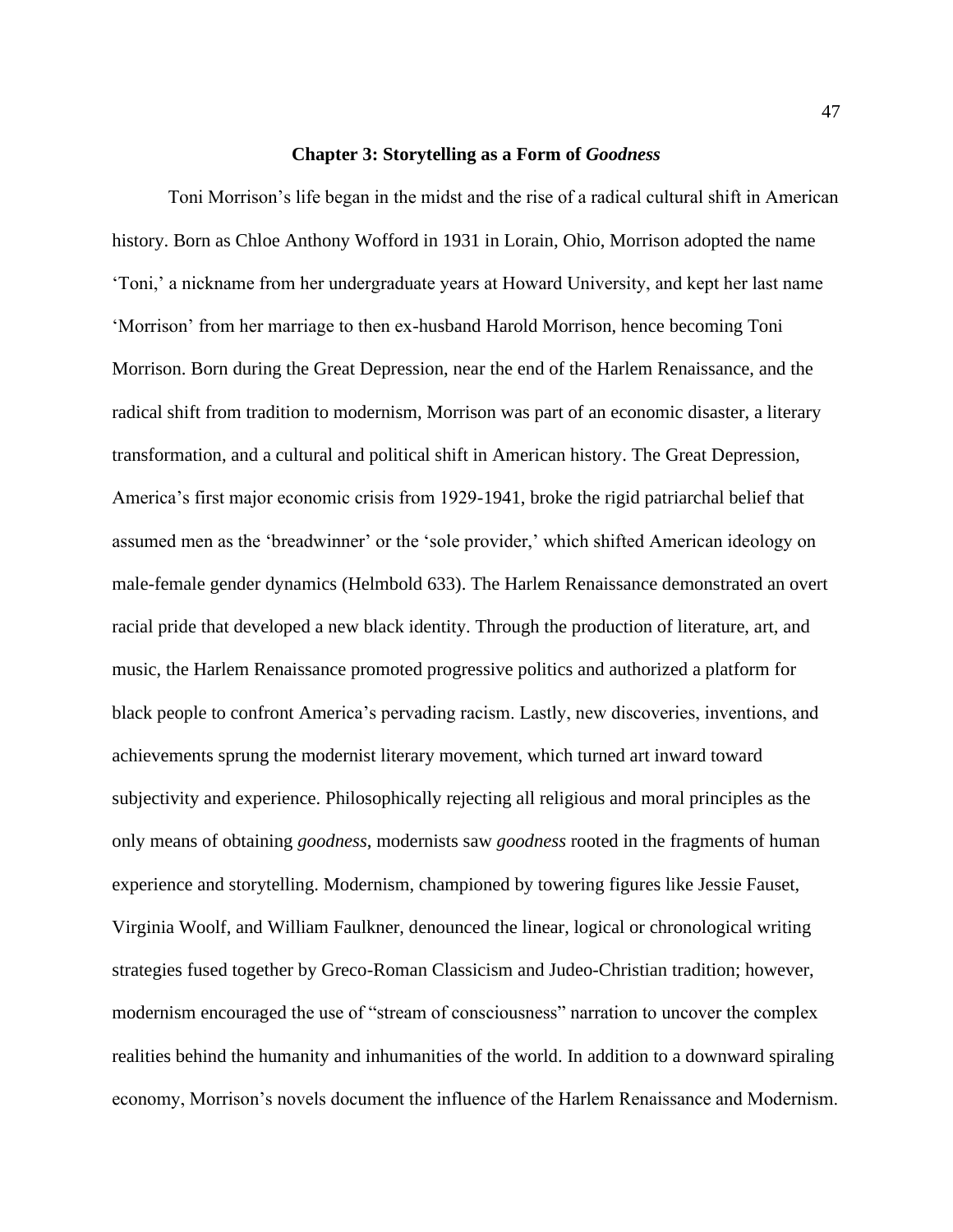#### **Chapter 3: Storytelling as a Form of** *Goodness*

Toni Morrison's life began in the midst and the rise of a radical cultural shift in American history. Born as Chloe Anthony Wofford in 1931 in Lorain, Ohio, Morrison adopted the name 'Toni,' a nickname from her undergraduate years at Howard University, and kept her last name 'Morrison' from her marriage to then ex-husband Harold Morrison, hence becoming Toni Morrison. Born during the Great Depression, near the end of the Harlem Renaissance, and the radical shift from tradition to modernism, Morrison was part of an economic disaster, a literary transformation, and a cultural and political shift in American history. The Great Depression, America's first major economic crisis from 1929-1941, broke the rigid patriarchal belief that assumed men as the 'breadwinner' or the 'sole provider,' which shifted American ideology on male-female gender dynamics (Helmbold 633). The Harlem Renaissance demonstrated an overt racial pride that developed a new black identity. Through the production of literature, art, and music, the Harlem Renaissance promoted progressive politics and authorized a platform for black people to confront America's pervading racism. Lastly, new discoveries, inventions, and achievements sprung the modernist literary movement, which turned art inward toward subjectivity and experience. Philosophically rejecting all religious and moral principles as the only means of obtaining *goodness*, modernists saw *goodness* rooted in the fragments of human experience and storytelling. Modernism, championed by towering figures like Jessie Fauset, Virginia Woolf, and William Faulkner, denounced the linear, logical or chronological writing strategies fused together by Greco-Roman Classicism and Judeo-Christian tradition; however, modernism encouraged the use of "stream of consciousness" narration to uncover the complex realities behind the humanity and inhumanities of the world. In addition to a downward spiraling economy, Morrison's novels document the influence of the Harlem Renaissance and Modernism.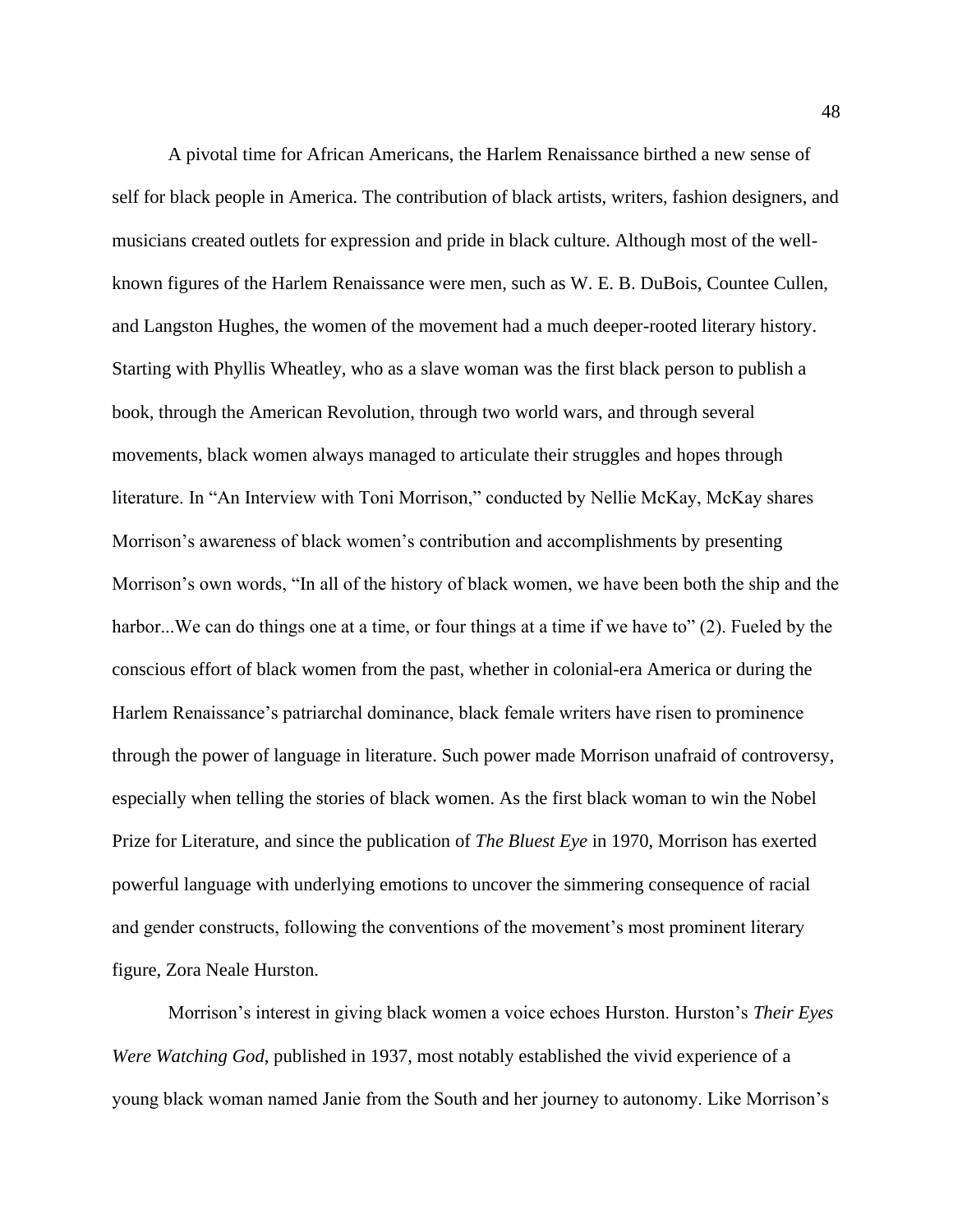A pivotal time for African Americans, the Harlem Renaissance birthed a new sense of self for black people in America. The contribution of black artists, writers, fashion designers, and musicians created outlets for expression and pride in black culture. Although most of the wellknown figures of the Harlem Renaissance were men, such as W. E. B. DuBois, Countee Cullen, and Langston Hughes, the women of the movement had a much deeper-rooted literary history. Starting with Phyllis Wheatley, who as a slave woman was the first black person to publish a book, through the American Revolution, through two world wars, and through several movements, black women always managed to articulate their struggles and hopes through literature. In "An Interview with Toni Morrison," conducted by Nellie McKay, McKay shares Morrison's awareness of black women's contribution and accomplishments by presenting Morrison's own words, "In all of the history of black women, we have been both the ship and the harbor...We can do things one at a time, or four things at a time if we have to" (2). Fueled by the conscious effort of black women from the past, whether in colonial-era America or during the Harlem Renaissance's patriarchal dominance, black female writers have risen to prominence through the power of language in literature. Such power made Morrison unafraid of controversy, especially when telling the stories of black women. As the first black woman to win the Nobel Prize for Literature, and since the publication of *The Bluest Eye* in 1970, Morrison has exerted powerful language with underlying emotions to uncover the simmering consequence of racial and gender constructs, following the conventions of the movement's most prominent literary figure, Zora Neale Hurston.

Morrison's interest in giving black women a voice echoes Hurston. Hurston's *Their Eyes Were Watching God*, published in 1937, most notably established the vivid experience of a young black woman named Janie from the South and her journey to autonomy. Like Morrison's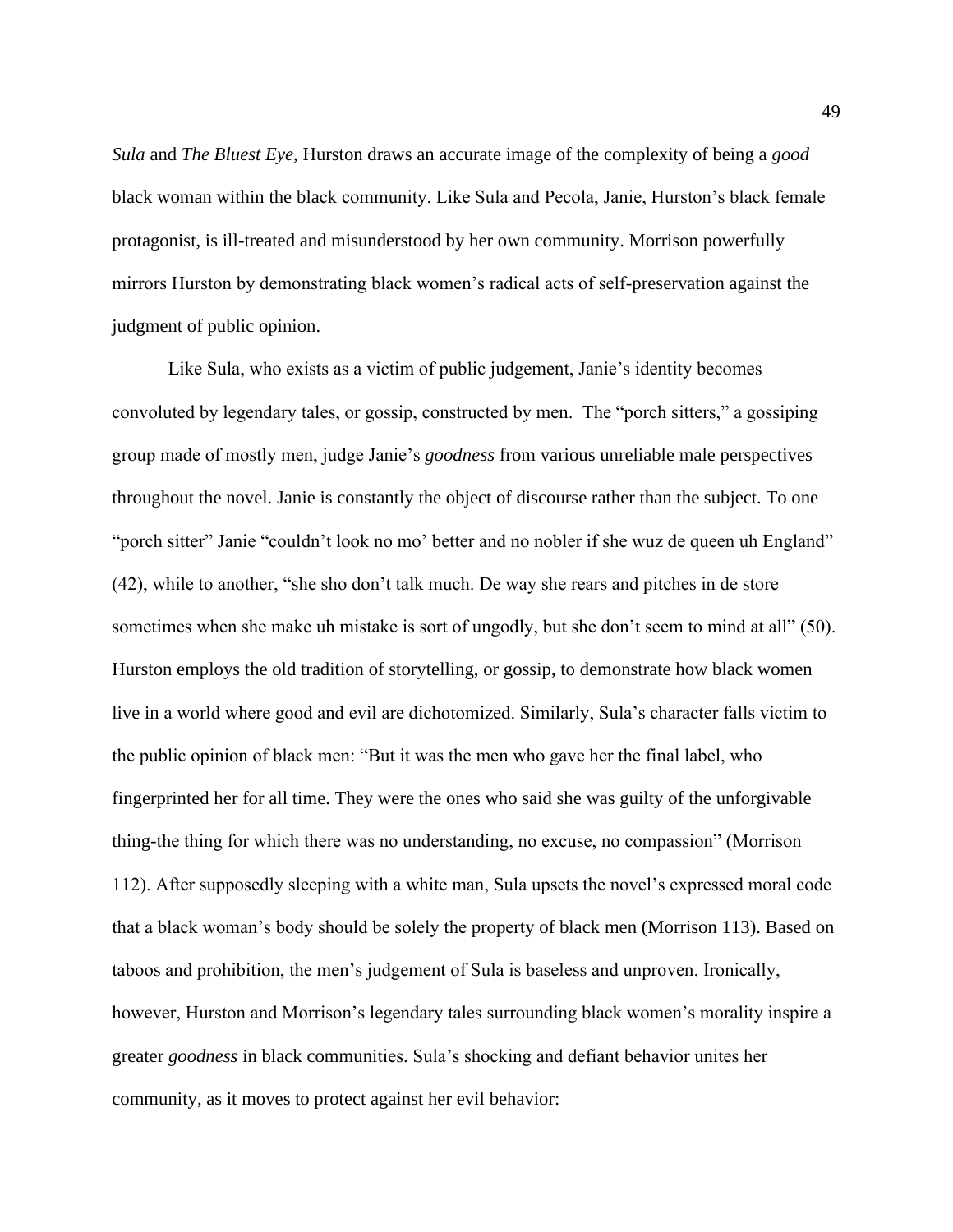*Sula* and *The Bluest Eye*, Hurston draws an accurate image of the complexity of being a *good*  black woman within the black community. Like Sula and Pecola, Janie, Hurston's black female protagonist, is ill-treated and misunderstood by her own community. Morrison powerfully mirrors Hurston by demonstrating black women's radical acts of self-preservation against the judgment of public opinion.

Like Sula, who exists as a victim of public judgement, Janie's identity becomes convoluted by legendary tales, or gossip, constructed by men. The "porch sitters," a gossiping group made of mostly men, judge Janie's *goodness* from various unreliable male perspectives throughout the novel. Janie is constantly the object of discourse rather than the subject. To one "porch sitter" Janie "couldn't look no mo' better and no nobler if she wuz de queen uh England" (42), while to another, "she sho don't talk much. De way she rears and pitches in de store sometimes when she make uh mistake is sort of ungodly, but she don't seem to mind at all" (50). Hurston employs the old tradition of storytelling, or gossip, to demonstrate how black women live in a world where good and evil are dichotomized. Similarly, Sula's character falls victim to the public opinion of black men: "But it was the men who gave her the final label, who fingerprinted her for all time. They were the ones who said she was guilty of the unforgivable thing-the thing for which there was no understanding, no excuse, no compassion" (Morrison 112). After supposedly sleeping with a white man, Sula upsets the novel's expressed moral code that a black woman's body should be solely the property of black men (Morrison 113). Based on taboos and prohibition, the men's judgement of Sula is baseless and unproven. Ironically, however, Hurston and Morrison's legendary tales surrounding black women's morality inspire a greater *goodness* in black communities. Sula's shocking and defiant behavior unites her community, as it moves to protect against her evil behavior: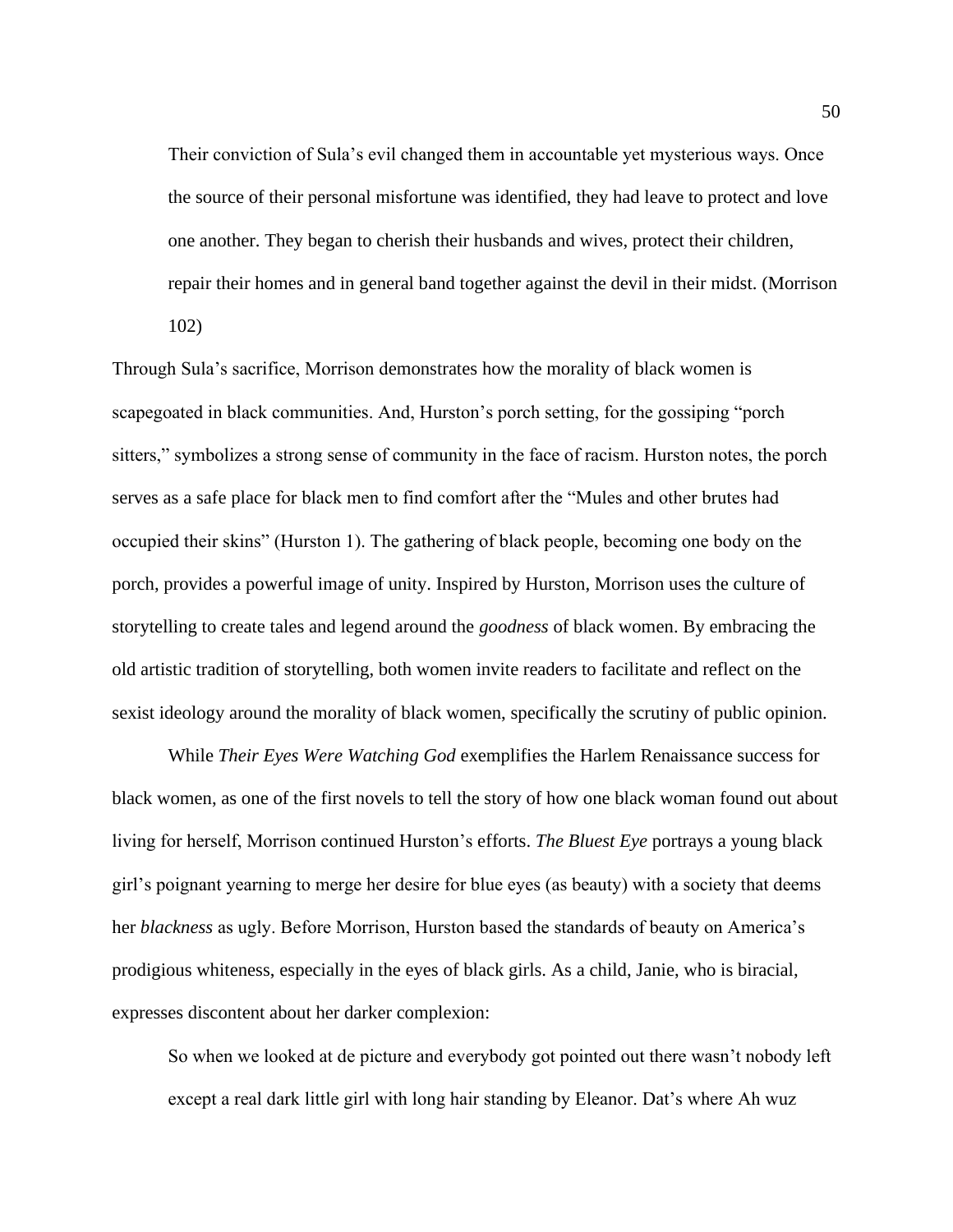Their conviction of Sula's evil changed them in accountable yet mysterious ways. Once the source of their personal misfortune was identified, they had leave to protect and love one another. They began to cherish their husbands and wives, protect their children, repair their homes and in general band together against the devil in their midst. (Morrison 102)

Through Sula's sacrifice, Morrison demonstrates how the morality of black women is scapegoated in black communities. And, Hurston's porch setting, for the gossiping "porch sitters," symbolizes a strong sense of community in the face of racism. Hurston notes, the porch serves as a safe place for black men to find comfort after the "Mules and other brutes had occupied their skins" (Hurston 1). The gathering of black people, becoming one body on the porch, provides a powerful image of unity. Inspired by Hurston, Morrison uses the culture of storytelling to create tales and legend around the *goodness* of black women. By embracing the old artistic tradition of storytelling, both women invite readers to facilitate and reflect on the sexist ideology around the morality of black women, specifically the scrutiny of public opinion.

While *Their Eyes Were Watching God* exemplifies the Harlem Renaissance success for black women, as one of the first novels to tell the story of how one black woman found out about living for herself, Morrison continued Hurston's efforts. *The Bluest Eye* portrays a young black girl's poignant yearning to merge her desire for blue eyes (as beauty) with a society that deems her *blackness* as ugly. Before Morrison, Hurston based the standards of beauty on America's prodigious whiteness, especially in the eyes of black girls. As a child, Janie, who is biracial, expresses discontent about her darker complexion:

So when we looked at de picture and everybody got pointed out there wasn't nobody left except a real dark little girl with long hair standing by Eleanor. Dat's where Ah wuz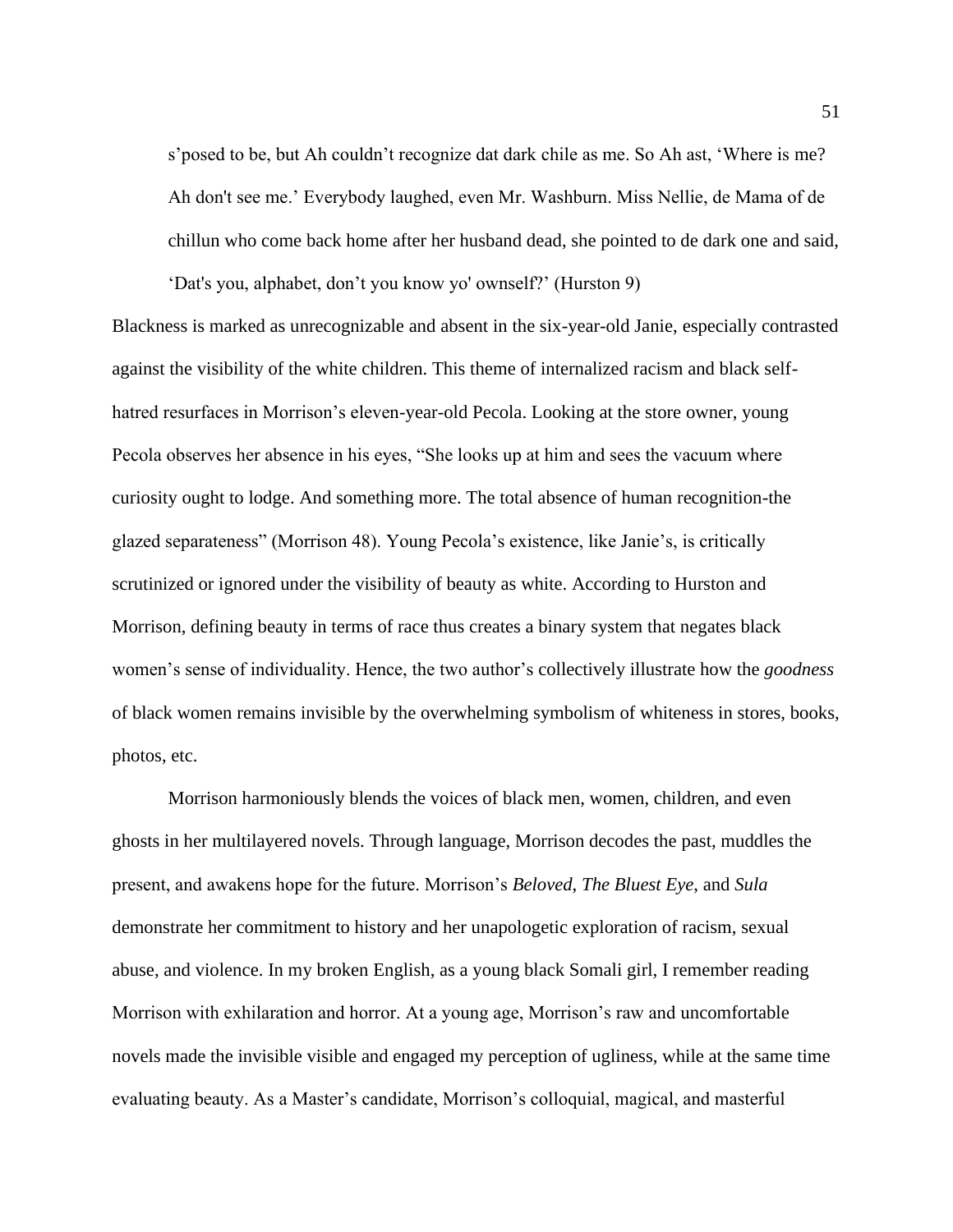s'posed to be, but Ah couldn't recognize dat dark chile as me. So Ah ast, 'Where is me? Ah don't see me.' Everybody laughed, even Mr. Washburn. Miss Nellie, de Mama of de chillun who come back home after her husband dead, she pointed to de dark one and said,

'Dat's you, alphabet, don't you know yo' ownself?' (Hurston 9)

Blackness is marked as unrecognizable and absent in the six-year-old Janie, especially contrasted against the visibility of the white children. This theme of internalized racism and black selfhatred resurfaces in Morrison's eleven-year-old Pecola. Looking at the store owner, young Pecola observes her absence in his eyes, "She looks up at him and sees the vacuum where curiosity ought to lodge. And something more. The total absence of human recognition-the glazed separateness" (Morrison 48). Young Pecola's existence, like Janie's, is critically scrutinized or ignored under the visibility of beauty as white. According to Hurston and Morrison, defining beauty in terms of race thus creates a binary system that negates black women's sense of individuality. Hence, the two author's collectively illustrate how the *goodness*  of black women remains invisible by the overwhelming symbolism of whiteness in stores, books, photos, etc.

Morrison harmoniously blends the voices of black men, women, children, and even ghosts in her multilayered novels. Through language, Morrison decodes the past, muddles the present, and awakens hope for the future. Morrison's *Beloved*, *The Bluest Eye*, and *Sula*  demonstrate her commitment to history and her unapologetic exploration of racism, sexual abuse, and violence. In my broken English, as a young black Somali girl, I remember reading Morrison with exhilaration and horror. At a young age, Morrison's raw and uncomfortable novels made the invisible visible and engaged my perception of ugliness, while at the same time evaluating beauty. As a Master's candidate, Morrison's colloquial, magical, and masterful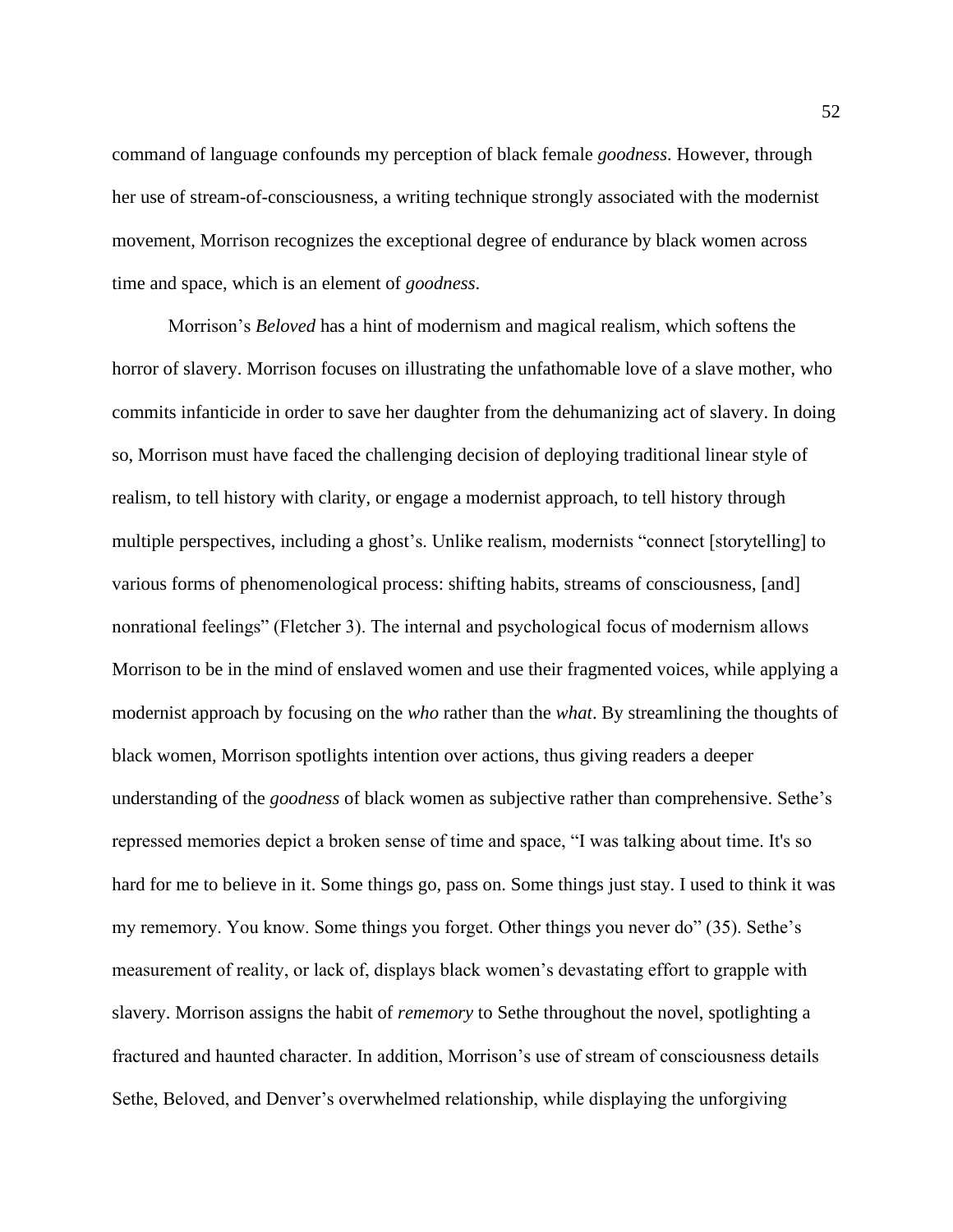command of language confounds my perception of black female *goodness*. However, through her use of stream-of-consciousness, a writing technique strongly associated with the modernist movement, Morrison recognizes the exceptional degree of endurance by black women across time and space, which is an element of *goodness*.

Morrison's *Beloved* has a hint of modernism and magical realism, which softens the horror of slavery. Morrison focuses on illustrating the unfathomable love of a slave mother, who commits infanticide in order to save her daughter from the dehumanizing act of slavery. In doing so, Morrison must have faced the challenging decision of deploying traditional linear style of realism, to tell history with clarity, or engage a modernist approach, to tell history through multiple perspectives, including a ghost's. Unlike realism, modernists "connect [storytelling] to various forms of phenomenological process: shifting habits, streams of consciousness, [and] nonrational feelings" (Fletcher 3). The internal and psychological focus of modernism allows Morrison to be in the mind of enslaved women and use their fragmented voices, while applying a modernist approach by focusing on the *who* rather than the *what*. By streamlining the thoughts of black women, Morrison spotlights intention over actions, thus giving readers a deeper understanding of the *goodness* of black women as subjective rather than comprehensive. Sethe's repressed memories depict a broken sense of time and space, "I was talking about time. It's so hard for me to believe in it. Some things go, pass on. Some things just stay. I used to think it was my rememory. You know. Some things you forget. Other things you never do" (35). Sethe's measurement of reality, or lack of, displays black women's devastating effort to grapple with slavery. Morrison assigns the habit of *rememory* to Sethe throughout the novel, spotlighting a fractured and haunted character. In addition, Morrison's use of stream of consciousness details Sethe, Beloved, and Denver's overwhelmed relationship, while displaying the unforgiving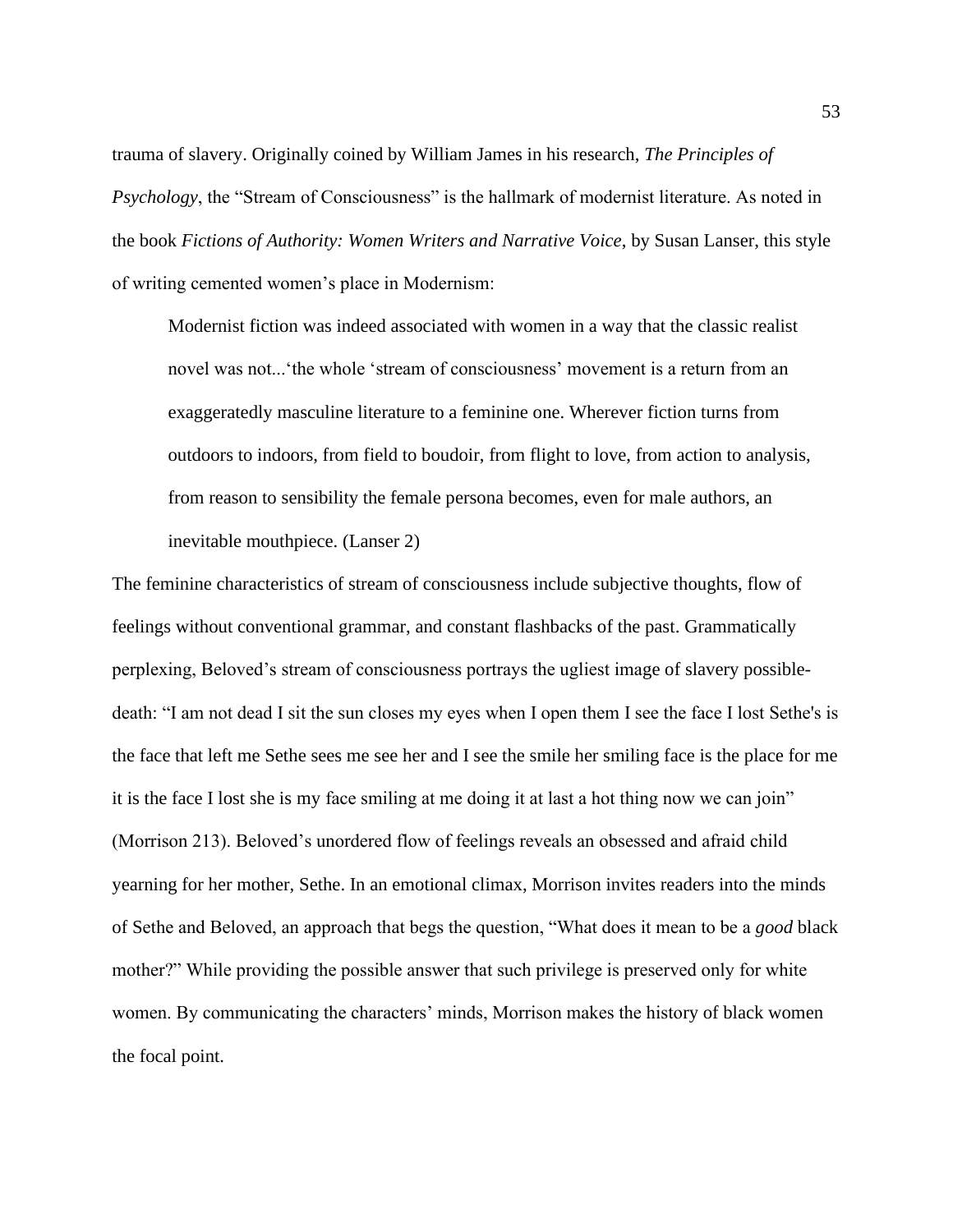trauma of slavery. Originally coined by William James in his research, *The Principles of Psychology*, the "Stream of Consciousness" is the hallmark of modernist literature. As noted in the book *Fictions of Authority: Women Writers and Narrative Voice*, by Susan Lanser, this style of writing cemented women's place in Modernism:

Modernist fiction was indeed associated with women in a way that the classic realist novel was not...'the whole 'stream of consciousness' movement is a return from an exaggeratedly masculine literature to a feminine one. Wherever fiction turns from outdoors to indoors, from field to boudoir, from flight to love, from action to analysis, from reason to sensibility the female persona becomes, even for male authors, an inevitable mouthpiece. (Lanser 2)

The feminine characteristics of stream of consciousness include subjective thoughts, flow of feelings without conventional grammar, and constant flashbacks of the past. Grammatically perplexing, Beloved's stream of consciousness portrays the ugliest image of slavery possibledeath: "I am not dead I sit the sun closes my eyes when I open them I see the face I lost Sethe's is the face that left me Sethe sees me see her and I see the smile her smiling face is the place for me it is the face I lost she is my face smiling at me doing it at last a hot thing now we can join" (Morrison 213). Beloved's unordered flow of feelings reveals an obsessed and afraid child yearning for her mother, Sethe. In an emotional climax, Morrison invites readers into the minds of Sethe and Beloved, an approach that begs the question, "What does it mean to be a *good* black mother?" While providing the possible answer that such privilege is preserved only for white women. By communicating the characters' minds, Morrison makes the history of black women the focal point.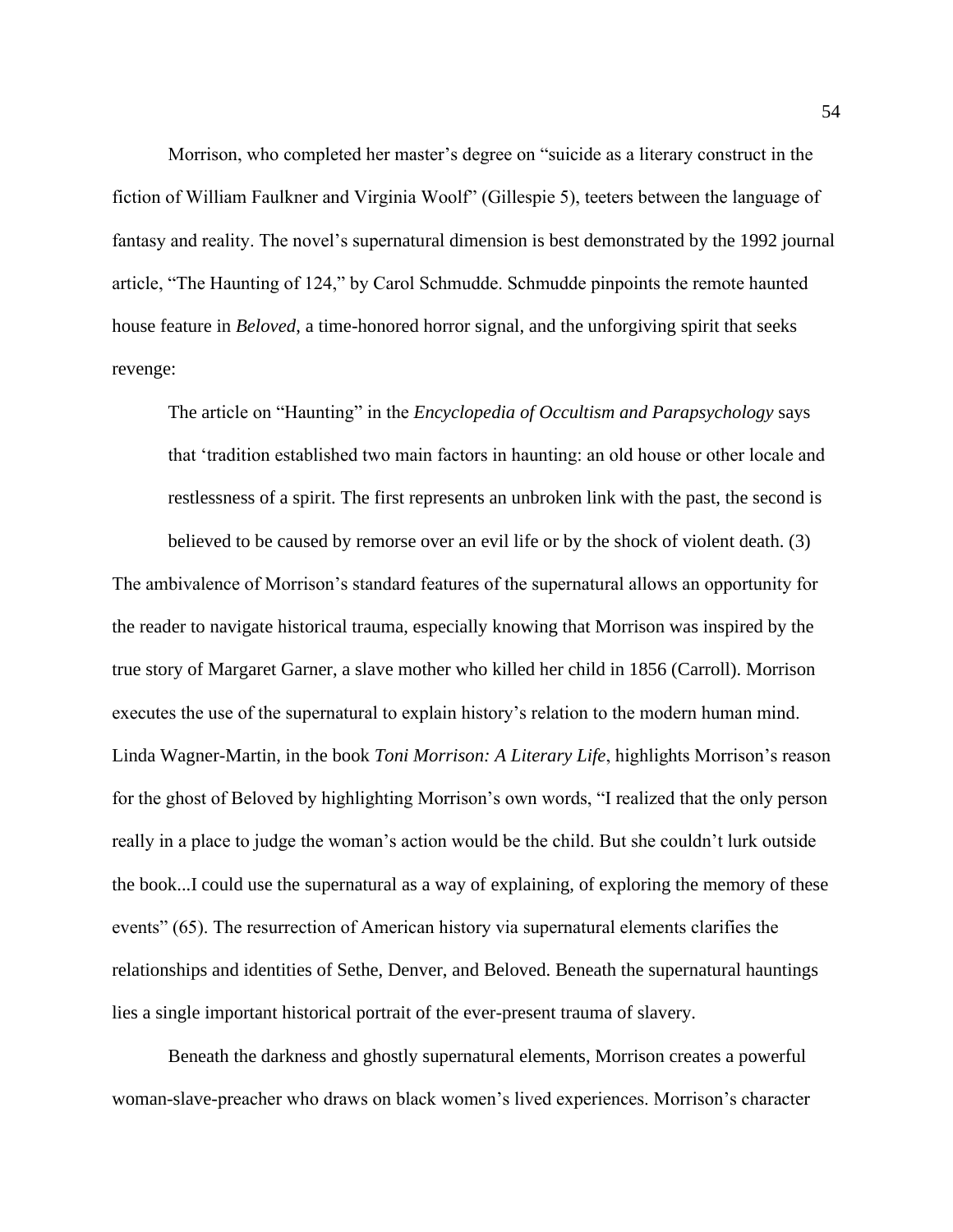Morrison, who completed her master's degree on "suicide as a literary construct in the fiction of William Faulkner and Virginia Woolf" (Gillespie 5), teeters between the language of fantasy and reality. The novel's supernatural dimension is best demonstrated by the 1992 journal article, "The Haunting of 124," by Carol Schmudde. Schmudde pinpoints the remote haunted house feature in *Beloved*, a time-honored horror signal, and the unforgiving spirit that seeks revenge:

The article on "Haunting" in the *Encyclopedia of Occultism and Parapsychology* says that 'tradition established two main factors in haunting: an old house or other locale and restlessness of a spirit. The first represents an unbroken link with the past, the second is

believed to be caused by remorse over an evil life or by the shock of violent death. (3)

The ambivalence of Morrison's standard features of the supernatural allows an opportunity for the reader to navigate historical trauma, especially knowing that Morrison was inspired by the true story of Margaret Garner, a slave mother who killed her child in 1856 (Carroll). Morrison executes the use of the supernatural to explain history's relation to the modern human mind. Linda Wagner-Martin, in the book *Toni Morrison: A Literary Life*, highlights Morrison's reason for the ghost of Beloved by highlighting Morrison's own words, "I realized that the only person really in a place to judge the woman's action would be the child. But she couldn't lurk outside the book...I could use the supernatural as a way of explaining, of exploring the memory of these events" (65). The resurrection of American history via supernatural elements clarifies the relationships and identities of Sethe, Denver, and Beloved. Beneath the supernatural hauntings lies a single important historical portrait of the ever-present trauma of slavery.

Beneath the darkness and ghostly supernatural elements, Morrison creates a powerful woman-slave-preacher who draws on black women's lived experiences. Morrison's character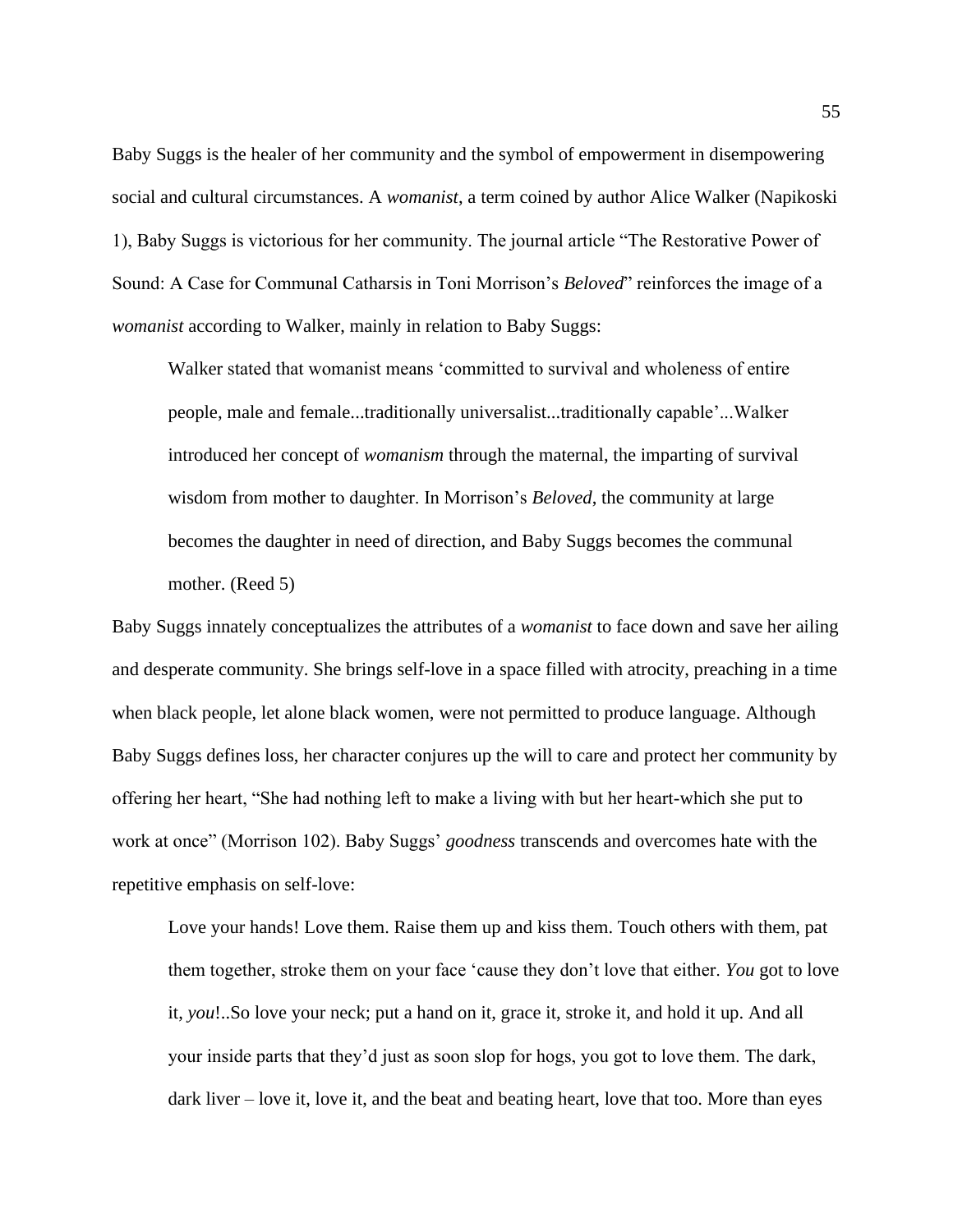Baby Suggs is the healer of her community and the symbol of empowerment in disempowering social and cultural circumstances. A *womanist*, a term coined by author Alice Walker (Napikoski 1), Baby Suggs is victorious for her community. The journal article "The Restorative Power of Sound: A Case for Communal Catharsis in Toni Morrison's *Beloved*" reinforces the image of a *womanist* according to Walker, mainly in relation to Baby Suggs:

Walker stated that womanist means 'committed to survival and wholeness of entire people, male and female...traditionally universalist...traditionally capable'...Walker introduced her concept of *womanism* through the maternal, the imparting of survival wisdom from mother to daughter. In Morrison's *Beloved*, the community at large becomes the daughter in need of direction, and Baby Suggs becomes the communal mother. (Reed 5)

Baby Suggs innately conceptualizes the attributes of a *womanist* to face down and save her ailing and desperate community. She brings self-love in a space filled with atrocity, preaching in a time when black people, let alone black women, were not permitted to produce language. Although Baby Suggs defines loss, her character conjures up the will to care and protect her community by offering her heart, "She had nothing left to make a living with but her heart-which she put to work at once" (Morrison 102). Baby Suggs' *goodness* transcends and overcomes hate with the repetitive emphasis on self-love:

Love your hands! Love them. Raise them up and kiss them. Touch others with them, pat them together, stroke them on your face 'cause they don't love that either. *You* got to love it, *you*!..So love your neck; put a hand on it, grace it, stroke it, and hold it up. And all your inside parts that they'd just as soon slop for hogs, you got to love them. The dark, dark liver – love it, love it, and the beat and beating heart, love that too. More than eyes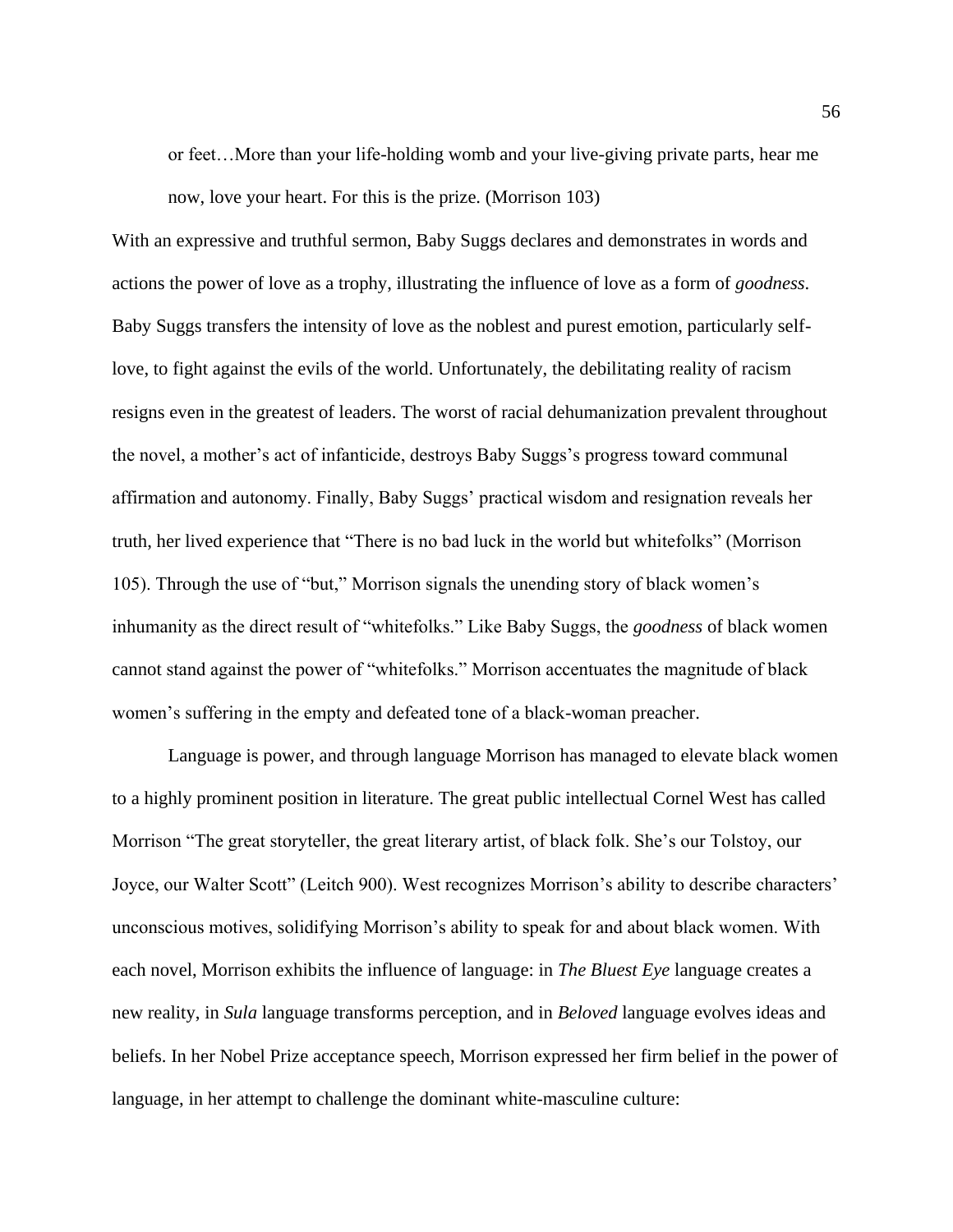or feet…More than your life-holding womb and your live-giving private parts, hear me now, love your heart. For this is the prize. (Morrison 103)

With an expressive and truthful sermon, Baby Suggs declares and demonstrates in words and actions the power of love as a trophy, illustrating the influence of love as a form of *goodness*. Baby Suggs transfers the intensity of love as the noblest and purest emotion, particularly selflove, to fight against the evils of the world. Unfortunately, the debilitating reality of racism resigns even in the greatest of leaders. The worst of racial dehumanization prevalent throughout the novel, a mother's act of infanticide, destroys Baby Suggs's progress toward communal affirmation and autonomy. Finally, Baby Suggs' practical wisdom and resignation reveals her truth, her lived experience that "There is no bad luck in the world but whitefolks" (Morrison 105). Through the use of "but," Morrison signals the unending story of black women's inhumanity as the direct result of "whitefolks." Like Baby Suggs, the *goodness* of black women cannot stand against the power of "whitefolks." Morrison accentuates the magnitude of black women's suffering in the empty and defeated tone of a black-woman preacher.

Language is power, and through language Morrison has managed to elevate black women to a highly prominent position in literature. The great public intellectual Cornel West has called Morrison "The great storyteller, the great literary artist, of black folk. She's our Tolstoy, our Joyce, our Walter Scott" (Leitch 900). West recognizes Morrison's ability to describe characters' unconscious motives, solidifying Morrison's ability to speak for and about black women. With each novel, Morrison exhibits the influence of language: in *The Bluest Eye* language creates a new reality, in *Sula* language transforms perception, and in *Beloved* language evolves ideas and beliefs. In her Nobel Prize acceptance speech, Morrison expressed her firm belief in the power of language, in her attempt to challenge the dominant white-masculine culture: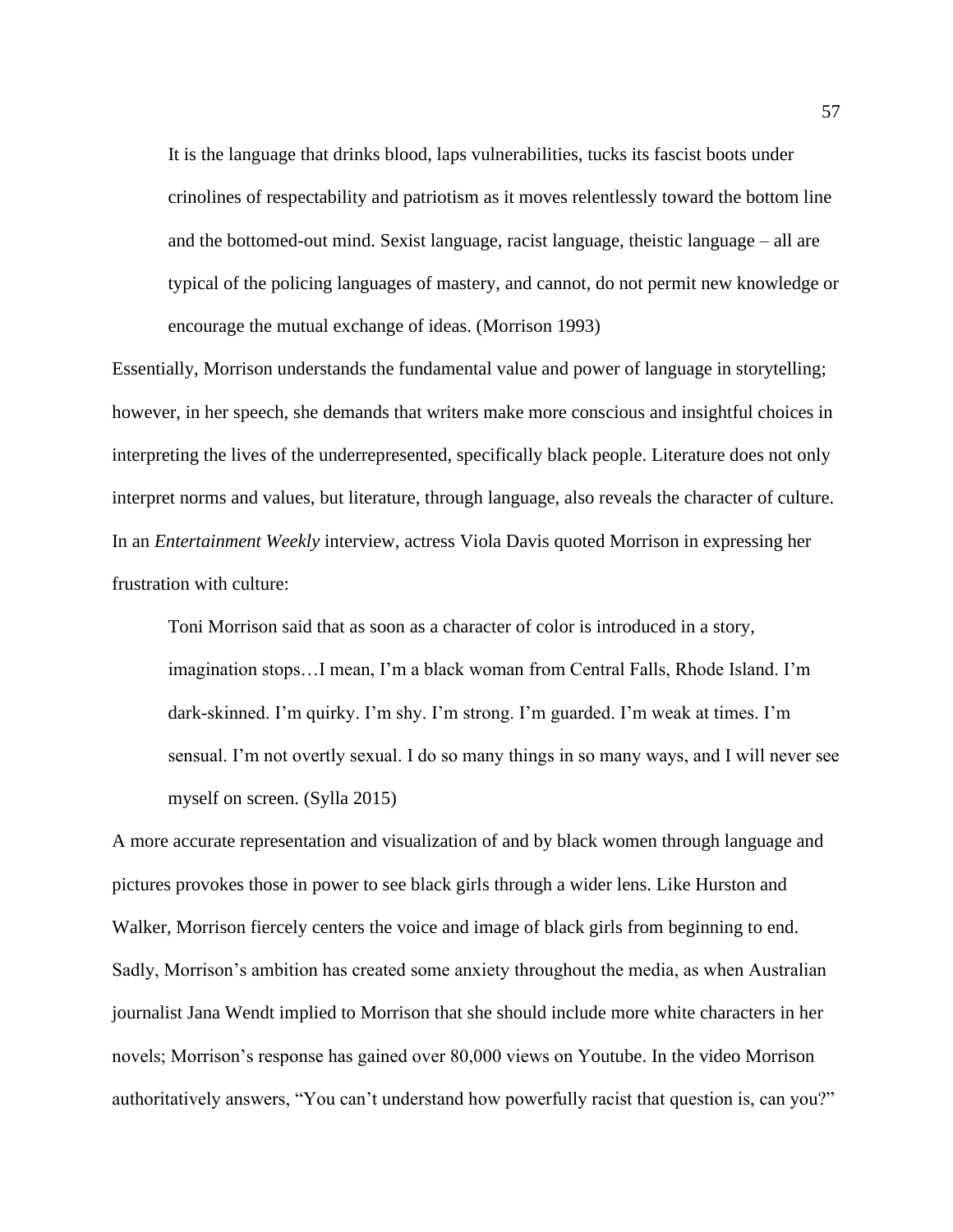It is the language that drinks blood, laps vulnerabilities, tucks its fascist boots under crinolines of respectability and patriotism as it moves relentlessly toward the bottom line and the bottomed-out mind. Sexist language, racist language, theistic language – all are typical of the policing languages of mastery, and cannot, do not permit new knowledge or encourage the mutual exchange of ideas. (Morrison 1993)

Essentially, Morrison understands the fundamental value and power of language in storytelling; however, in her speech, she demands that writers make more conscious and insightful choices in interpreting the lives of the underrepresented, specifically black people. Literature does not only interpret norms and values, but literature, through language, also reveals the character of culture. In an *Entertainment Weekly* interview, actress Viola Davis quoted Morrison in expressing her frustration with culture:

Toni Morrison said that as soon as a character of color is introduced in a story, imagination stops…I mean, I'm a black woman from Central Falls, Rhode Island. I'm dark-skinned. I'm quirky. I'm shy. I'm strong. I'm guarded. I'm weak at times. I'm sensual. I'm not overtly sexual. I do so many things in so many ways, and I will never see myself on screen. (Sylla 2015)

A more accurate representation and visualization of and by black women through language and pictures provokes those in power to see black girls through a wider lens. Like Hurston and Walker, Morrison fiercely centers the voice and image of black girls from beginning to end. Sadly, Morrison's ambition has created some anxiety throughout the media, as when Australian journalist Jana Wendt implied to Morrison that she should include more white characters in her novels; Morrison's response has gained over 80,000 views on Youtube. In the video Morrison authoritatively answers, "You can't understand how powerfully racist that question is, can you?"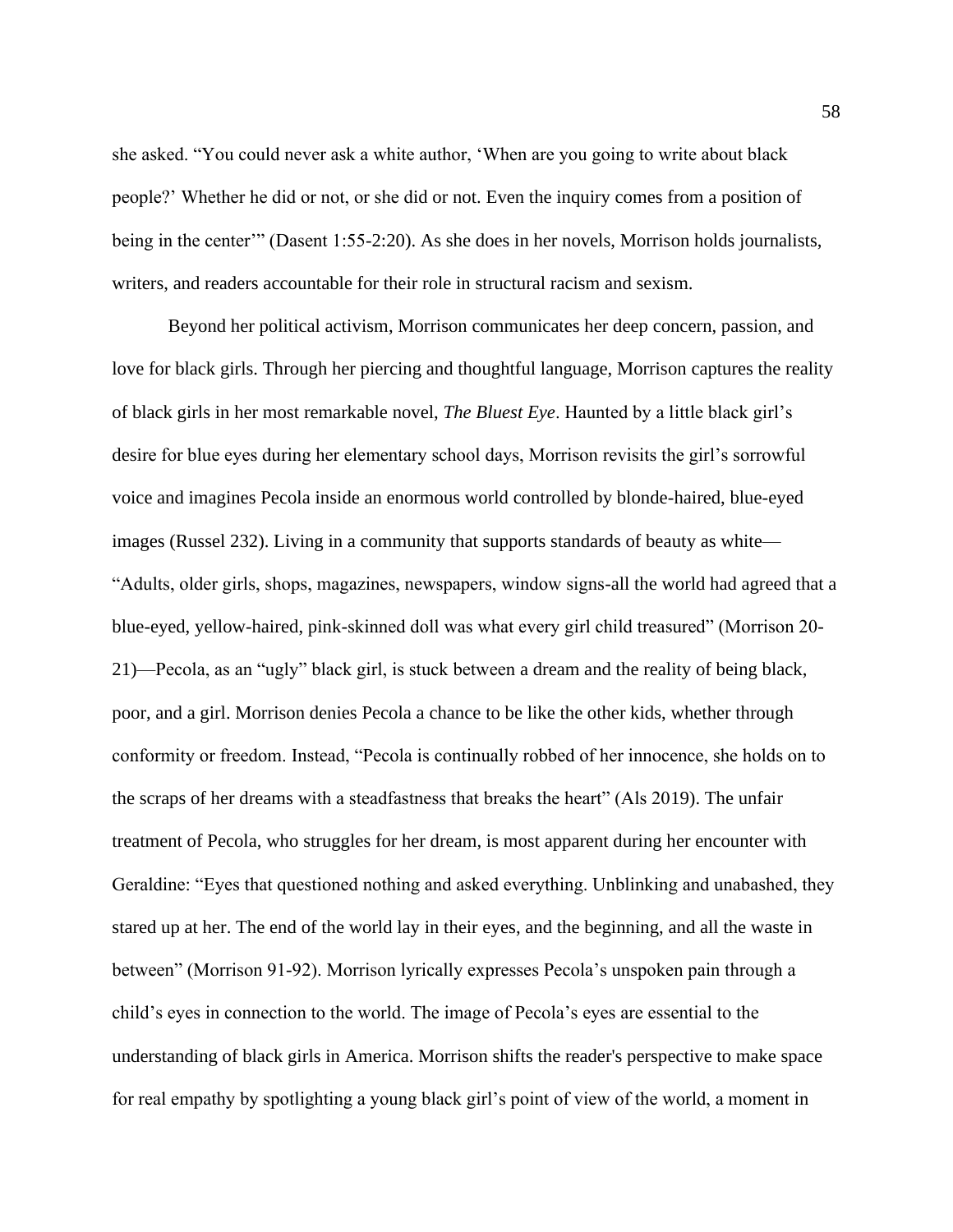she asked. "You could never ask a white author, 'When are you going to write about black people?' Whether he did or not, or she did or not. Even the inquiry comes from a position of being in the center'" (Dasent 1:55-2:20). As she does in her novels, Morrison holds journalists, writers, and readers accountable for their role in structural racism and sexism.

Beyond her political activism, Morrison communicates her deep concern, passion, and love for black girls. Through her piercing and thoughtful language, Morrison captures the reality of black girls in her most remarkable novel, *The Bluest Eye*. Haunted by a little black girl's desire for blue eyes during her elementary school days, Morrison revisits the girl's sorrowful voice and imagines Pecola inside an enormous world controlled by blonde-haired, blue-eyed images (Russel 232). Living in a community that supports standards of beauty as white— "Adults, older girls, shops, magazines, newspapers, window signs-all the world had agreed that a blue-eyed, yellow-haired, pink-skinned doll was what every girl child treasured" (Morrison 20- 21)—Pecola, as an "ugly" black girl, is stuck between a dream and the reality of being black, poor, and a girl. Morrison denies Pecola a chance to be like the other kids, whether through conformity or freedom. Instead, "Pecola is continually robbed of her innocence, she holds on to the scraps of her dreams with a steadfastness that breaks the heart" (Als 2019). The unfair treatment of Pecola, who struggles for her dream, is most apparent during her encounter with Geraldine: "Eyes that questioned nothing and asked everything. Unblinking and unabashed, they stared up at her. The end of the world lay in their eyes, and the beginning, and all the waste in between" (Morrison 91-92). Morrison lyrically expresses Pecola's unspoken pain through a child's eyes in connection to the world. The image of Pecola's eyes are essential to the understanding of black girls in America. Morrison shifts the reader's perspective to make space for real empathy by spotlighting a young black girl's point of view of the world, a moment in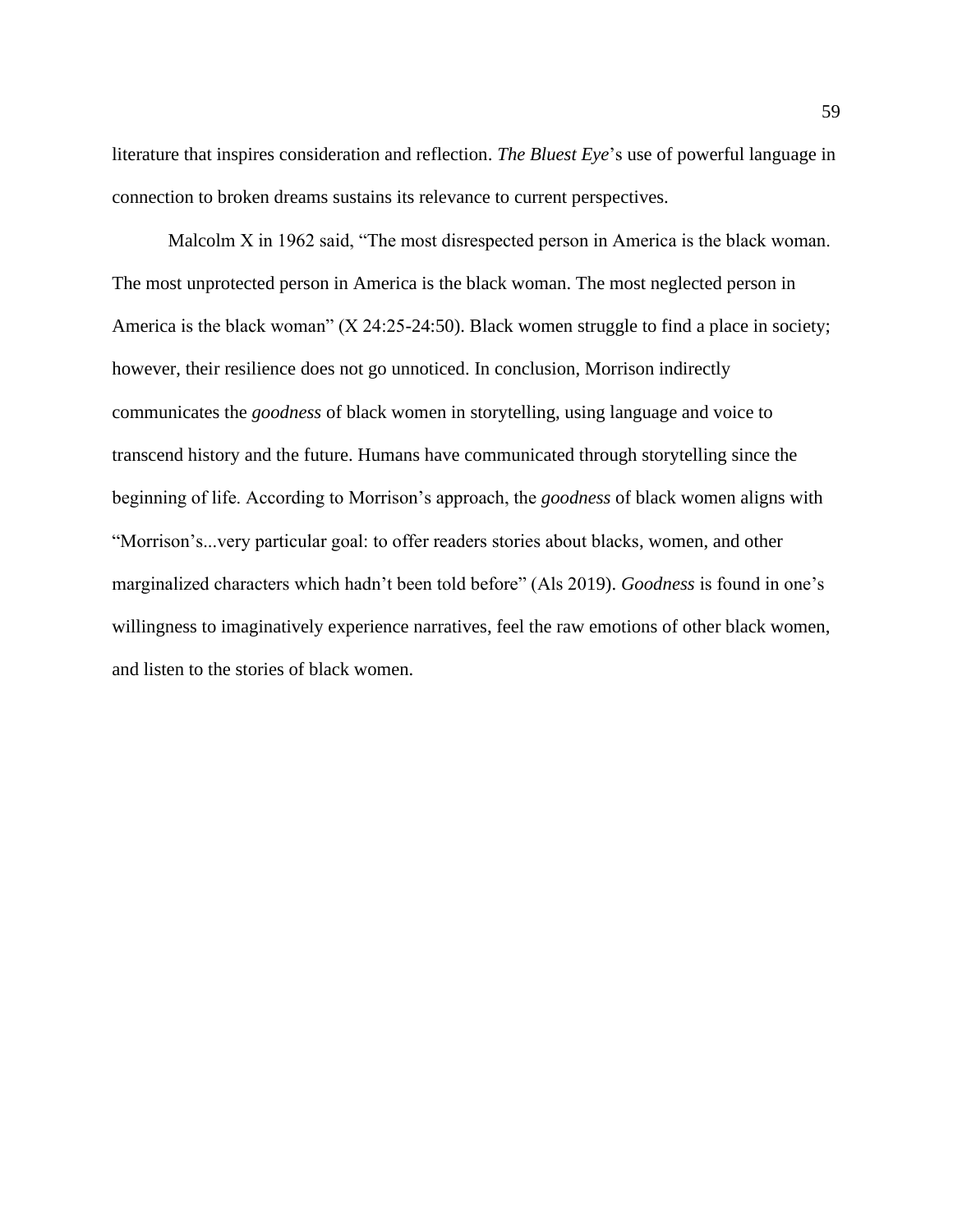literature that inspires consideration and reflection. *The Bluest Eye*'s use of powerful language in connection to broken dreams sustains its relevance to current perspectives.

Malcolm X in 1962 said, "The most disrespected person in America is the black woman. The most unprotected person in America is the black woman. The most neglected person in America is the black woman" (X 24:25-24:50). Black women struggle to find a place in society; however, their resilience does not go unnoticed. In conclusion, Morrison indirectly communicates the *goodness* of black women in storytelling, using language and voice to transcend history and the future. Humans have communicated through storytelling since the beginning of life. According to Morrison's approach, the *goodness* of black women aligns with "Morrison's...very particular goal: to offer readers stories about blacks, women, and other marginalized characters which hadn't been told before" (Als 2019). *Goodness* is found in one's willingness to imaginatively experience narratives, feel the raw emotions of other black women, and listen to the stories of black women.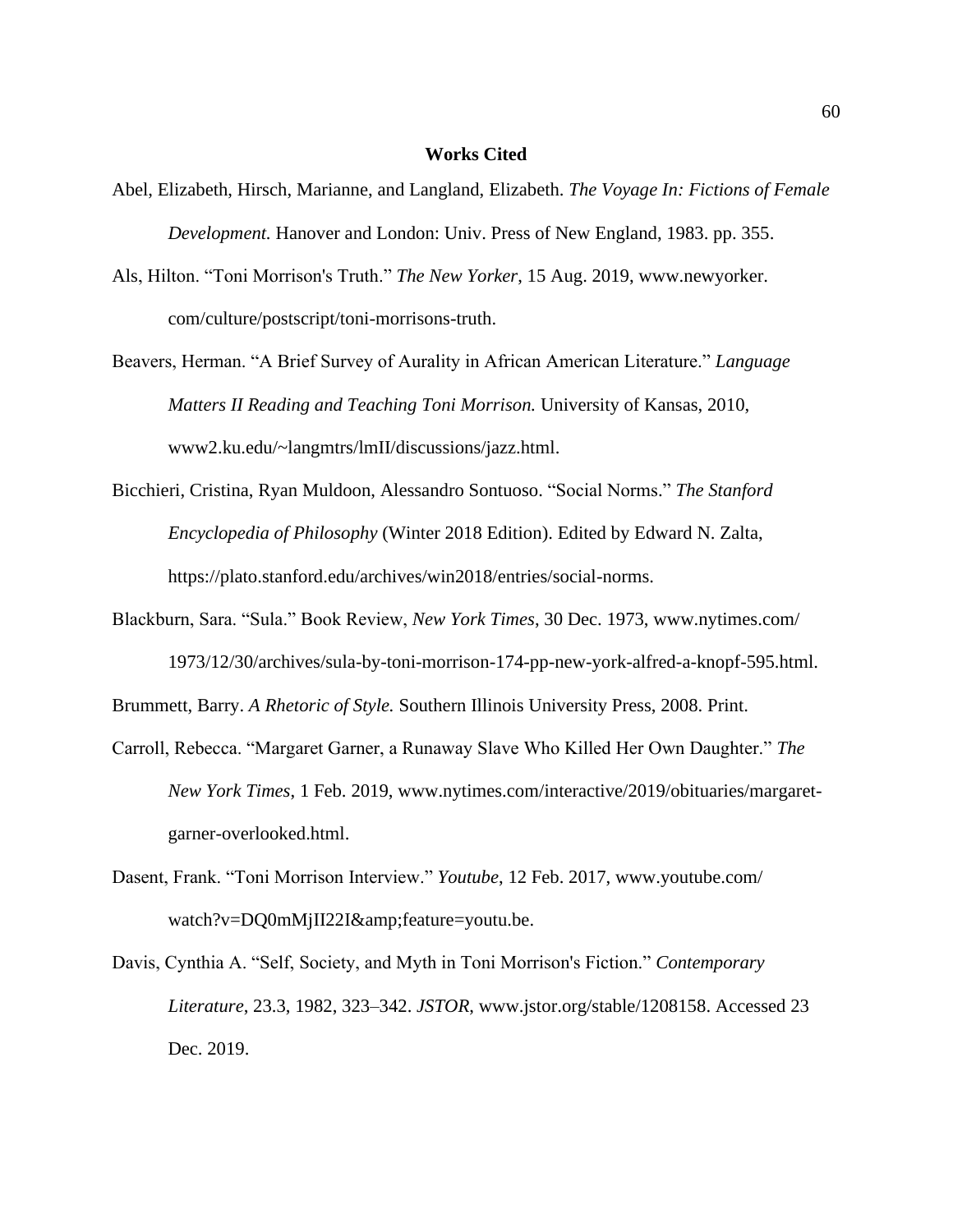### **Works Cited**

- Abel, Elizabeth, Hirsch, Marianne, and Langland, Elizabeth. *The Voyage In: Fictions of Female Development.* Hanover and London: Univ. Press of New England, 1983. pp. 355.
- Als, Hilton. "Toni Morrison's Truth." *The New Yorker*, 15 Aug. 2019, www.newyorker. com/culture/postscript/toni-morrisons-truth.
- Beavers, Herman. "A Brief Survey of Aurality in African American Literature." *Language Matters II Reading and Teaching Toni Morrison.* University of Kansas, 2010, www2.ku.edu/~langmtrs/lmII/discussions/jazz.html.
- Bicchieri, Cristina, Ryan Muldoon, Alessandro Sontuoso. "Social Norms." *The Stanford Encyclopedia of Philosophy* (Winter 2018 Edition). Edited by Edward N. Zalta, [https://plato.stanford.edu/archives/win2018/entries/social-norms.](https://plato.stanford.edu/archives/win2018/entries/social-norms/)
- Blackburn, Sara. "Sula." Book Review, *New York Times*, 30 Dec. 1973, [www.nytimes.com/](http://www.nytimes.com/%201973/12/30/archives/sula-by-toni-morrison-174-pp-new-york-alfred-a-knopf-595.html)  [1973/12/30/archives/sula-by-toni-morrison-174-pp-new-york-alfred-a-knopf-595.html.](http://www.nytimes.com/%201973/12/30/archives/sula-by-toni-morrison-174-pp-new-york-alfred-a-knopf-595.html)

Brummett, Barry. *A Rhetoric of Style.* Southern Illinois University Press, 2008. Print.

- Carroll, Rebecca. "Margaret Garner, a Runaway Slave Who Killed Her Own Daughter." *The New York Times*, 1 Feb. 2019, [www.nytimes.com/interactive/2019/obituaries/margaret](http://www.nytimes.com/interactive/2019/obituaries/margaret-garner-overlooked.html)[garner-overlooked.html.](http://www.nytimes.com/interactive/2019/obituaries/margaret-garner-overlooked.html)
- Dasent, Frank. "Toni Morrison Interview." *Youtube*, 12 Feb. 2017, [www.youtube.com/](http://www.youtube.com/%20watch?v=DQ0mMjII22I&feature=youtu.be)  [watch?v=DQ0mMjII22I&feature=youtu.be.](http://www.youtube.com/%20watch?v=DQ0mMjII22I&feature=youtu.be)
- Davis, Cynthia A. "Self, Society, and Myth in Toni Morrison's Fiction." *Contemporary Literature*, 23.3, 1982, 323–342. *JSTOR*, www.jstor.org/stable/1208158. Accessed 23 Dec. 2019.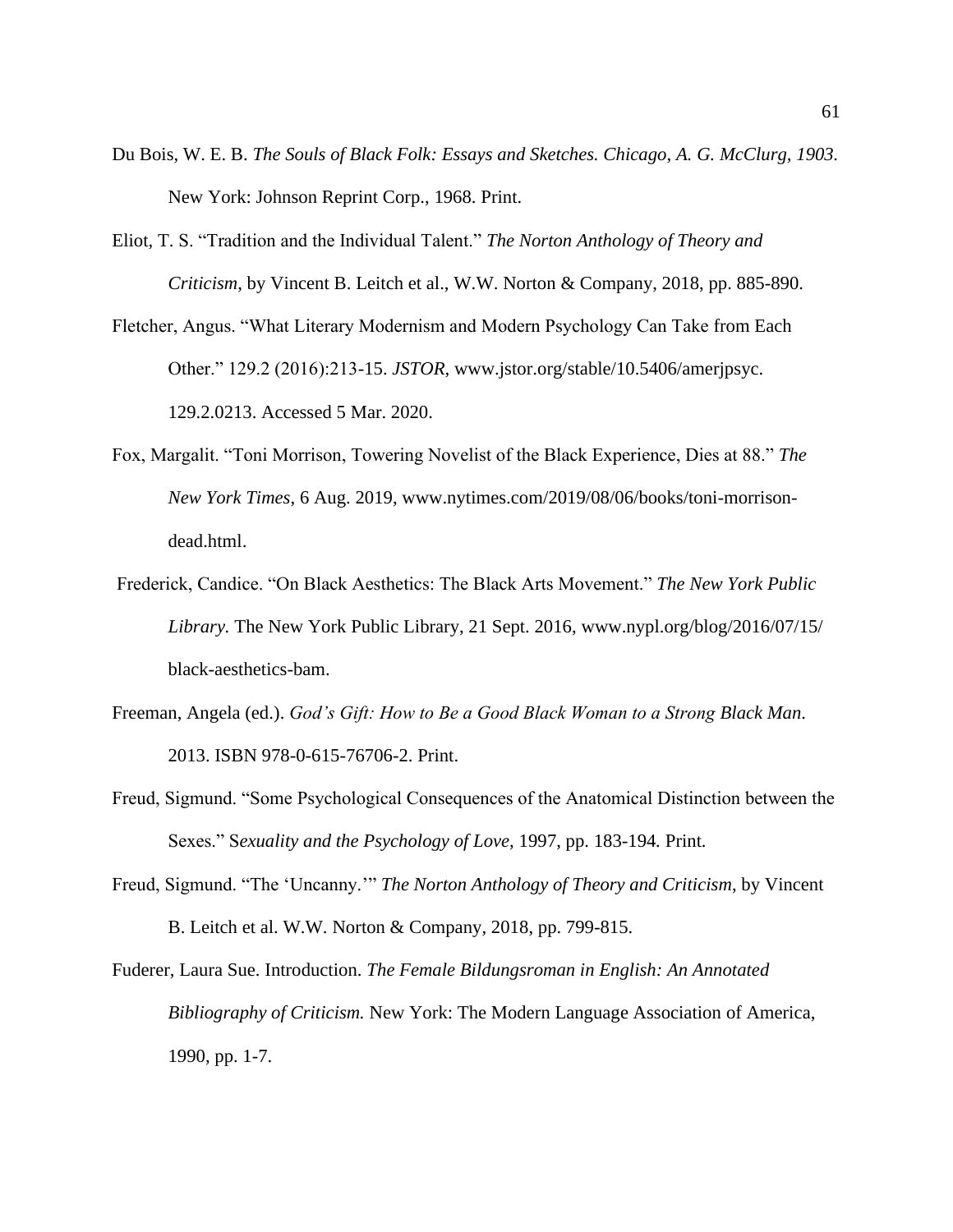- Du Bois, W. E. B. *The Souls of Black Folk: Essays and Sketches. Chicago, A. G. McClurg, 1903.* New York: Johnson Reprint Corp., 1968. Print.
- Eliot, T. S. "Tradition and the Individual Talent." *The Norton Anthology of Theory and Criticism*, by Vincent B. Leitch et al., W.W. Norton & Company, 2018, pp. 885-890.
- Fletcher, Angus. "What Literary Modernism and Modern Psychology Can Take from Each Other." 129.2 (2016):213-15. *JSTOR*, [www.jstor.org/stable/10.5406/amerjpsyc.](http://www.jstor.org/stable/10.5406/amerjpsyc.%20129.2.0213)  [129.2.0213.](http://www.jstor.org/stable/10.5406/amerjpsyc.%20129.2.0213) Accessed 5 Mar. 2020.
- Fox, Margalit. "Toni Morrison, Towering Novelist of the Black Experience, Dies at 88." *The New York Times*, 6 Aug. 2019, [www.nytimes.com/2019/08/06/books/toni-morrison](http://www.nytimes.com/2019/08/06/books/toni-morrison-dead.html)[dead.html.](http://www.nytimes.com/2019/08/06/books/toni-morrison-dead.html)
- Frederick, Candice. "On Black Aesthetics: The Black Arts Movement." *The New York Public Library.* The New York Public Library, 21 Sept. 2016, [www.nypl.org/blog/2016/07/15/](http://www.nypl.org/blog/2016/07/15/%20black-aesthetics-bam)  [black-aesthetics-bam.](http://www.nypl.org/blog/2016/07/15/%20black-aesthetics-bam)
- Freeman, Angela (ed.). *God's Gift: How to Be a Good Black Woman to a Strong Black Man*. 2013. ISBN 978-0-615-76706-2. Print.
- Freud, Sigmund. "Some Psychological Consequences of the Anatomical Distinction between the Sexes." S*exuality and the Psychology of Love,* 1997, pp. 183-194*.* Print*.*
- Freud, Sigmund. "The 'Uncanny.'" *The Norton Anthology of Theory and Criticism*, by Vincent B. Leitch et al. W.W. Norton & Company, 2018, pp. 799-815.
- Fuderer, Laura Sue. Introduction. *The Female Bildungsroman in English: An Annotated Bibliography of Criticism.* New York: The Modern Language Association of America, 1990, pp. 1-7.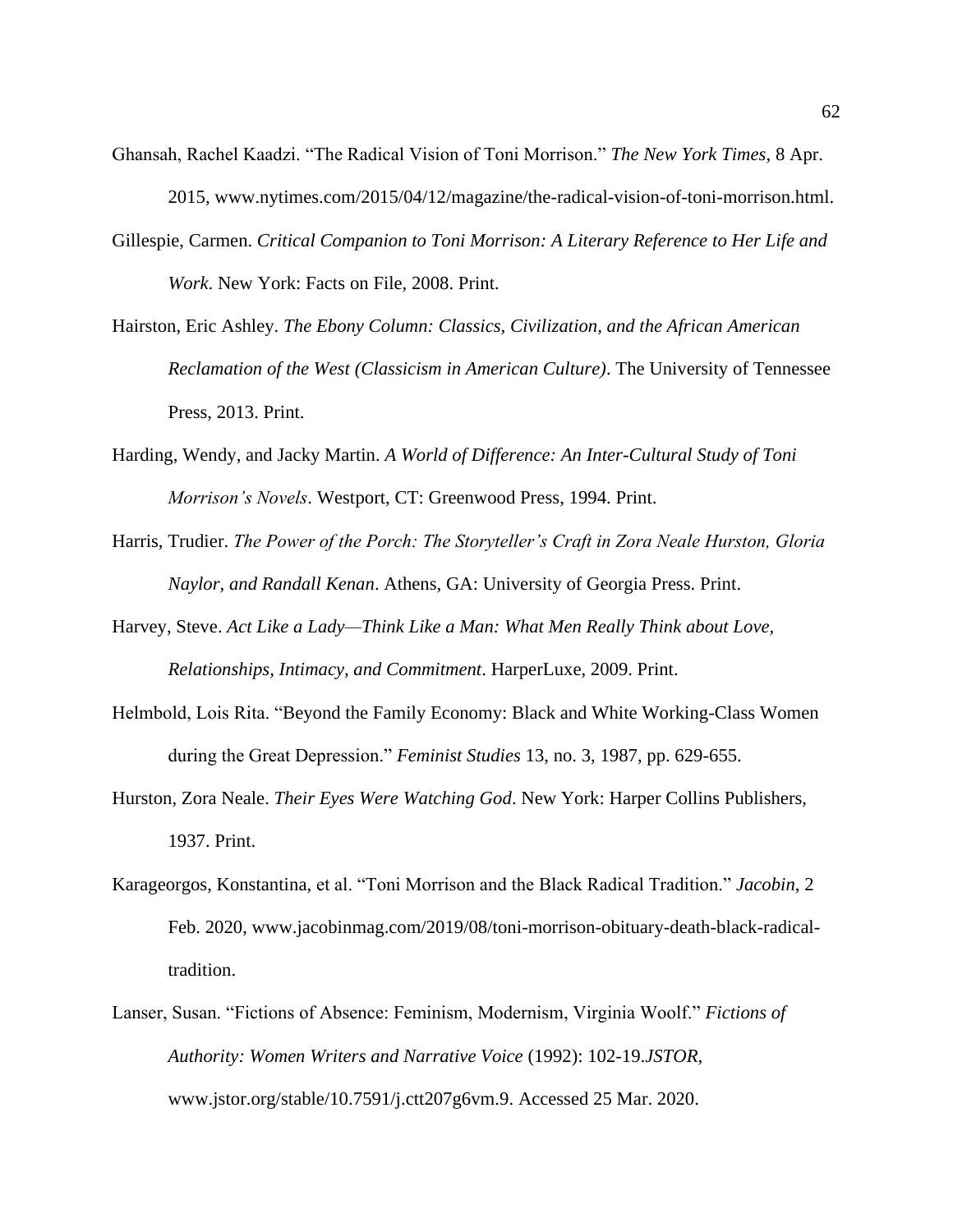- Ghansah, Rachel Kaadzi. "The Radical Vision of Toni Morrison." *The New York Times*, 8 Apr. 2015, [www.nytimes.com/2015/04/12/magazine/the-radical-vision-of-toni-morrison.html.](http://www.nytimes.com/2015/04/12/magazine/the-radical-vision-of-toni-morrison.html)
- Gillespie, Carmen. *Critical Companion to Toni Morrison: A Literary Reference to Her Life and Work*. New York: Facts on File, 2008. Print.
- Hairston, Eric Ashley. *The Ebony Column: Classics, Civilization, and the African American Reclamation of the West (Classicism in American Culture)*. The University of Tennessee Press, 2013. Print.
- Harding, Wendy, and Jacky Martin. *A World of Difference: An Inter-Cultural Study of Toni Morrison's Novels*. Westport, CT: Greenwood Press, 1994. Print.
- Harris, Trudier. *The Power of the Porch: The Storyteller's Craft in Zora Neale Hurston, Gloria Naylor, and Randall Kenan*. Athens, GA: University of Georgia Press. Print.
- Harvey, Steve. *Act Like a Lady—Think Like a Man: What Men Really Think about Love, Relationships, Intimacy, and Commitment*. HarperLuxe, 2009. Print.
- Helmbold, Lois Rita. "Beyond the Family Economy: Black and White Working-Class Women during the Great Depression." *Feminist Studies* 13, no. 3, 1987, pp. 629-655.
- Hurston, Zora Neale. *Their Eyes Were Watching God*. New York: Harper Collins Publishers, 1937. Print.
- Karageorgos, Konstantina, et al. "Toni Morrison and the Black Radical Tradition." *Jacobin*, 2 Feb. 2020, [www.jacobinmag.com/2019/08/toni-morrison-obituary-death-black-radical](http://www.jacobinmag.com/2019/08/toni-morrison-obituary-death-black-radical-tradition)[tradition.](http://www.jacobinmag.com/2019/08/toni-morrison-obituary-death-black-radical-tradition)
- Lanser, Susan. "Fictions of Absence: Feminism, Modernism, Virginia Woolf." *Fictions of Authority: Women Writers and Narrative Voice* (1992): 102-19.*JSTOR*, www.jstor.org/stable/10.7591/j.ctt207g6vm.9. Accessed 25 Mar. 2020.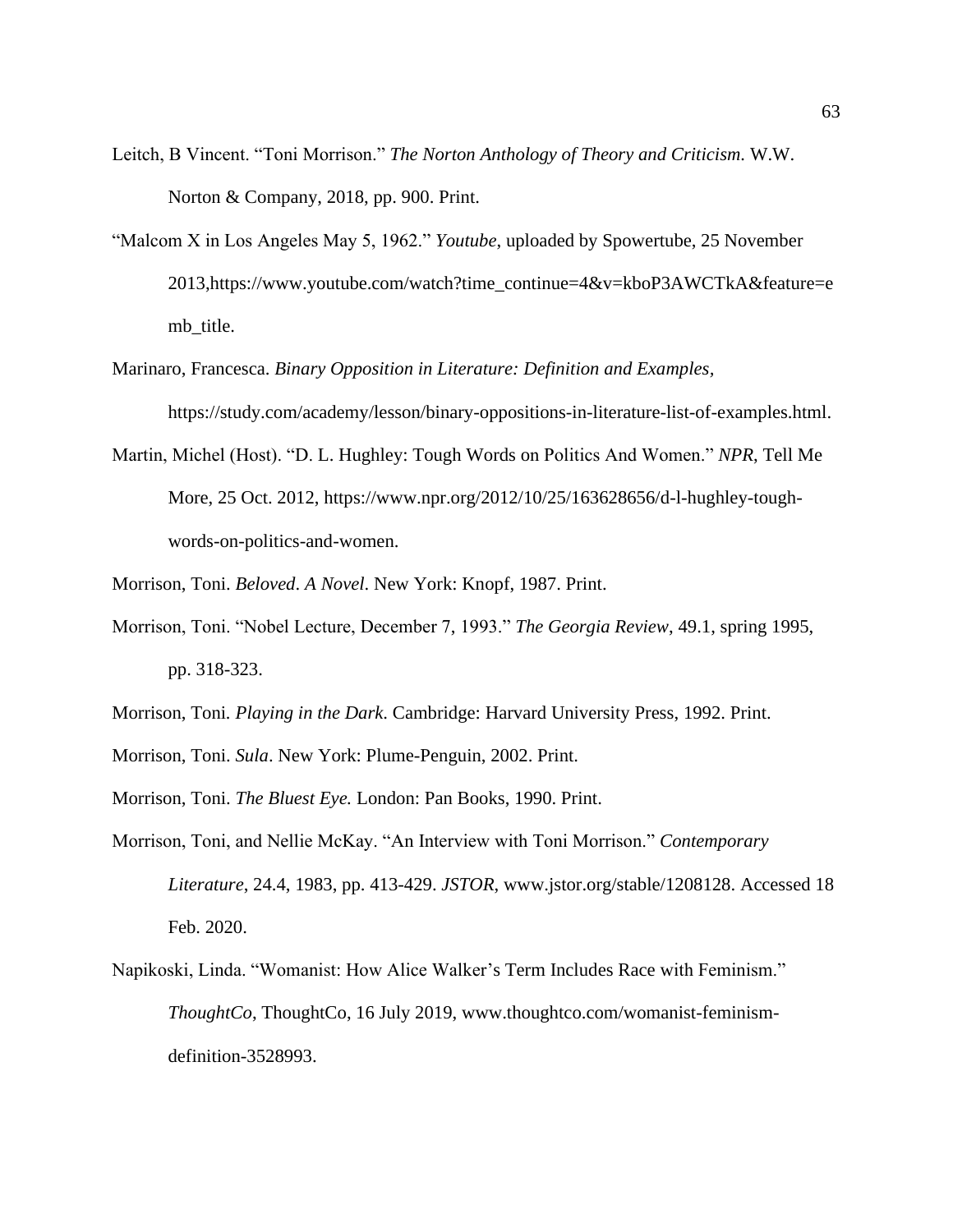- Leitch, B Vincent. "Toni Morrison." *The Norton Anthology of Theory and Criticism.* W.W. Norton & Company, 2018, pp. 900. Print.
- "Malcom X in Los Angeles May 5, 1962." *Youtube*, uploaded by Spowertube, 25 November 2013,https://www.youtube.com/watch?time\_continue=4&v=kboP3AWCTkA&feature=e mb\_title.
- Marinaro, Francesca. *Binary Opposition in Literature: Definition and Examples,* [https://study.com/academy/lesson/binary-oppositions-in-literature-list-of-examples.html.](https://study.com/academy/lesson/binary-oppositions-in-literature-list-of-examples.html)
- Martin, Michel (Host). "D. L. Hughley: Tough Words on Politics And Women." *NPR*, Tell Me More, 25 Oct. 2012, [https://www.npr.org/2012/10/25/163628656/d-l-hughley-tough](https://www.npr.org/2012/10/25/163628656/d-l-hughley-tough-words-on-politics-and-women)[words-on-politics-and-women.](https://www.npr.org/2012/10/25/163628656/d-l-hughley-tough-words-on-politics-and-women)
- Morrison, Toni. *Beloved*. *A Novel*. New York: Knopf, 1987. Print.
- Morrison, Toni. "Nobel Lecture, December 7, 1993." *The Georgia Review*, 49.1, spring 1995, pp. 318-323.
- Morrison, Toni*. Playing in the Dark*. Cambridge: Harvard University Press, 1992. Print.
- Morrison, Toni. *Sula*. New York: Plume-Penguin, 2002. Print.
- Morrison, Toni. *The Bluest Eye.* London: Pan Books, 1990. Print.
- Morrison, Toni, and Nellie McKay. "An Interview with Toni Morrison." *Contemporary Literature*, 24.4, 1983, pp. 413-429. *JSTOR*, www.jstor.org/stable/1208128. Accessed 18 Feb. 2020.
- Napikoski, Linda. "Womanist: How Alice Walker's Term Includes Race with Feminism." *ThoughtCo*, ThoughtCo, 16 July 2019, www.thoughtco.com/womanist-feminismdefinition-3528993.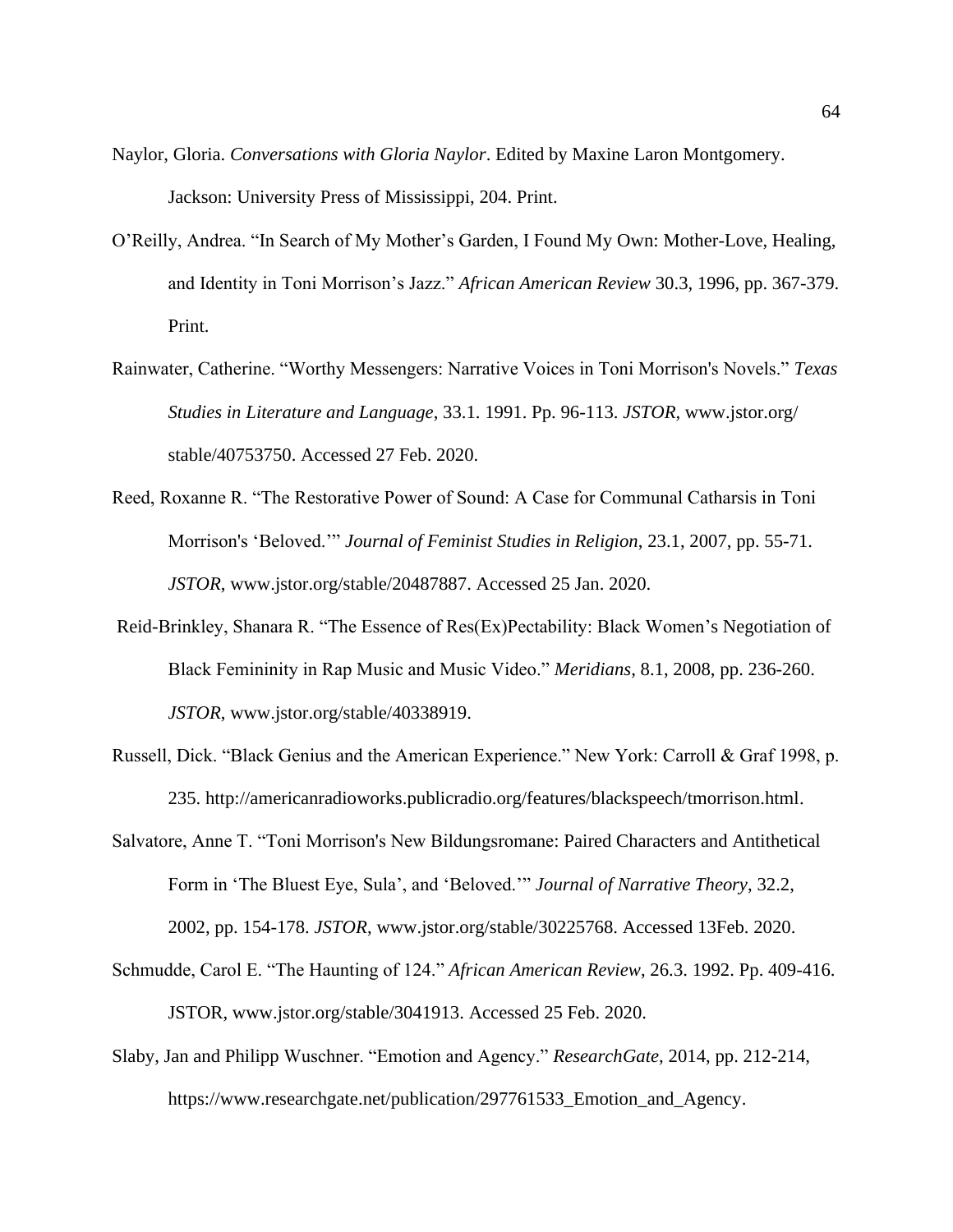- Naylor, Gloria. *Conversations with Gloria Naylor*. Edited by Maxine Laron Montgomery. Jackson: University Press of Mississippi, 204. Print.
- O'Reilly, Andrea. "In Search of My Mother's Garden, I Found My Own: Mother-Love, Healing, and Identity in Toni Morrison's Jazz." *African American Review* 30.3, 1996, pp. 367-379. Print.
- Rainwater, Catherine. "Worthy Messengers: Narrative Voices in Toni Morrison's Novels." *Texas Studies in Literature and Language*, 33.1. 1991. Pp. 96-113. *JSTOR*, [www.jstor.org/](http://www.jstor.org/%20stable/40753750)  [stable/40753750.](http://www.jstor.org/%20stable/40753750) Accessed 27 Feb. 2020.
- Reed, Roxanne R. "The Restorative Power of Sound: A Case for Communal Catharsis in Toni Morrison's 'Beloved.'" *Journal of Feminist Studies in Religion*, 23.1, 2007, pp. 55-71. *JSTOR*, www.jstor.org/stable/20487887. Accessed 25 Jan. 2020.
- Reid-Brinkley, Shanara R. "The Essence of Res(Ex)Pectability: Black Women's Negotiation of Black Femininity in Rap Music and Music Video." *Meridians*, 8.1, 2008, pp. 236-260. *JSTOR*, [www.jstor.org/stable/40338919.](http://www.jstor.org/stable/40338919)
- Russell, Dick. "Black Genius and the American Experience." New York: Carroll & Graf 1998, p. 235. [http://americanradioworks.publicradio.org/features/blackspeech/tmorrison.html.](http://americanradioworks.publicradio.org/features/blackspeech/tmorrison.html)
- Salvatore, Anne T. "Toni Morrison's New Bildungsromane: Paired Characters and Antithetical Form in 'The Bluest Eye, Sula', and 'Beloved.'" *Journal of Narrative Theory*, 32.2, 2002, pp. 154-178. *JSTOR*, www.jstor.org/stable/30225768. Accessed 13Feb. 2020.
- Schmudde, Carol E. "The Haunting of 124." *African American Review*, 26.3. 1992. Pp. 409-416. JSTOR, www.jstor.org/stable/3041913. Accessed 25 Feb. 2020.
- Slaby, Jan and Philipp Wuschner. "Emotion and Agency." *ResearchGate*, 2014, pp. 212-214, [https://www.researchgate.net/publication/297761533\\_Emotion\\_and\\_Agency.](https://www.researchgate.net/publication/297761533_Emotion_and_Agency)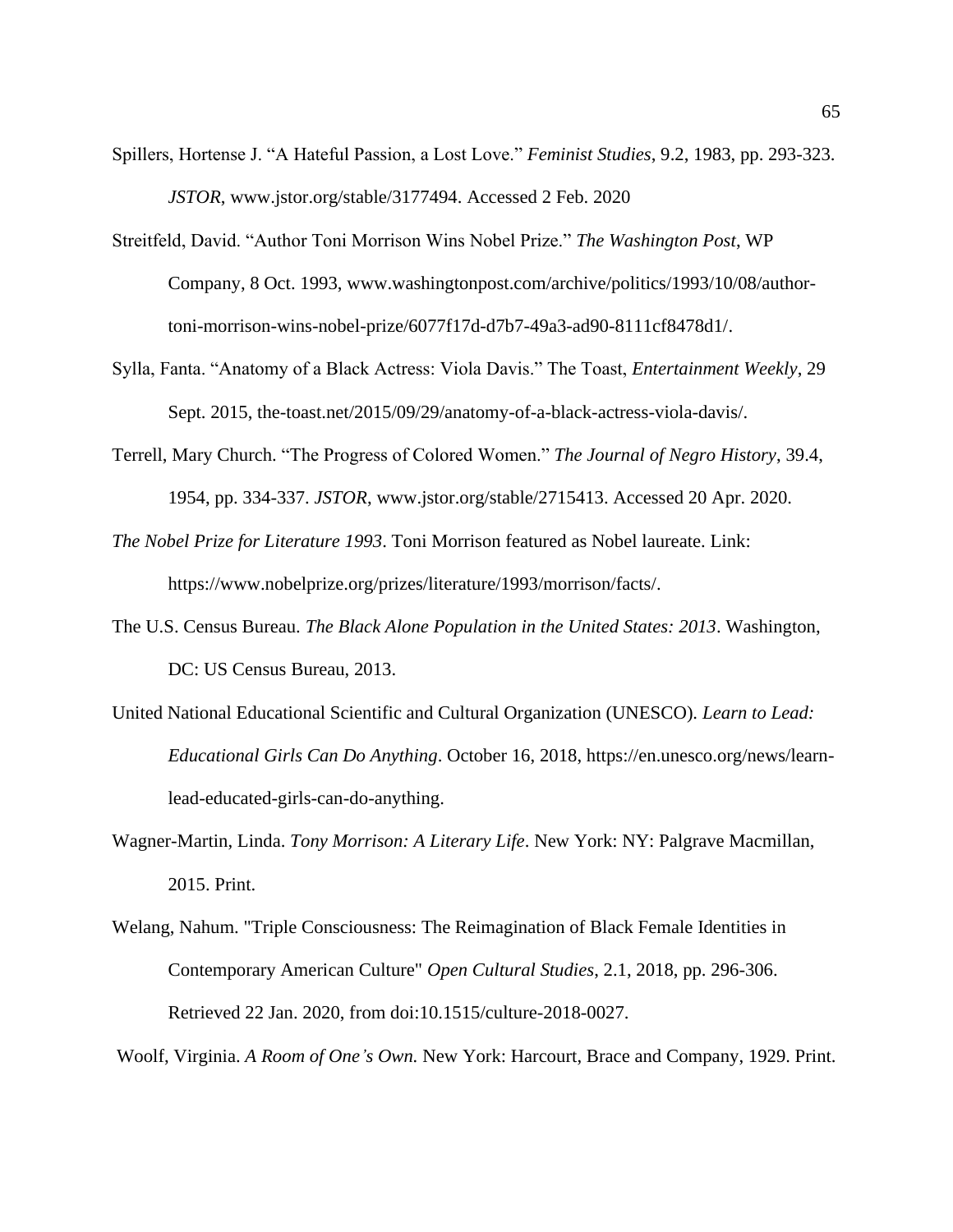- Spillers, Hortense J. "A Hateful Passion, a Lost Love." *Feminist Studies*, 9.2, 1983, pp. 293-323. *JSTOR*, www.jstor.org/stable/3177494. Accessed 2 Feb. 2020
- Streitfeld, David. "Author Toni Morrison Wins Nobel Prize." *The Washington Post*, WP Company, 8 Oct. 1993, [www.washingtonpost.com/archive/politics/1993/10/08/author](http://www.washingtonpost.com/archive/politics/1993/10/08/author-toni-morrison-wins-nobel-prize/6077f17d-d7b7-49a3-ad90-8111cf8478d1/)[toni-morrison-wins-nobel-prize/6077f17d-d7b7-49a3-ad90-8111cf8478d1/.](http://www.washingtonpost.com/archive/politics/1993/10/08/author-toni-morrison-wins-nobel-prize/6077f17d-d7b7-49a3-ad90-8111cf8478d1/)
- Sylla, Fanta. "Anatomy of a Black Actress: Viola Davis." The Toast, *Entertainment Weekly*, 29 Sept. 2015, the-toast.net/2015/09/29/anatomy-of-a-black-actress-viola-davis/.
- Terrell, Mary Church. "The Progress of Colored Women." *The Journal of Negro History*, 39.4, 1954, pp. 334-337. *JSTOR*, www.jstor.org/stable/2715413. Accessed 20 Apr. 2020.
- *The Nobel Prize for Literature 1993*. Toni Morrison featured as Nobel laureate. Link: [https://www.nobelprize.org/prizes/literature/1993/morrison/facts/.](https://www.nobelprize.org/prizes/literature/1993/morrison/facts/)
- The U.S. Census Bureau. *The Black Alone Population in the United States: 2013*. Washington, DC: US Census Bureau, 2013.
- United National Educational Scientific and Cultural Organization (UNESCO). *Learn to Lead: Educational Girls Can Do Anything*. October 16, 2018, [https://en.unesco.org/news/learn](https://en.unesco.org/news/learn-lead-educated-girls-can-do-anything)[lead-educated-girls-can-do-anything.](https://en.unesco.org/news/learn-lead-educated-girls-can-do-anything)
- Wagner-Martin, Linda. *Tony Morrison: A Literary Life*. New York: NY: Palgrave Macmillan, 2015. Print.
- Welang, Nahum. "Triple Consciousness: The Reimagination of Black Female Identities in Contemporary American Culture" *Open Cultural Studies*, 2.1, 2018, pp. 296-306. Retrieved 22 Jan. 2020, from doi:10.1515/culture-2018-0027.

Woolf, Virginia. *A Room of One's Own.* New York: Harcourt, Brace and Company, 1929. Print.